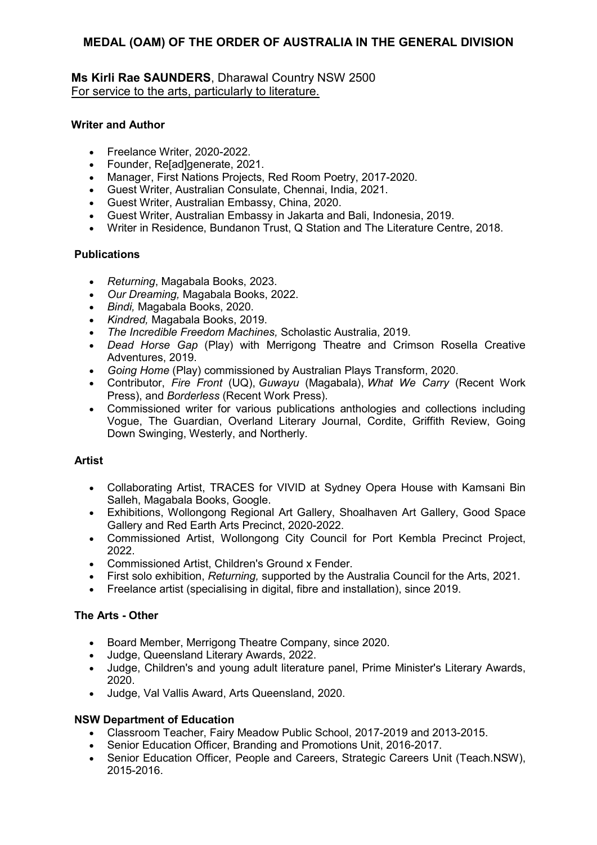## **Ms Kirli Rae SAUNDERS**, Dharawal Country NSW 2500 For service to the arts, particularly to literature.

### **Writer and Author**

- Freelance Writer, 2020-2022.
- Founder, Re[ad]generate, 2021.
- Manager, First Nations Projects, Red Room Poetry, 2017-2020.
- Guest Writer, Australian Consulate, Chennai, India, 2021.
- Guest Writer, Australian Embassy, China, 2020.
- Guest Writer, Australian Embassy in Jakarta and Bali, Indonesia, 2019.
- Writer in Residence, Bundanon Trust, Q Station and The Literature Centre, 2018.

## **Publications**

- *Returning*, Magabala Books, 2023.
- *Our Dreaming,* Magabala Books, 2022.
- *Bindi,* Magabala Books, 2020.
- *Kindred,* Magabala Books, 2019.
- *The Incredible Freedom Machines,* Scholastic Australia, 2019.
- *Dead Horse Gap* (Play) with Merrigong Theatre and Crimson Rosella Creative Adventures, 2019.
- *Going Home* (Play) commissioned by Australian Plays Transform, 2020.
- Contributor, *Fire Front* (UQ), *Guwayu* (Magabala), *What We Carry* (Recent Work Press), and *Borderless* (Recent Work Press).
- Commissioned writer for various publications anthologies and collections including Vogue, The Guardian, Overland Literary Journal, Cordite, Griffith Review, Going Down Swinging, Westerly, and Northerly.

## **Artist**

- Collaborating Artist, TRACES for VIVID at Sydney Opera House with Kamsani Bin Salleh, Magabala Books, Google.
- Exhibitions, Wollongong Regional Art Gallery, Shoalhaven Art Gallery, Good Space Gallery and Red Earth Arts Precinct, 2020-2022.
- Commissioned Artist, Wollongong City Council for Port Kembla Precinct Project, 2022.
- Commissioned Artist, Children's Ground x Fender.
- First solo exhibition, *Returning,* supported by the Australia Council for the Arts, 2021.
- Freelance artist (specialising in digital, fibre and installation), since 2019.

### **The Arts - Other**

- Board Member, Merrigong Theatre Company, since 2020.
- Judge, Queensland Literary Awards, 2022.
- Judge, Children's and young adult literature panel, Prime Minister's Literary Awards, 2020.
- Judge, Val Vallis Award, Arts Queensland, 2020.

### **NSW Department of Education**

- Classroom Teacher, Fairy Meadow Public School, 2017-2019 and 2013-2015.
- Senior Education Officer, Branding and Promotions Unit, 2016-2017.
- Senior Education Officer, People and Careers, Strategic Careers Unit (Teach.NSW), 2015-2016.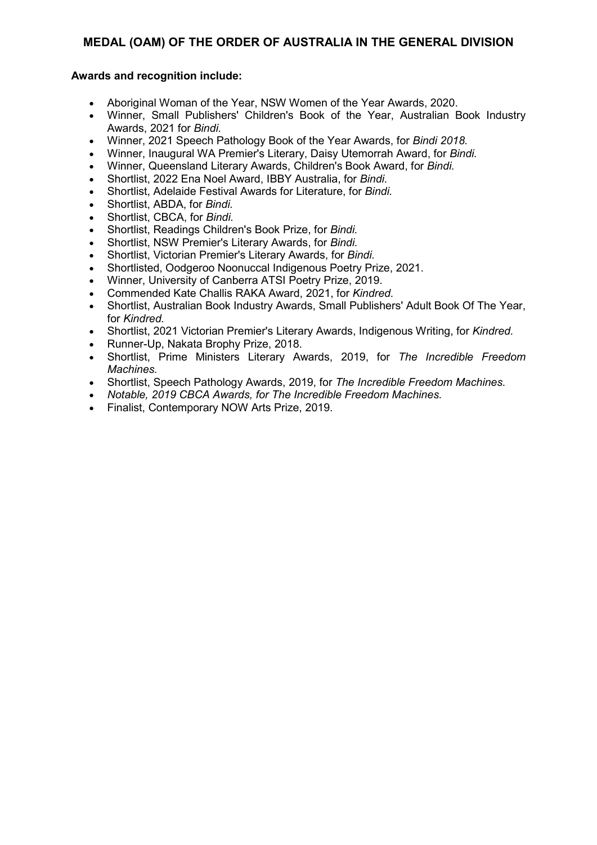- Aboriginal Woman of the Year, NSW Women of the Year Awards, 2020.
- Winner, Small Publishers' Children's Book of the Year, Australian Book Industry Awards, 2021 for *Bindi.*
- Winner, 2021 Speech Pathology Book of the Year Awards, for *Bindi 2018.*
- Winner, Inaugural WA Premier's Literary, Daisy Utemorrah Award, for *Bindi.*
- Winner, Queensland Literary Awards, Children's Book Award, for *Bindi.*
- Shortlist, 2022 Ena Noel Award, IBBY Australia, for *Bindi.*
- Shortlist, Adelaide Festival Awards for Literature, for *Bindi.*
- Shortlist, ABDA, for *Bindi.*
- Shortlist, CBCA, for *Bindi.*
- Shortlist, Readings Children's Book Prize, for *Bindi.*
- Shortlist, NSW Premier's Literary Awards, for *Bindi.*
- Shortlist, Victorian Premier's Literary Awards, for *Bindi.*
- Shortlisted, Oodgeroo Noonuccal Indigenous Poetry Prize, 2021.
- Winner, University of Canberra ATSI Poetry Prize, 2019.
- Commended Kate Challis RAKA Award, 2021, for *Kindred.*
- Shortlist, Australian Book Industry Awards, Small Publishers' Adult Book Of The Year, for *Kindred.*
- Shortlist, 2021 Victorian Premier's Literary Awards, Indigenous Writing, for *Kindred.*
- Runner-Up, Nakata Brophy Prize, 2018.
- Shortlist, Prime Ministers Literary Awards, 2019, for *The Incredible Freedom Machines.*
- Shortlist, Speech Pathology Awards, 2019, for *The Incredible Freedom Machines.*
- *Notable, 2019 CBCA Awards, for The Incredible Freedom Machines.*
- Finalist, Contemporary NOW Arts Prize, 2019.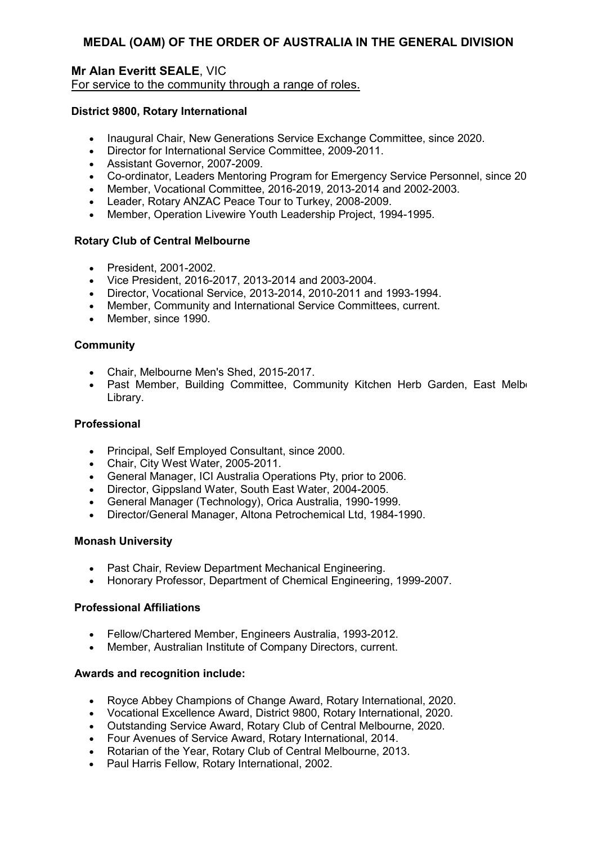## **Mr Alan Everitt SEALE**, VIC For service to the community through a range of roles.

### **District 9800, Rotary International**

- Inaugural Chair, New Generations Service Exchange Committee, since 2020.
- Director for International Service Committee, 2009-2011.
- Assistant Governor, 2007-2009.
- Co-ordinator, Leaders Mentoring Program for Emergency Service Personnel, since 20
- Member, Vocational Committee, 2016-2019, 2013-2014 and 2002-2003.
- Leader, Rotary ANZAC Peace Tour to Turkey, 2008-2009.
- Member, Operation Livewire Youth Leadership Project, 1994-1995.

#### **Rotary Club of Central Melbourne**

- President, 2001-2002.
- Vice President, 2016-2017, 2013-2014 and 2003-2004.
- Director, Vocational Service, 2013-2014, 2010-2011 and 1993-1994.
- Member, Community and International Service Committees, current.
- Member, since 1990.

#### **Community**

- Chair, Melbourne Men's Shed, 2015-2017.
- Past Member, Building Committee, Community Kitchen Herb Garden, East Melbo Library.

#### **Professional**

- Principal, Self Employed Consultant, since 2000.
- Chair, City West Water, 2005-2011.
- General Manager, ICI Australia Operations Pty, prior to 2006.
- Director, Gippsland Water, South East Water, 2004-2005.
- General Manager (Technology), Orica Australia, 1990-1999.
- Director/General Manager, Altona Petrochemical Ltd, 1984-1990.

#### **Monash University**

- Past Chair, Review Department Mechanical Engineering.
- Honorary Professor, Department of Chemical Engineering, 1999-2007.

#### **Professional Affiliations**

- Fellow/Chartered Member, Engineers Australia, 1993-2012.
- Member, Australian Institute of Company Directors, current.

- Royce Abbey Champions of Change Award, Rotary International, 2020.
- Vocational Excellence Award, District 9800, Rotary International, 2020.
- Outstanding Service Award, Rotary Club of Central Melbourne, 2020.
- Four Avenues of Service Award, Rotary International, 2014.
- Rotarian of the Year, Rotary Club of Central Melbourne, 2013.
- Paul Harris Fellow, Rotary International, 2002.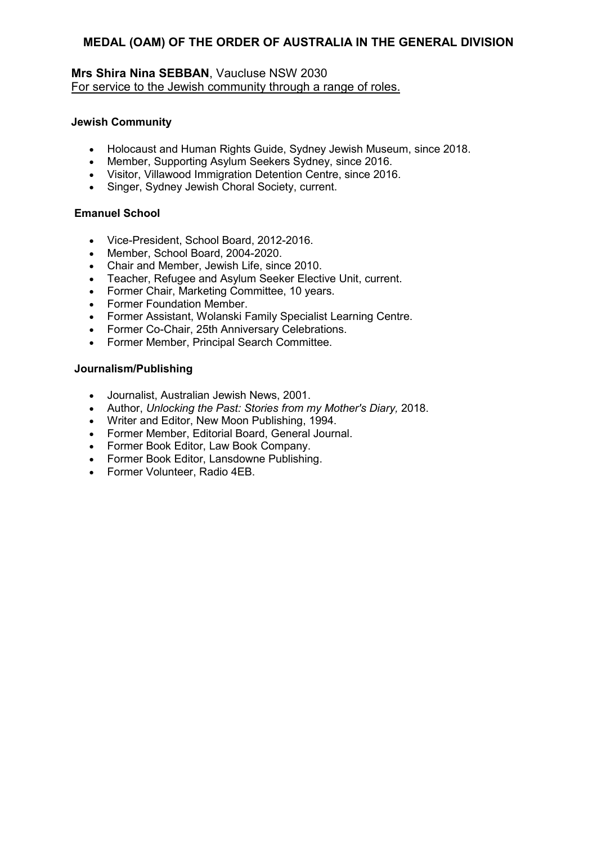## **Mrs Shira Nina SEBBAN**, Vaucluse NSW 2030 For service to the Jewish community through a range of roles.

### **Jewish Community**

- Holocaust and Human Rights Guide, Sydney Jewish Museum, since 2018.
- Member, Supporting Asylum Seekers Sydney, since 2016.
- Visitor, Villawood Immigration Detention Centre, since 2016.
- Singer, Sydney Jewish Choral Society, current.

## **Emanuel School**

- Vice-President, School Board, 2012-2016.
- Member, School Board, 2004-2020.
- Chair and Member, Jewish Life, since 2010.
- Teacher, Refugee and Asylum Seeker Elective Unit, current.
- Former Chair, Marketing Committee, 10 years.
- Former Foundation Member.
- Former Assistant, Wolanski Family Specialist Learning Centre.
- Former Co-Chair, 25th Anniversary Celebrations.
- Former Member, Principal Search Committee.

## **Journalism/Publishing**

- Journalist, Australian Jewish News, 2001.
- Author, *Unlocking the Past: Stories from my Mother's Diary,* 2018.
- Writer and Editor, New Moon Publishing, 1994.
- Former Member, Editorial Board, General Journal.
- Former Book Editor, Law Book Company.
- Former Book Editor, Lansdowne Publishing.
- Former Volunteer, Radio 4EB.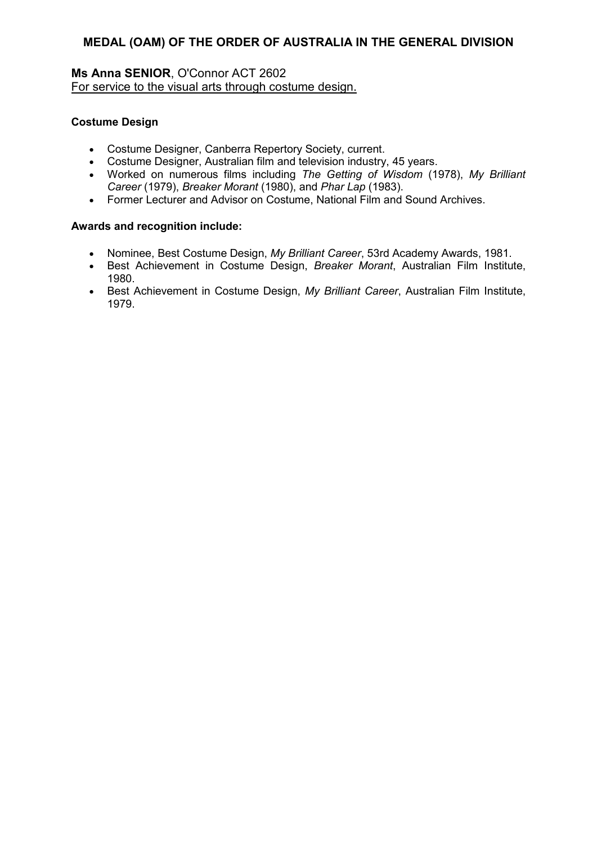## **Ms Anna SENIOR**, O'Connor ACT 2602 For service to the visual arts through costume design.

## **Costume Design**

- Costume Designer, Canberra Repertory Society, current.
- Costume Designer, Australian film and television industry, 45 years.
- Worked on numerous films including *The Getting of Wisdom* (1978), *My Brilliant Career* (1979), *Breaker Morant* (1980), and *Phar Lap* (1983).
- Former Lecturer and Advisor on Costume, National Film and Sound Archives.

- Nominee, Best Costume Design, *My Brilliant Career*, 53rd Academy Awards, 1981.
- Best Achievement in Costume Design, *Breaker Morant*, Australian Film Institute, 1980.
- Best Achievement in Costume Design, *My Brilliant Career*, Australian Film Institute, 1979.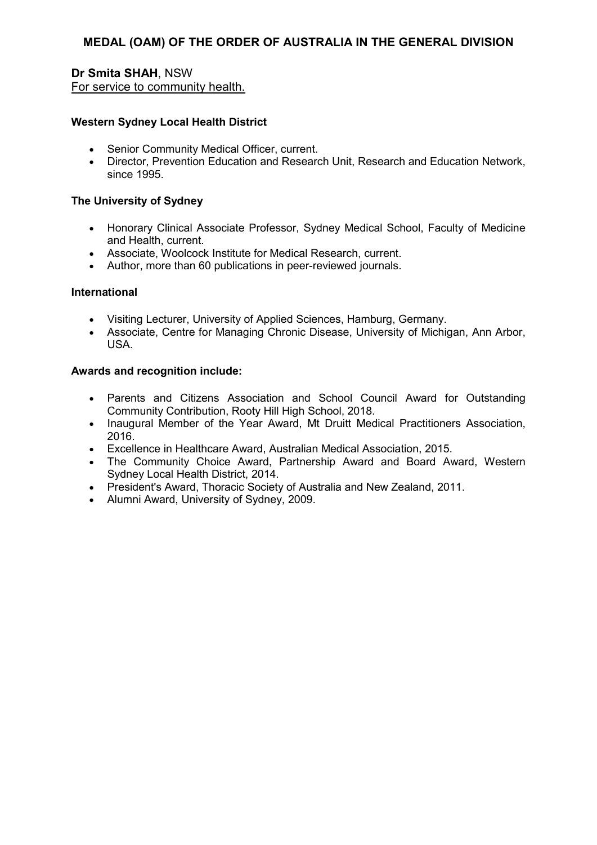## **Dr Smita SHAH**, NSW For service to community health.

#### **Western Sydney Local Health District**

- Senior Community Medical Officer, current.
- Director, Prevention Education and Research Unit, Research and Education Network, since 1995.

#### **The University of Sydney**

- Honorary Clinical Associate Professor, Sydney Medical School, Faculty of Medicine and Health, current.
- Associate, Woolcock Institute for Medical Research, current.
- Author, more than 60 publications in peer-reviewed journals.

#### **International**

- Visiting Lecturer, University of Applied Sciences, Hamburg, Germany.
- Associate, Centre for Managing Chronic Disease, University of Michigan, Ann Arbor, USA.

- Parents and Citizens Association and School Council Award for Outstanding Community Contribution, Rooty Hill High School, 2018.
- Inaugural Member of the Year Award, Mt Druitt Medical Practitioners Association, 2016.
- Excellence in Healthcare Award, Australian Medical Association, 2015.
- The Community Choice Award, Partnership Award and Board Award, Western Sydney Local Health District, 2014.
- President's Award, Thoracic Society of Australia and New Zealand, 2011.
- Alumni Award, University of Sydney, 2009.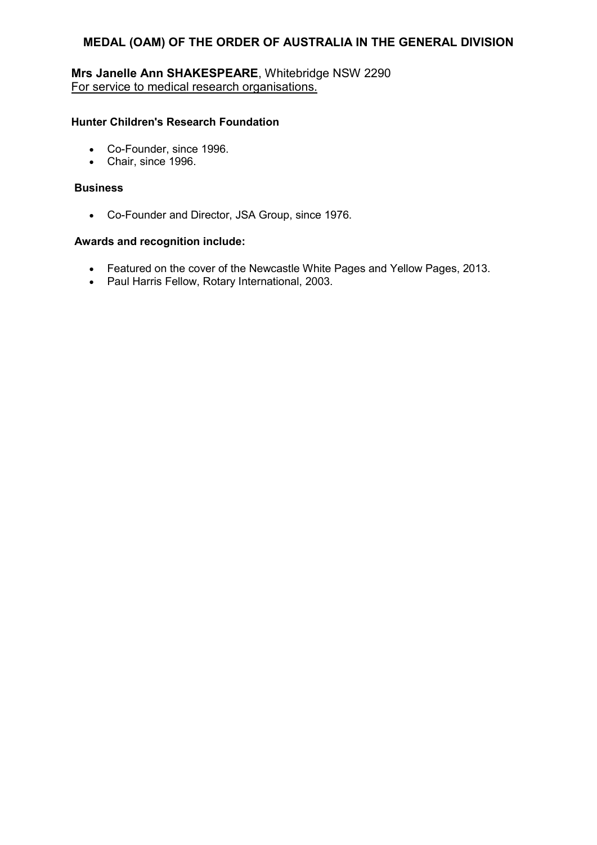## **Mrs Janelle Ann SHAKESPEARE**, Whitebridge NSW 2290 For service to medical research organisations.

#### **Hunter Children's Research Foundation**

- Co-Founder, since 1996.
- Chair, since 1996.

#### **Business**

• Co-Founder and Director, JSA Group, since 1976.

- Featured on the cover of the Newcastle White Pages and Yellow Pages, 2013.
- Paul Harris Fellow, Rotary International, 2003.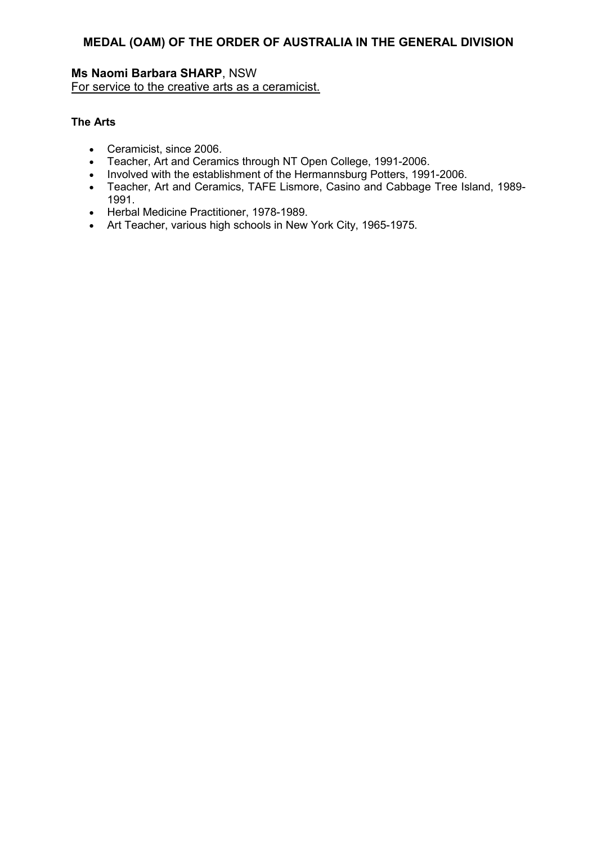## **Ms Naomi Barbara SHARP**, NSW For service to the creative arts as a ceramicist.

### **The Arts**

- Ceramicist, since 2006.
- Teacher, Art and Ceramics through NT Open College, 1991-2006.
- Involved with the establishment of the Hermannsburg Potters, 1991-2006.
- Teacher, Art and Ceramics, TAFE Lismore, Casino and Cabbage Tree Island, 1989- 1991.
- Herbal Medicine Practitioner, 1978-1989.
- Art Teacher, various high schools in New York City, 1965-1975.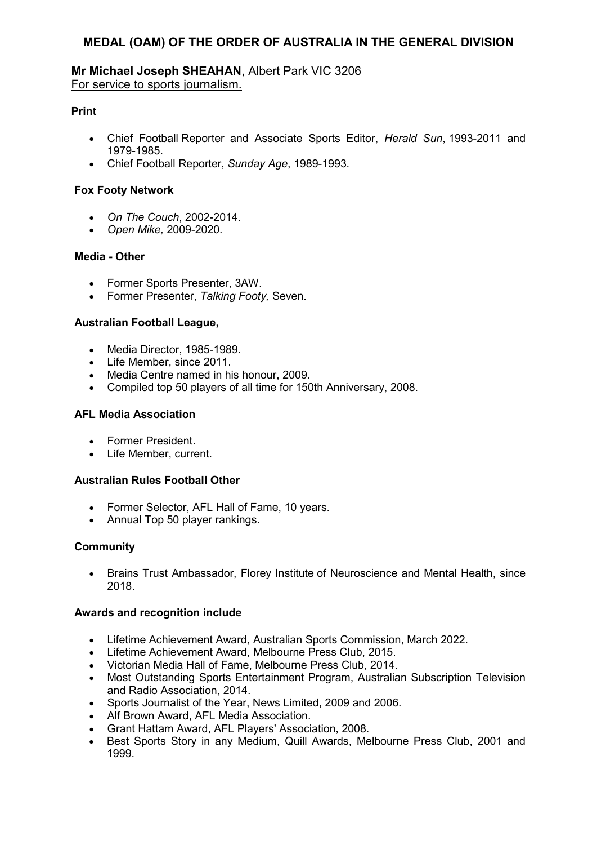### **Mr Michael Joseph SHEAHAN**, Albert Park VIC 3206 For service to sports journalism.

### **Print**

- Chief Football Reporter and Associate Sports Editor, *Herald Sun*, 1993-2011 and 1979-1985.
- Chief Football Reporter, *Sunday Age*, 1989-1993.

### **Fox Footy Network**

- *On The Couch*, 2002-2014.
- *Open Mike,* 2009-2020.

## **Media - Other**

- Former Sports Presenter, 3AW.
- Former Presenter, *Talking Footy,* Seven.

## **Australian Football League,**

- Media Director, 1985-1989.
- Life Member, since 2011.
- Media Centre named in his honour, 2009.
- Compiled top 50 players of all time for 150th Anniversary, 2008.

## **AFL Media Association**

- Former President.
- Life Member, current.

### **Australian Rules Football Other**

- Former Selector, AFL Hall of Fame, 10 years.
- Annual Top 50 player rankings.

### **Community**

• Brains Trust Ambassador, Florey Institute of Neuroscience and Mental Health, since 2018.

- Lifetime Achievement Award, Australian Sports Commission, March 2022.
- Lifetime Achievement Award, Melbourne Press Club, 2015.
- Victorian Media Hall of Fame, Melbourne Press Club, 2014.
- Most Outstanding Sports Entertainment Program, Australian Subscription Television and Radio Association, 2014.
- Sports Journalist of the Year, News Limited, 2009 and 2006.
- Alf Brown Award, AFL Media Association.
- Grant Hattam Award, AFL Players' Association, 2008.
- Best Sports Story in any Medium, Quill Awards, Melbourne Press Club, 2001 and 1999.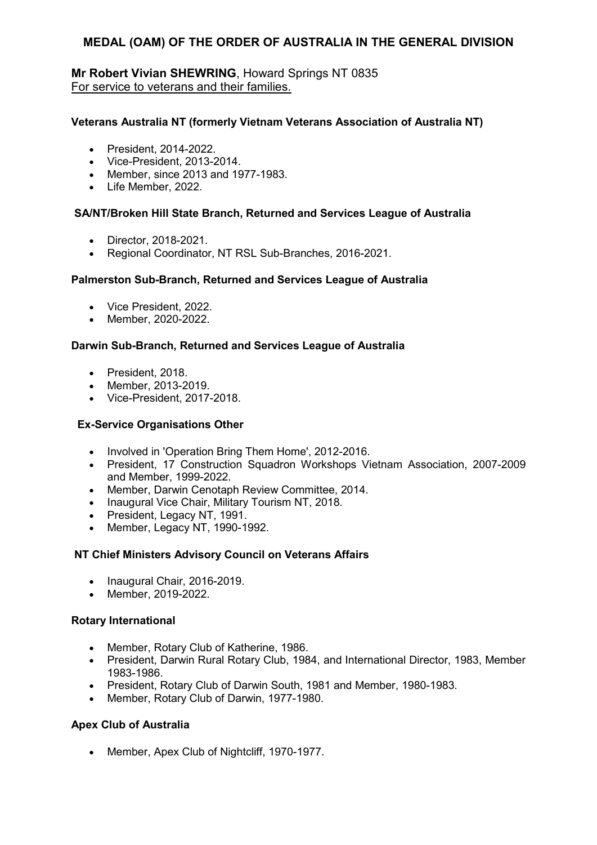## **Mr Robert Vivian SHEWRING**, Howard Springs NT 0835 For service to veterans and their families.

### **Veterans Australia NT (formerly Vietnam Veterans Association of Australia NT)**

- President, 2014-2022.
- Vice-President, 2013-2014.
- Member, since 2013 and 1977-1983.
- Life Member, 2022.

### **SA/NT/Broken Hill State Branch, Returned and Services League of Australia**

- Director, 2018-2021.
- Regional Coordinator, NT RSL Sub-Branches, 2016-2021.

### **Palmerston Sub-Branch, Returned and Services League of Australia**

- Vice President, 2022.
- Member, 2020-2022.

## **Darwin Sub-Branch, Returned and Services League of Australia**

- President, 2018.
- Member, 2013-2019.
- Vice-President, 2017-2018.

### **Ex-Service Organisations Other**

- Involved in 'Operation Bring Them Home', 2012-2016.
- President, 17 Construction Squadron Workshops Vietnam Association, 2007-2009 and Member, 1999-2022.
- Member, Darwin Cenotaph Review Committee, 2014.
- Inaugural Vice Chair, Military Tourism NT, 2018.
- President, Legacy NT, 1991.
- Member, Legacy NT, 1990-1992.

### **NT Chief Ministers Advisory Council on Veterans Affairs**

- Inaugural Chair, 2016-2019.
- Member, 2019-2022.

### **Rotary International**

- Member, Rotary Club of Katherine, 1986.
- President, Darwin Rural Rotary Club, 1984, and International Director, 1983, Member 1983-1986.
- President, Rotary Club of Darwin South, 1981 and Member, 1980-1983.
- Member, Rotary Club of Darwin, 1977-1980.

## **Apex Club of Australia**

• Member, Apex Club of Nightcliff, 1970-1977.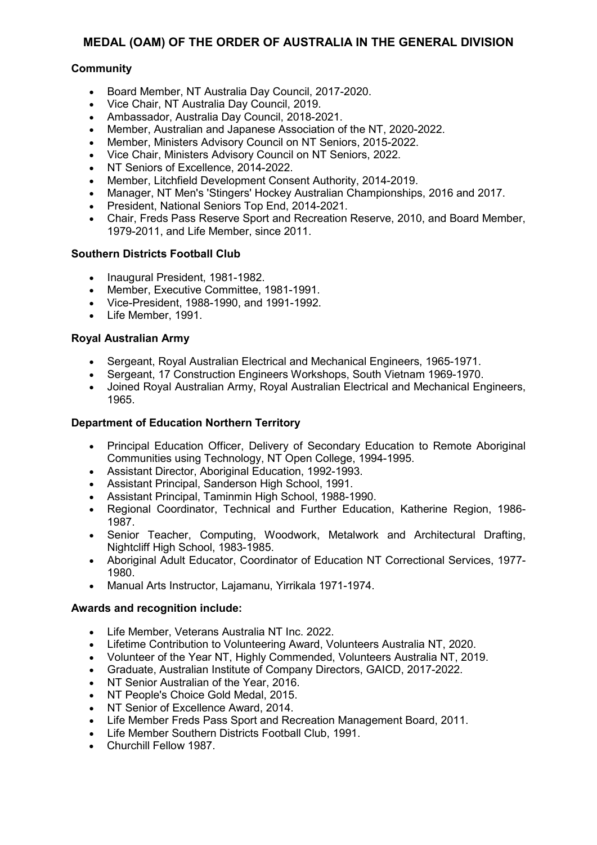## **Community**

- Board Member, NT Australia Day Council, 2017-2020.
- Vice Chair, NT Australia Day Council, 2019.
- Ambassador, Australia Day Council, 2018-2021.
- Member, Australian and Japanese Association of the NT, 2020-2022.
- Member, Ministers Advisory Council on NT Seniors, 2015-2022.
- Vice Chair, Ministers Advisory Council on NT Seniors, 2022.
- NT Seniors of Excellence, 2014-2022.
- Member, Litchfield Development Consent Authority, 2014-2019.
- Manager, NT Men's 'Stingers' Hockey Australian Championships, 2016 and 2017.
- President, National Seniors Top End, 2014-2021.
- Chair, Freds Pass Reserve Sport and Recreation Reserve, 2010, and Board Member, 1979-2011, and Life Member, since 2011.

### **Southern Districts Football Club**

- Inaugural President, 1981-1982.
- Member, Executive Committee, 1981-1991.
- Vice-President, 1988-1990, and 1991-1992.
- Life Member, 1991.

## **Royal Australian Army**

- Sergeant, Royal Australian Electrical and Mechanical Engineers, 1965-1971.
- Sergeant, 17 Construction Engineers Workshops, South Vietnam 1969-1970.
- Joined Royal Australian Army, Royal Australian Electrical and Mechanical Engineers, 1965.

### **Department of Education Northern Territory**

- Principal Education Officer, Delivery of Secondary Education to Remote Aboriginal Communities using Technology, NT Open College, 1994-1995.
- Assistant Director, Aboriginal Education, 1992-1993.
- Assistant Principal, Sanderson High School, 1991.
- Assistant Principal, Taminmin High School, 1988-1990.
- Regional Coordinator, Technical and Further Education, Katherine Region, 1986- 1987.
- Senior Teacher, Computing, Woodwork, Metalwork and Architectural Drafting, Nightcliff High School, 1983-1985.
- Aboriginal Adult Educator, Coordinator of Education NT Correctional Services, 1977- 1980.
- Manual Arts Instructor, Lajamanu, Yirrikala 1971-1974.

- Life Member, Veterans Australia NT Inc. 2022.
- Lifetime Contribution to Volunteering Award, Volunteers Australia NT, 2020.
- Volunteer of the Year NT, Highly Commended, Volunteers Australia NT, 2019.
- Graduate, Australian Institute of Company Directors, GAICD, 2017-2022.
- NT Senior Australian of the Year, 2016.
- NT People's Choice Gold Medal, 2015.
- NT Senior of Excellence Award, 2014.
- Life Member Freds Pass Sport and Recreation Management Board, 2011.
- Life Member Southern Districts Football Club, 1991.
- Churchill Fellow 1987.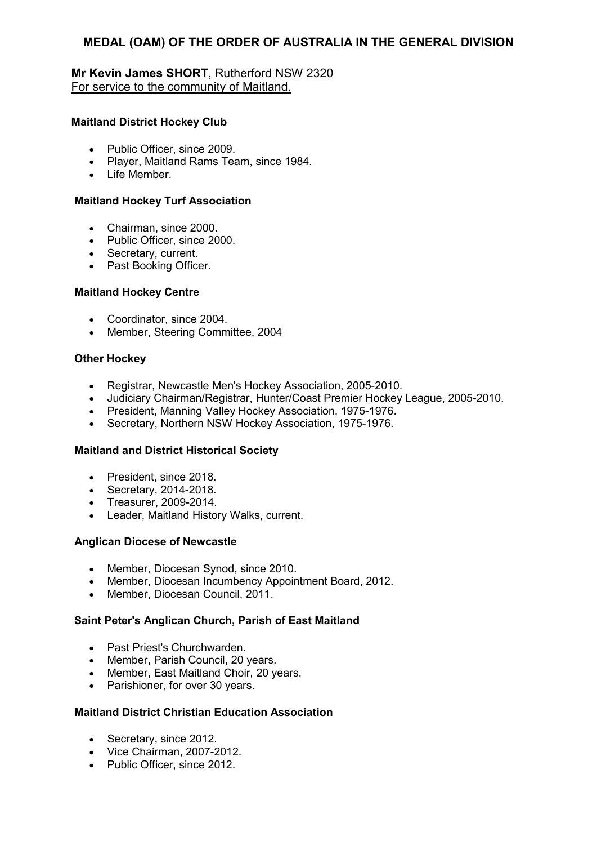## **Mr Kevin James SHORT**, Rutherford NSW 2320 For service to the community of Maitland.

#### **Maitland District Hockey Club**

- Public Officer, since 2009.
- Player, Maitland Rams Team, since 1984.
- Life Member.

#### **Maitland Hockey Turf Association**

- Chairman, since 2000.
- Public Officer, since 2000.
- Secretary, current.
- Past Booking Officer.

#### **Maitland Hockey Centre**

- Coordinator, since 2004.
- Member, Steering Committee, 2004

#### **Other Hockey**

- Registrar, Newcastle Men's Hockey Association, 2005-2010.
- Judiciary Chairman/Registrar, Hunter/Coast Premier Hockey League, 2005-2010.
- President, Manning Valley Hockey Association, 1975-1976.
- Secretary, Northern NSW Hockey Association, 1975-1976.

### **Maitland and District Historical Society**

- President, since 2018.
- Secretary, 2014-2018.
- Treasurer, 2009-2014.
- Leader, Maitland History Walks, current.

### **Anglican Diocese of Newcastle**

- Member, Diocesan Synod, since 2010.
- Member, Diocesan Incumbency Appointment Board, 2012.
- Member, Diocesan Council, 2011.

## **Saint Peter's Anglican Church, Parish of East Maitland**

- Past Priest's Churchwarden.
- Member, Parish Council, 20 years.
- Member, East Maitland Choir, 20 years.
- Parishioner, for over 30 years.

#### **Maitland District Christian Education Association**

- Secretary, since 2012.
- Vice Chairman, 2007-2012.
- Public Officer, since 2012.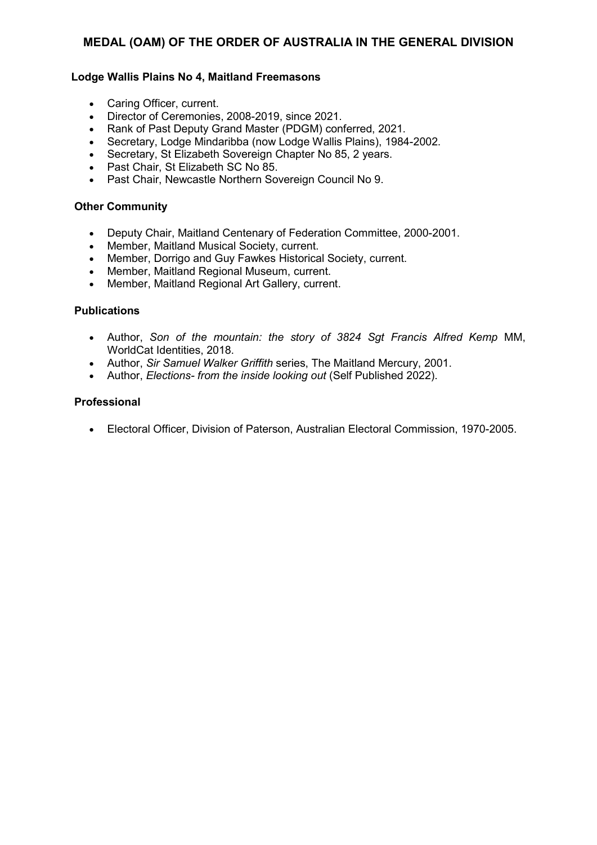#### **Lodge Wallis Plains No 4, Maitland Freemasons**

- Caring Officer, current.
- Director of Ceremonies, 2008-2019, since 2021.
- Rank of Past Deputy Grand Master (PDGM) conferred, 2021.
- Secretary, Lodge Mindaribba (now Lodge Wallis Plains), 1984-2002.
- Secretary, St Elizabeth Sovereign Chapter No 85, 2 years.
- Past Chair, St Elizabeth SC No 85.
- Past Chair, Newcastle Northern Sovereign Council No 9.

### **Other Community**

- Deputy Chair, Maitland Centenary of Federation Committee, 2000-2001.
- Member, Maitland Musical Society, current.
- Member, Dorrigo and Guy Fawkes Historical Society, current.
- Member, Maitland Regional Museum, current.
- Member, Maitland Regional Art Gallery, current.

#### **Publications**

- Author, *Son of the mountain: the story of 3824 Sgt Francis Alfred Kemp* MM, WorldCat Identities, 2018.
- Author, *Sir Samuel Walker Griffith* series, The Maitland Mercury, 2001.
- Author, *Elections- from the inside looking out* (Self Published 2022).

#### **Professional**

• Electoral Officer, Division of Paterson, Australian Electoral Commission, 1970-2005.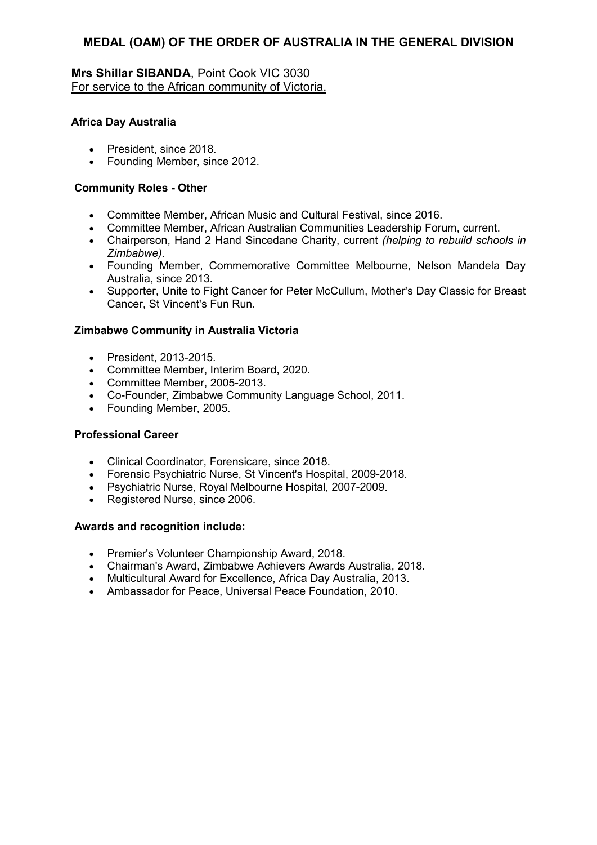## **Mrs Shillar SIBANDA**, Point Cook VIC 3030 For service to the African community of Victoria.

### **Africa Day Australia**

- President, since 2018.
- Founding Member, since 2012.

#### **Community Roles - Other**

- Committee Member, African Music and Cultural Festival, since 2016.
- Committee Member, African Australian Communities Leadership Forum, current.
- Chairperson, Hand 2 Hand Sincedane Charity, current *(helping to rebuild schools in Zimbabwe).*
- Founding Member, Commemorative Committee Melbourne, Nelson Mandela Day Australia, since 2013.
- Supporter, Unite to Fight Cancer for Peter McCullum, Mother's Day Classic for Breast Cancer, St Vincent's Fun Run.

### **Zimbabwe Community in Australia Victoria**

- President, 2013-2015.
- Committee Member, Interim Board, 2020.
- Committee Member, 2005-2013.
- Co-Founder, Zimbabwe Community Language School, 2011.
- Founding Member, 2005.

### **Professional Career**

- Clinical Coordinator, Forensicare, since 2018.
- Forensic Psychiatric Nurse, St Vincent's Hospital, 2009-2018.
- Psychiatric Nurse, Royal Melbourne Hospital, 2007-2009.
- Registered Nurse, since 2006.

- Premier's Volunteer Championship Award, 2018.
- Chairman's Award, Zimbabwe Achievers Awards Australia, 2018.
- Multicultural Award for Excellence, Africa Day Australia, 2013.
- Ambassador for Peace, Universal Peace Foundation, 2010.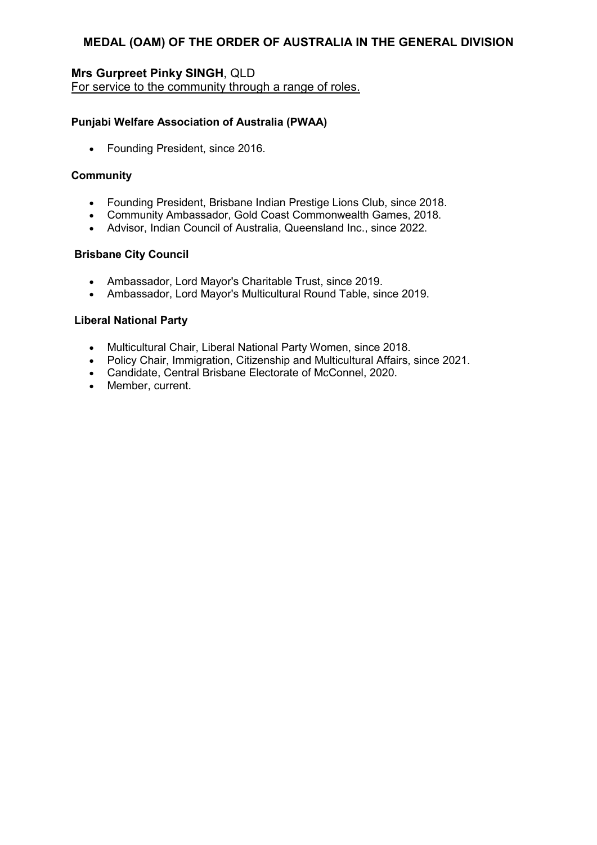# **Mrs Gurpreet Pinky SINGH**, QLD

For service to the community through a range of roles.

### **Punjabi Welfare Association of Australia (PWAA)**

• Founding President, since 2016.

### **Community**

- Founding President, Brisbane Indian Prestige Lions Club, since 2018.
- Community Ambassador, Gold Coast Commonwealth Games, 2018.
- Advisor, Indian Council of Australia, Queensland Inc., since 2022.

### **Brisbane City Council**

- Ambassador, Lord Mayor's Charitable Trust, since 2019.
- Ambassador, Lord Mayor's Multicultural Round Table, since 2019.

### **Liberal National Party**

- Multicultural Chair, Liberal National Party Women, since 2018.
- Policy Chair, Immigration, Citizenship and Multicultural Affairs, since 2021.
- Candidate, Central Brisbane Electorate of McConnel, 2020.
- Member, current.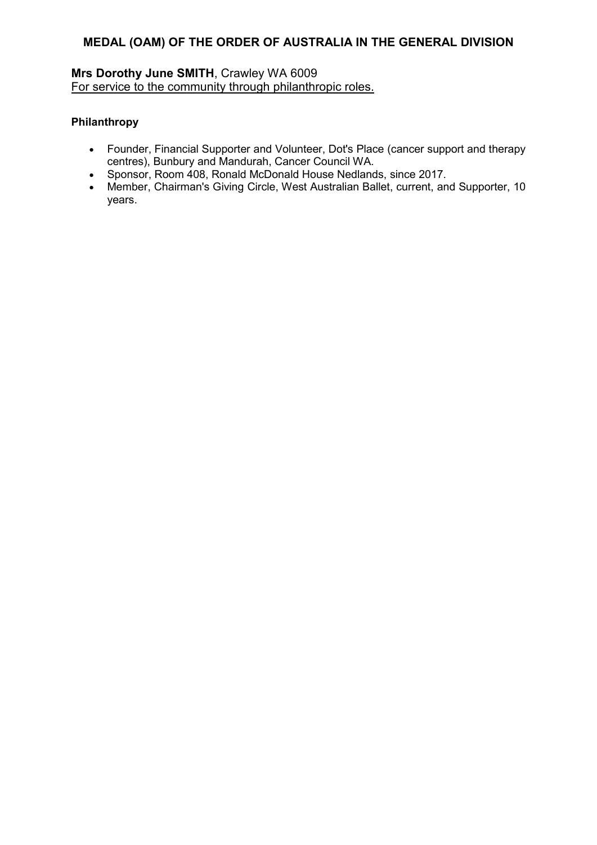## **Mrs Dorothy June SMITH**, Crawley WA 6009 For service to the community through philanthropic roles.

### **Philanthropy**

- Founder, Financial Supporter and Volunteer, Dot's Place (cancer support and therapy centres), Bunbury and Mandurah, Cancer Council WA.
- Sponsor, Room 408, Ronald McDonald House Nedlands, since 2017.
- Member, Chairman's Giving Circle, West Australian Ballet, current, and Supporter, 10 years.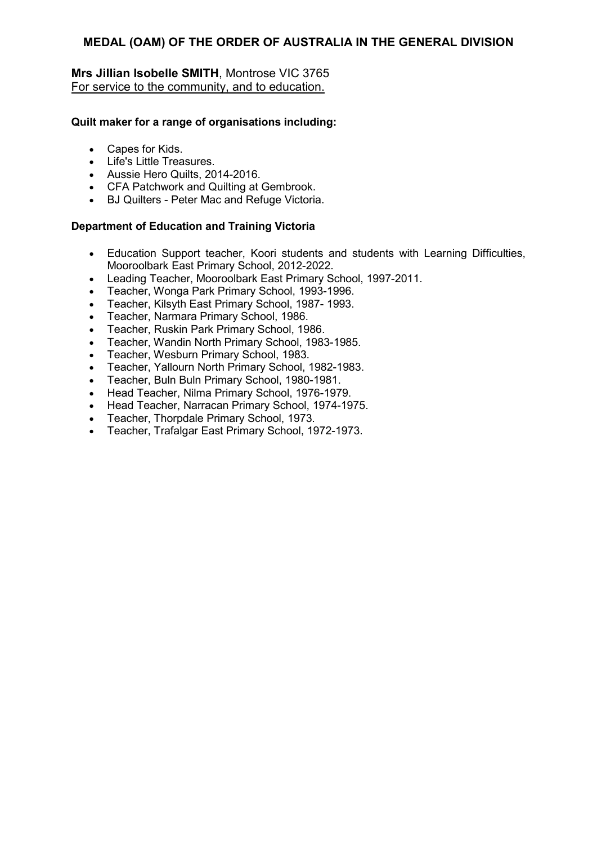## **Mrs Jillian Isobelle SMITH**, Montrose VIC 3765 For service to the community, and to education.

### **Quilt maker for a range of organisations including:**

- Capes for Kids.
- Life's Little Treasures.
- Aussie Hero Quilts, 2014-2016.
- CFA Patchwork and Quilting at Gembrook.
- BJ Quilters Peter Mac and Refuge Victoria.

### **Department of Education and Training Victoria**

- Education Support teacher, Koori students and students with Learning Difficulties, Mooroolbark East Primary School, 2012-2022.
- Leading Teacher, Mooroolbark East Primary School, 1997-2011.
- Teacher, Wonga Park Primary School, 1993-1996.
- Teacher, Kilsyth East Primary School, 1987- 1993.
- Teacher, Narmara Primary School, 1986.
- Teacher, Ruskin Park Primary School, 1986.
- Teacher, Wandin North Primary School, 1983-1985.
- Teacher, Wesburn Primary School, 1983.
- Teacher, Yallourn North Primary School, 1982-1983.
- Teacher, Buln Buln Primary School, 1980-1981.
- Head Teacher, Nilma Primary School, 1976-1979.
- Head Teacher, Narracan Primary School, 1974-1975.
- Teacher, Thorpdale Primary School, 1973.
- Teacher, Trafalgar East Primary School, 1972-1973.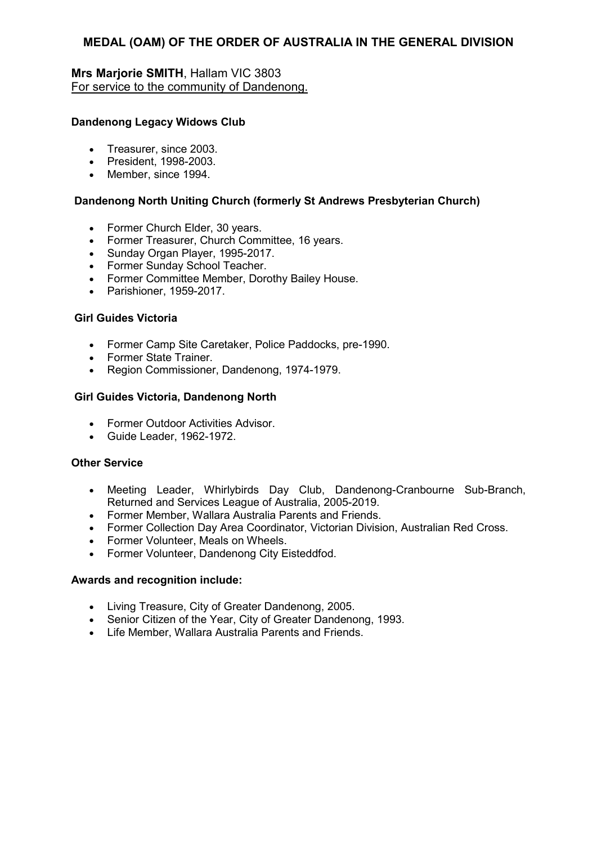## **Mrs Marjorie SMITH**, Hallam VIC 3803 For service to the community of Dandenong.

### **Dandenong Legacy Widows Club**

- Treasurer, since 2003.
- President, 1998-2003.
- Member, since 1994.

### **Dandenong North Uniting Church (formerly St Andrews Presbyterian Church)**

- Former Church Elder, 30 years.
- Former Treasurer, Church Committee, 16 years.
- Sunday Organ Player, 1995-2017.
- Former Sunday School Teacher.
- Former Committee Member, Dorothy Bailey House.
- Parishioner, 1959-2017.

### **Girl Guides Victoria**

- Former Camp Site Caretaker, Police Paddocks, pre-1990.
- Former State Trainer.
- Region Commissioner, Dandenong, 1974-1979.

## **Girl Guides Victoria, Dandenong North**

- Former Outdoor Activities Advisor.
- Guide Leader, 1962-1972.

### **Other Service**

- Meeting Leader, Whirlybirds Day Club, Dandenong-Cranbourne Sub-Branch, Returned and Services League of Australia, 2005-2019.
- Former Member, Wallara Australia Parents and Friends.
- Former Collection Day Area Coordinator, Victorian Division, Australian Red Cross.
- Former Volunteer, Meals on Wheels.
- Former Volunteer, Dandenong City Eisteddfod.

- Living Treasure, City of Greater Dandenong, 2005.
- Senior Citizen of the Year, City of Greater Dandenong, 1993.
- Life Member, Wallara Australia Parents and Friends.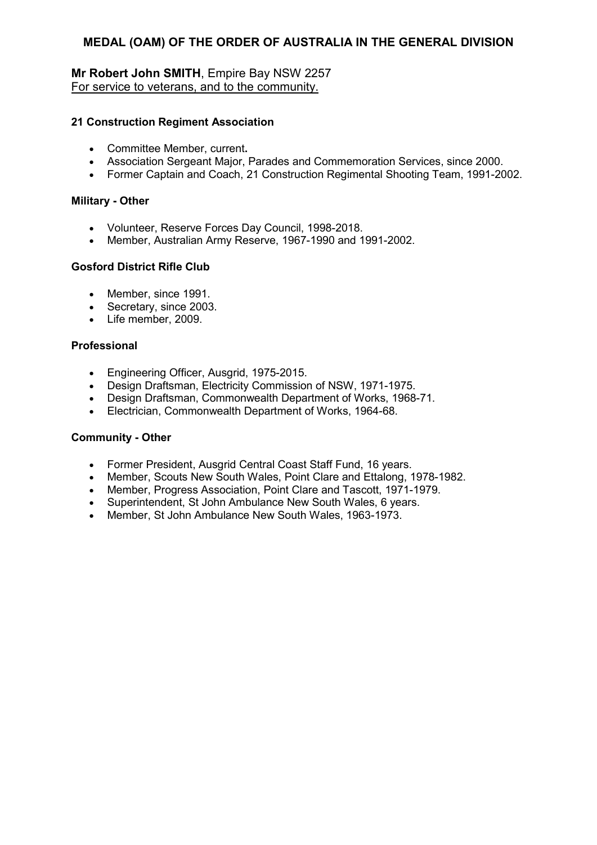## **Mr Robert John SMITH**, Empire Bay NSW 2257 For service to veterans, and to the community.

### **21 Construction Regiment Association**

- Committee Member, current**.**
- Association Sergeant Major, Parades and Commemoration Services, since 2000.
- Former Captain and Coach, 21 Construction Regimental Shooting Team, 1991-2002.

#### **Military - Other**

- Volunteer, Reserve Forces Day Council, 1998-2018.
- Member, Australian Army Reserve, 1967-1990 and 1991-2002.

### **Gosford District Rifle Club**

- Member, since 1991.
- Secretary, since 2003.
- Life member, 2009.

#### **Professional**

- Engineering Officer, Ausgrid, 1975-2015.
- Design Draftsman, Electricity Commission of NSW, 1971-1975.
- Design Draftsman, Commonwealth Department of Works, 1968-71.
- Electrician, Commonwealth Department of Works, 1964-68.

### **Community - Other**

- Former President, Ausgrid Central Coast Staff Fund, 16 years.
- Member, Scouts New South Wales, Point Clare and Ettalong, 1978-1982.
- Member, Progress Association, Point Clare and Tascott, 1971-1979.
- Superintendent, St John Ambulance New South Wales, 6 years.
- Member, St John Ambulance New South Wales, 1963-1973.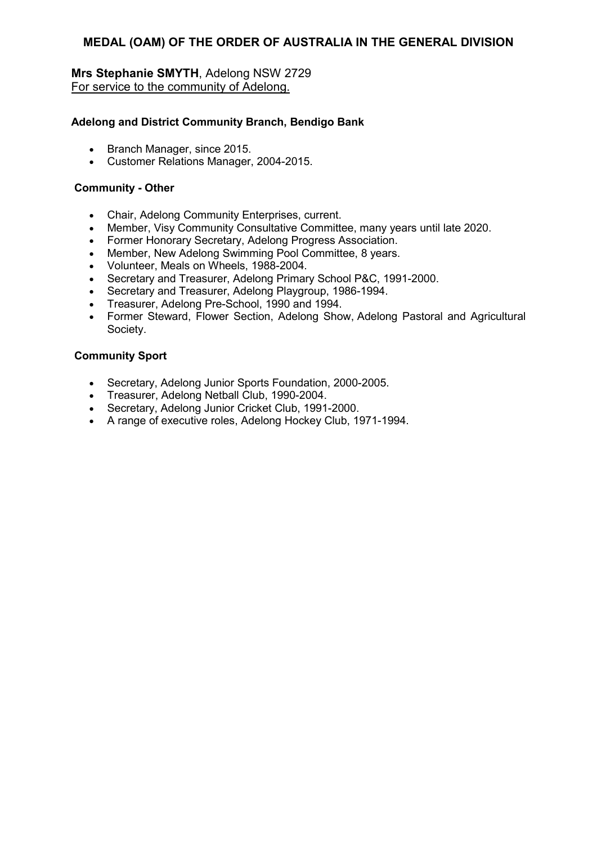## **Mrs Stephanie SMYTH**, Adelong NSW 2729 For service to the community of Adelong.

### **Adelong and District Community Branch, Bendigo Bank**

- Branch Manager, since 2015.
- Customer Relations Manager, 2004-2015.

#### **Community - Other**

- Chair, Adelong Community Enterprises, current.
- Member, Visy Community Consultative Committee, many years until late 2020.
- Former Honorary Secretary, Adelong Progress Association.
- Member, New Adelong Swimming Pool Committee, 8 years.
- Volunteer, Meals on Wheels, 1988-2004.
- Secretary and Treasurer, Adelong Primary School P&C, 1991-2000.
- Secretary and Treasurer, Adelong Playgroup, 1986-1994.
- Treasurer, Adelong Pre-School, 1990 and 1994.
- Former Steward, Flower Section, Adelong Show, Adelong Pastoral and Agricultural Society.

#### **Community Sport**

- Secretary, Adelong Junior Sports Foundation, 2000-2005.
- Treasurer, Adelong Netball Club, 1990-2004.
- Secretary, Adelong Junior Cricket Club, 1991-2000.
- A range of executive roles, Adelong Hockey Club, 1971-1994.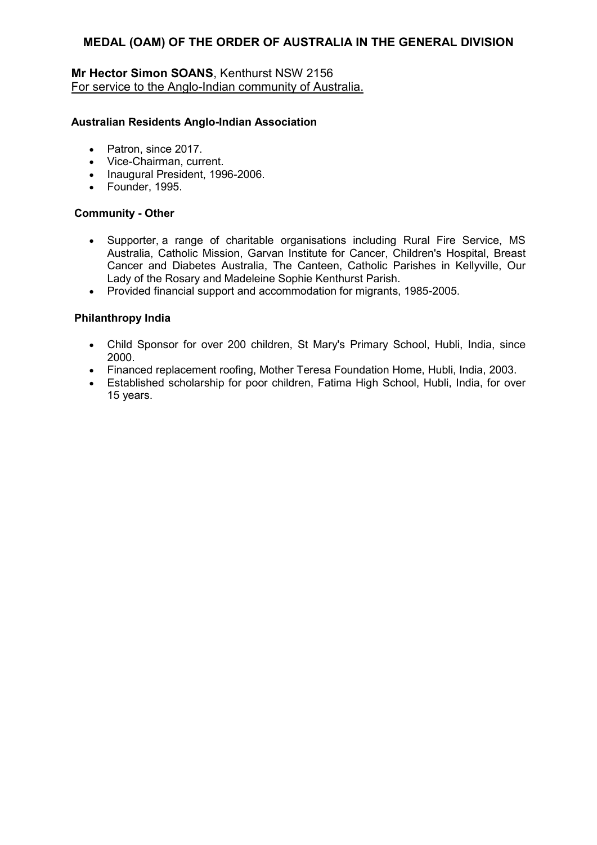## **Mr Hector Simon SOANS**, Kenthurst NSW 2156 For service to the Anglo-Indian community of Australia.

#### **Australian Residents Anglo-Indian Association**

- Patron, since 2017.
- Vice-Chairman, current.
- Inaugural President, 1996-2006.
- Founder, 1995.

#### **Community - Other**

- Supporter, a range of charitable organisations including Rural Fire Service, MS Australia, Catholic Mission, Garvan Institute for Cancer, Children's Hospital, Breast Cancer and Diabetes Australia, The Canteen, Catholic Parishes in Kellyville, Our Lady of the Rosary and Madeleine Sophie Kenthurst Parish.
- Provided financial support and accommodation for migrants, 1985-2005.

### **Philanthropy India**

- Child Sponsor for over 200 children, St Mary's Primary School, Hubli, India, since 2000.
- Financed replacement roofing, Mother Teresa Foundation Home, Hubli, India, 2003.
- Established scholarship for poor children, Fatima High School, Hubli, India, for over 15 years.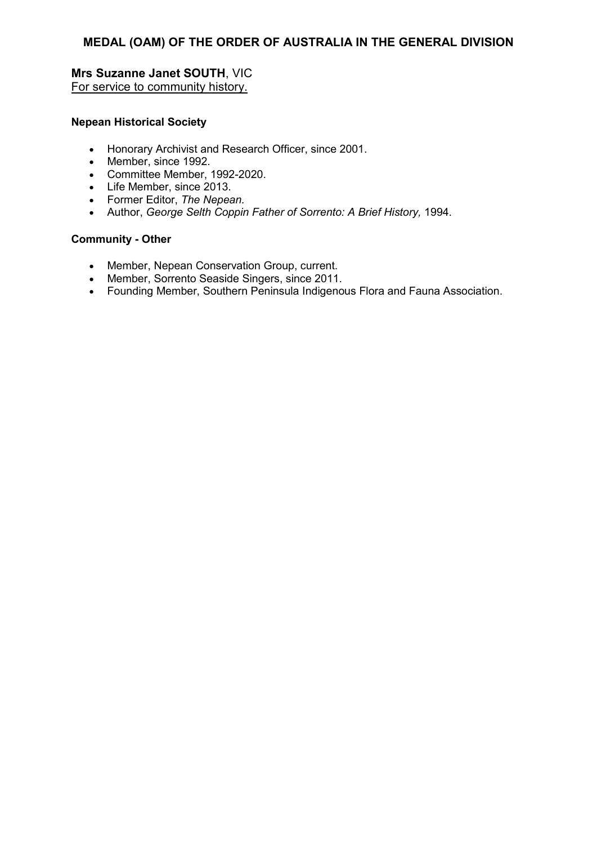### **Mrs Suzanne Janet SOUTH**, VIC For service to community history.

#### **Nepean Historical Society**

- Honorary Archivist and Research Officer, since 2001.
- Member, since 1992.
- Committee Member, 1992-2020.
- Life Member, since 2013.
- Former Editor, *The Nepean.*
- Author, *George Selth Coppin Father of Sorrento: A Brief History,* 1994.

#### **Community - Other**

- Member, Nepean Conservation Group, current.
- Member, Sorrento Seaside Singers, since 2011.
- Founding Member, Southern Peninsula Indigenous Flora and Fauna Association.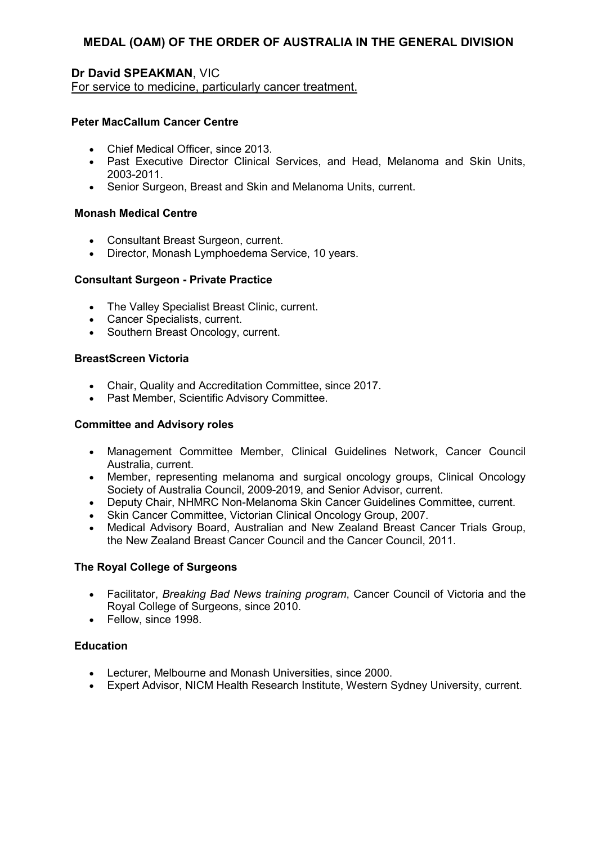## **Dr David SPEAKMAN**, VIC

For service to medicine, particularly cancer treatment.

## **Peter MacCallum Cancer Centre**

- Chief Medical Officer, since 2013.
- Past Executive Director Clinical Services, and Head, Melanoma and Skin Units, 2003-2011.
- Senior Surgeon, Breast and Skin and Melanoma Units, current.

### **Monash Medical Centre**

- Consultant Breast Surgeon, current.
- Director, Monash Lymphoedema Service, 10 years.

## **Consultant Surgeon - Private Practice**

- The Valley Specialist Breast Clinic, current.
- Cancer Specialists, current.
- Southern Breast Oncology, current.

### **BreastScreen Victoria**

- Chair, Quality and Accreditation Committee, since 2017.
- Past Member, Scientific Advisory Committee.

### **Committee and Advisory roles**

- Management Committee Member, Clinical Guidelines Network, Cancer Council Australia, current.
- Member, representing melanoma and surgical oncology groups, Clinical Oncology Society of Australia Council, 2009-2019, and Senior Advisor, current.
- Deputy Chair, NHMRC Non-Melanoma Skin Cancer Guidelines Committee, current.
- Skin Cancer Committee, Victorian Clinical Oncology Group, 2007.
- Medical Advisory Board, Australian and New Zealand Breast Cancer Trials Group, the New Zealand Breast Cancer Council and the Cancer Council, 2011.

### **The Royal College of Surgeons**

- Facilitator, *Breaking Bad News training program*, Cancer Council of Victoria and the Royal College of Surgeons, since 2010.
- Fellow, since 1998.

## **Education**

- Lecturer, Melbourne and Monash Universities, since 2000.
- Expert Advisor, NICM Health Research Institute, Western Sydney University, current.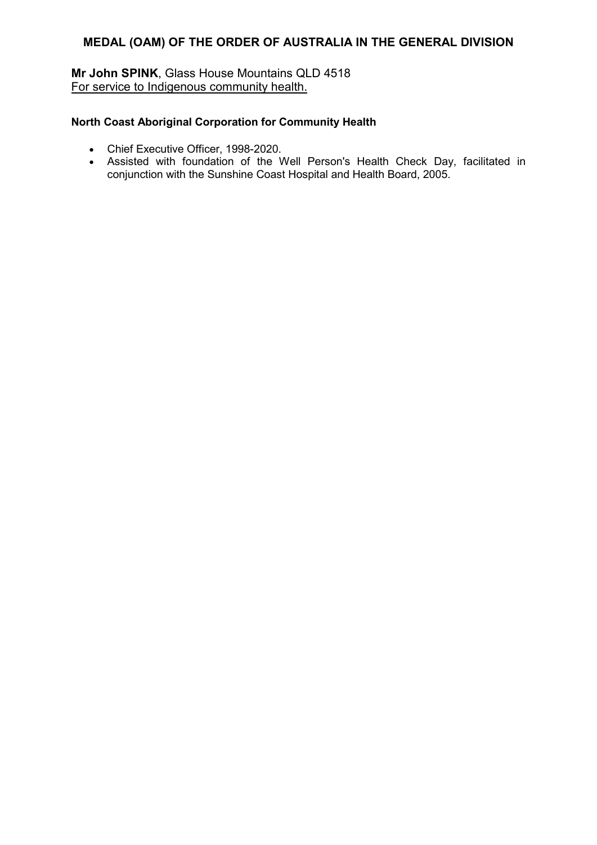## **Mr John SPINK**, Glass House Mountains QLD 4518 For service to Indigenous community health.

## **North Coast Aboriginal Corporation for Community Health**

- Chief Executive Officer, 1998-2020.
- Assisted with foundation of the Well Person's Health Check Day, facilitated in conjunction with the Sunshine Coast Hospital and Health Board, 2005.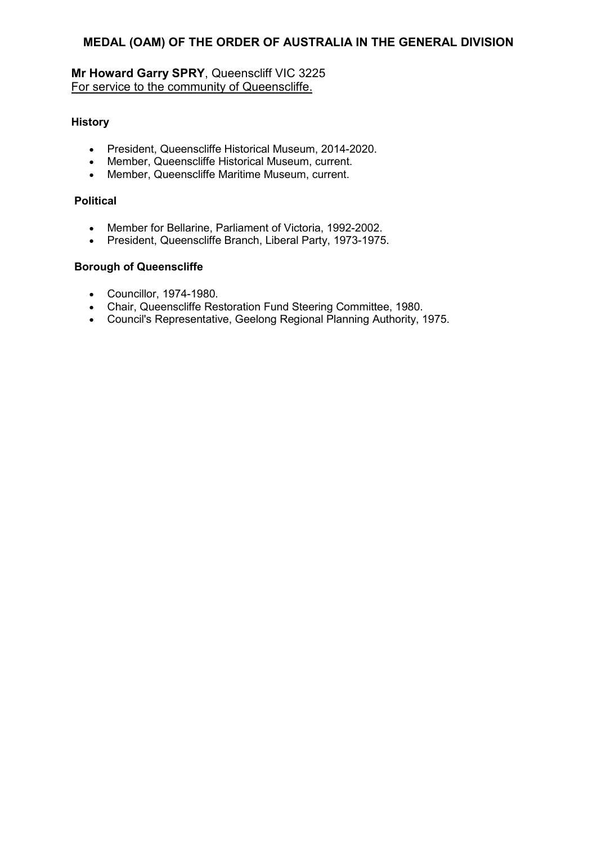# **Mr Howard Garry SPRY**, Queenscliff VIC 3225 For service to the community of Queenscliffe.

## **History**

- President, Queenscliffe Historical Museum, 2014-2020.
- Member, Queenscliffe Historical Museum, current.
- Member, Queenscliffe Maritime Museum, current.

### **Political**

- Member for Bellarine, Parliament of Victoria, 1992-2002.
- President, Queenscliffe Branch, Liberal Party, 1973-1975.

## **Borough of Queenscliffe**

- Councillor, 1974-1980.
- Chair, Queenscliffe Restoration Fund Steering Committee, 1980.
- Council's Representative, Geelong Regional Planning Authority, 1975.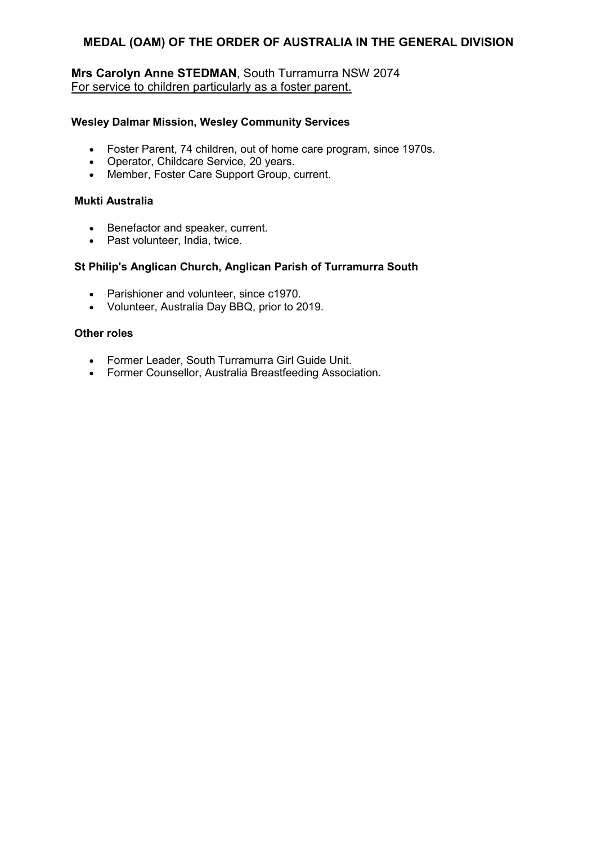## **Mrs Carolyn Anne STEDMAN**, South Turramurra NSW 2074 For service to children particularly as a foster parent.

### **WesIey Dalmar Mission, Wesley Community Services**

- Foster Parent, 74 children, out of home care program, since 1970s.
- Operator, Childcare Service, 20 years.
- Member, Foster Care Support Group, current.

### **Mukti Australia**

- Benefactor and speaker, current.
- Past volunteer, India, twice.

### **St Philip's Anglican Church, Anglican Parish of Turramurra South**

- Parishioner and volunteer, since c1970.
- Volunteer, Australia Day BBQ, prior to 2019.

### **Other roles**

- Former Leader, South Turramurra Girl Guide Unit.
- Former Counsellor, Australia Breastfeeding Association.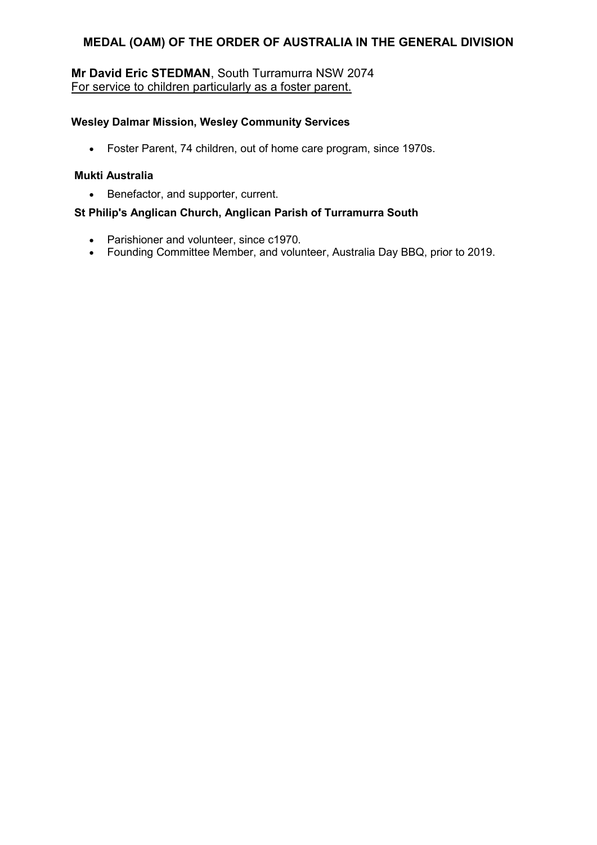# **Mr David Eric STEDMAN**, South Turramurra NSW 2074 For service to children particularly as a foster parent.

### **WesIey Dalmar Mission, Wesley Community Services**

• Foster Parent, 74 children, out of home care program, since 1970s.

### **Mukti Australia**

• Benefactor, and supporter, current.

## **St Philip's Anglican Church, Anglican Parish of Turramurra South**

- Parishioner and volunteer, since c1970.
- Founding Committee Member, and volunteer, Australia Day BBQ, prior to 2019.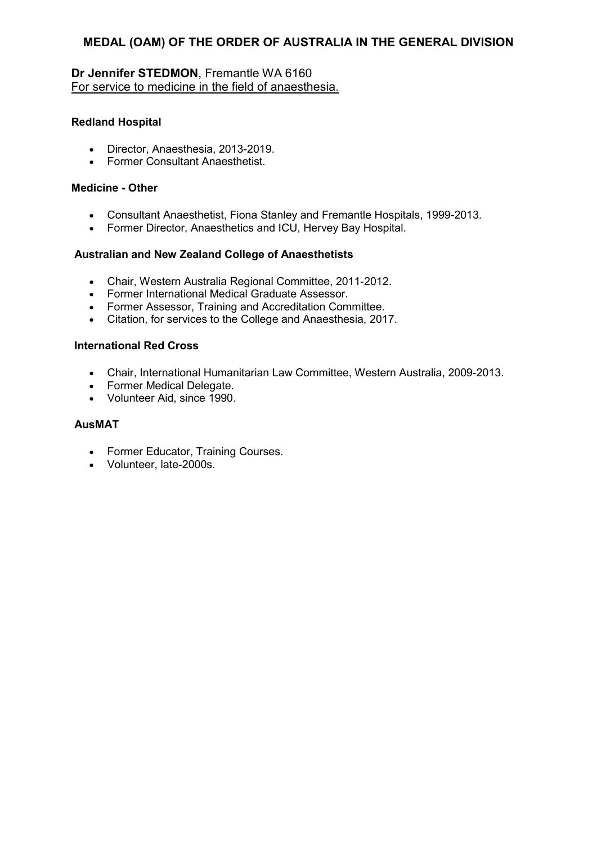## **Dr Jennifer STEDMON**, Fremantle WA 6160 For service to medicine in the field of anaesthesia.

## **Redland Hospital**

- Director, Anaesthesia, 2013-2019.
- Former Consultant Anaesthetist.

### **Medicine - Other**

- Consultant Anaesthetist, Fiona Stanley and Fremantle Hospitals, 1999-2013.
- Former Director, Anaesthetics and ICU, Hervey Bay Hospital.

## **Australian and New Zealand College of Anaesthetists**

- Chair, Western Australia Regional Committee, 2011-2012.
- Former International Medical Graduate Assessor.
- Former Assessor, Training and Accreditation Committee.
- Citation, for services to the College and Anaesthesia, 2017.

## **International Red Cross**

- Chair, International Humanitarian Law Committee, Western Australia, 2009-2013.
- Former Medical Delegate.
- Volunteer Aid, since 1990.

## **AusMAT**

- Former Educator, Training Courses.
- Volunteer, late-2000s.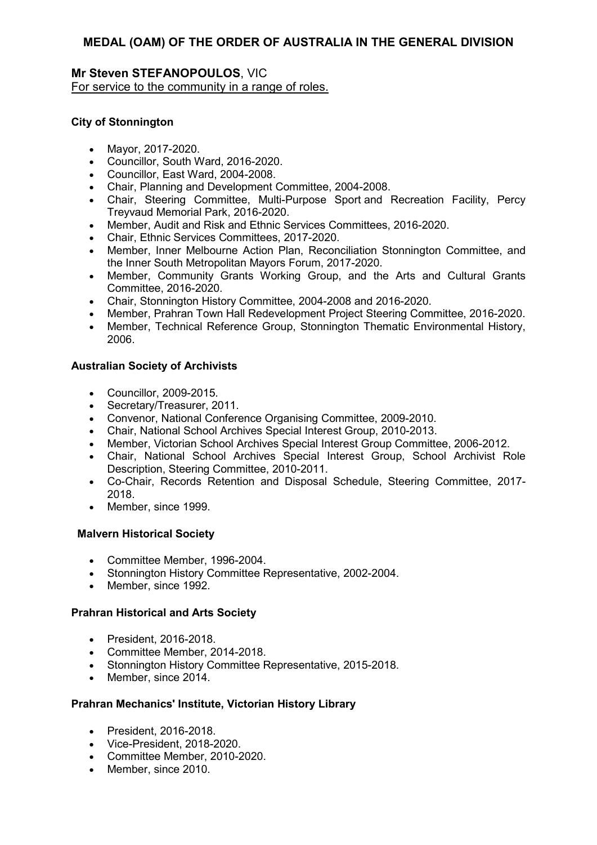## **Mr Steven STEFANOPOULOS**, VIC For service to the community in a range of roles.

### **City of Stonnington**

- Mayor, 2017-2020.
- Councillor, South Ward, 2016-2020.
- Councillor, East Ward, 2004-2008.
- Chair, Planning and Development Committee, 2004-2008.
- Chair, Steering Committee, Multi-Purpose Sport and Recreation Facility, Percy Treyvaud Memorial Park, 2016-2020.
- Member, Audit and Risk and Ethnic Services Committees, 2016-2020.
- Chair, Ethnic Services Committees, 2017-2020.
- Member, Inner Melbourne Action Plan, Reconciliation Stonnington Committee, and the Inner South Metropolitan Mayors Forum, 2017-2020.
- Member, Community Grants Working Group, and the Arts and Cultural Grants Committee, 2016-2020.
- Chair, Stonnington History Committee, 2004-2008 and 2016-2020.
- Member, Prahran Town Hall Redevelopment Project Steering Committee, 2016-2020.
- Member, Technical Reference Group, Stonnington Thematic Environmental History, 2006.

## **Australian Society of Archivists**

- Councillor, 2009-2015.
- Secretary/Treasurer, 2011.
- Convenor, National Conference Organising Committee, 2009-2010.
- Chair, National School Archives Special Interest Group, 2010-2013.
- Member, Victorian School Archives Special Interest Group Committee, 2006-2012.
- Chair, National School Archives Special Interest Group, School Archivist Role Description, Steering Committee, 2010-2011.
- Co-Chair, Records Retention and Disposal Schedule, Steering Committee, 2017- 2018.
- Member, since 1999.

### **Malvern Historical Society**

- Committee Member, 1996-2004.
- Stonnington History Committee Representative, 2002-2004.
- Member, since 1992.

### **Prahran Historical and Arts Society**

- President, 2016-2018.
- Committee Member, 2014-2018.
- Stonnington History Committee Representative, 2015-2018.
- Member, since 2014.

### **Prahran Mechanics' Institute, Victorian History Library**

- President, 2016-2018.
- Vice-President, 2018-2020.
- Committee Member, 2010-2020.
- Member, since 2010.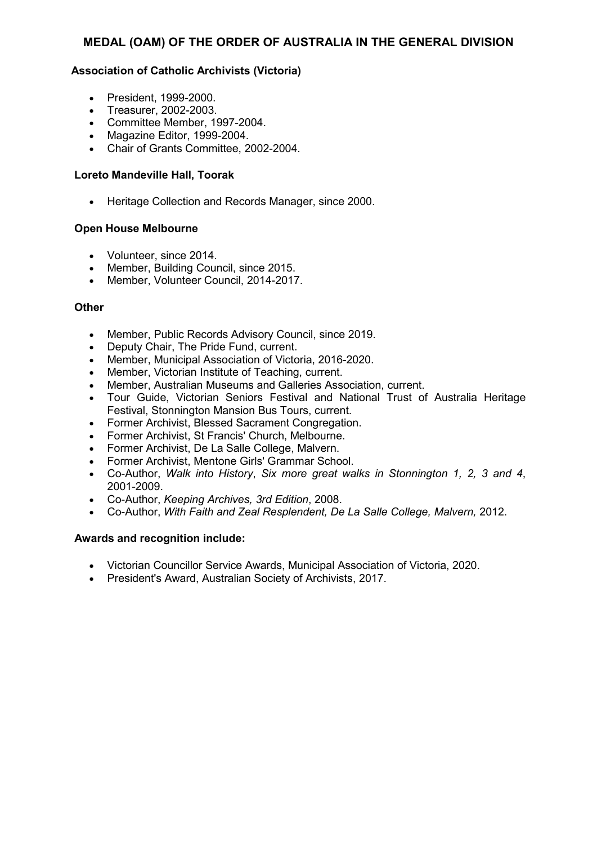### **Association of Catholic Archivists (Victoria)**

- President, 1999-2000.
- Treasurer, 2002-2003.
- Committee Member, 1997-2004.
- Magazine Editor, 1999-2004.
- Chair of Grants Committee, 2002-2004.

#### **Loreto Mandeville Hall, Toorak**

• Heritage Collection and Records Manager, since 2000.

#### **Open House Melbourne**

- Volunteer, since 2014.
- Member, Building Council, since 2015.
- Member, Volunteer Council, 2014-2017.

#### **Other**

- Member, Public Records Advisory Council, since 2019.
- Deputy Chair, The Pride Fund, current.
- Member, Municipal Association of Victoria, 2016-2020.
- Member, Victorian Institute of Teaching, current.
- Member, Australian Museums and Galleries Association, current.
- Tour Guide, Victorian Seniors Festival and National Trust of Australia Heritage Festival, Stonnington Mansion Bus Tours, current.
- Former Archivist, Blessed Sacrament Congregation.
- Former Archivist, St Francis' Church, Melbourne.
- Former Archivist, De La Salle College, Malvern.
- Former Archivist, Mentone Girls' Grammar School.
- Co-Author, *Walk into History*, *Six more great walks in Stonnington 1, 2, 3 and 4*, 2001-2009.
- Co-Author, *Keeping Archives, 3rd Edition*, 2008.
- Co-Author, *With Faith and Zeal Resplendent, De La Salle College, Malvern,* 2012.

- Victorian Councillor Service Awards, Municipal Association of Victoria, 2020.
- President's Award, Australian Society of Archivists, 2017.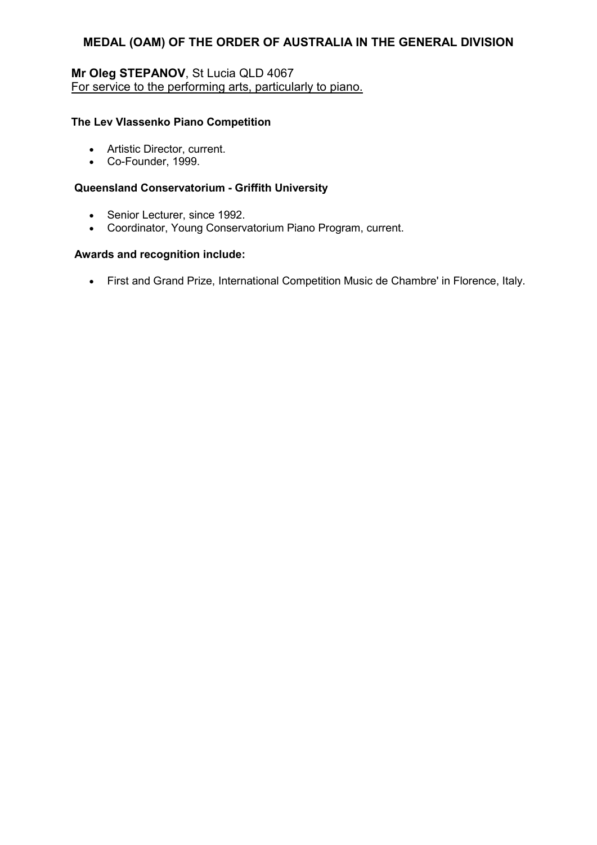# **Mr Oleg STEPANOV**, St Lucia QLD 4067 For service to the performing arts, particularly to piano.

### **The Lev Vlassenko Piano Competition**

- Artistic Director, current.
- Co-Founder, 1999.

#### **Queensland Conservatorium - Griffith University**

- Senior Lecturer, since 1992.
- Coordinator, Young Conservatorium Piano Program, current.

#### **Awards and recognition include:**

• First and Grand Prize, International Competition Music de Chambre' in Florence, Italy.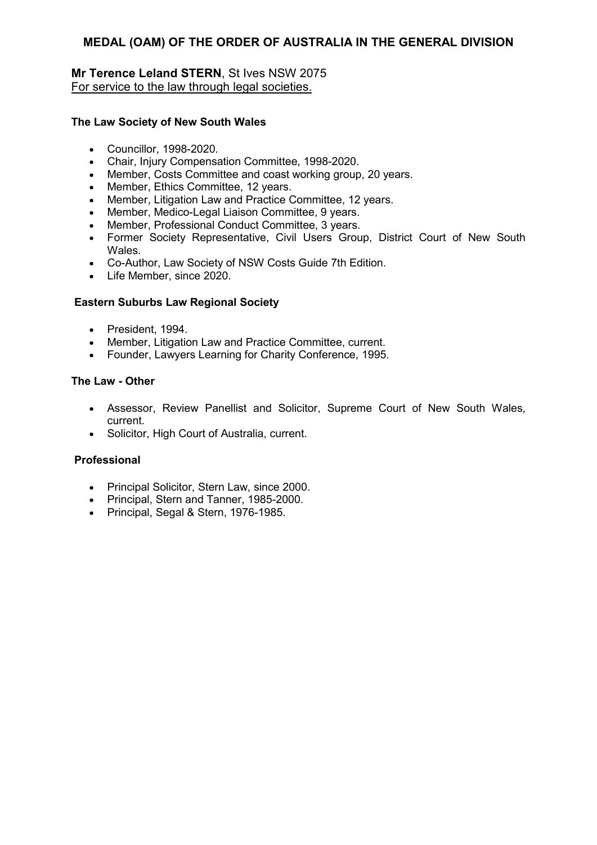## **Mr Terence Leland STERN**, St Ives NSW 2075 For service to the law through legal societies.

### **The Law Society of New South Wales**

- Councillor, 1998-2020.
- Chair, Injury Compensation Committee, 1998-2020.
- Member, Costs Committee and coast working group, 20 years.
- Member, Ethics Committee, 12 years.
- Member, Litigation Law and Practice Committee, 12 years.
- Member, Medico-Legal Liaison Committee, 9 years.
- Member, Professional Conduct Committee, 3 years.
- Former Society Representative, Civil Users Group, District Court of New South Wales.
- Co-Author, Law Society of NSW Costs Guide 7th Edition.
- Life Member, since 2020.

### **Eastern Suburbs Law Regional Society**

- President, 1994.
- Member, Litigation Law and Practice Committee, current.
- Founder, Lawyers Learning for Charity Conference, 1995.

#### **The Law - Other**

- Assessor, Review Panellist and Solicitor, Supreme Court of New South Wales, current.
- Solicitor, High Court of Australia, current.

#### **Professional**

- Principal Solicitor, Stern Law, since 2000.
- Principal, Stern and Tanner, 1985-2000.
- Principal, Segal & Stern, 1976-1985.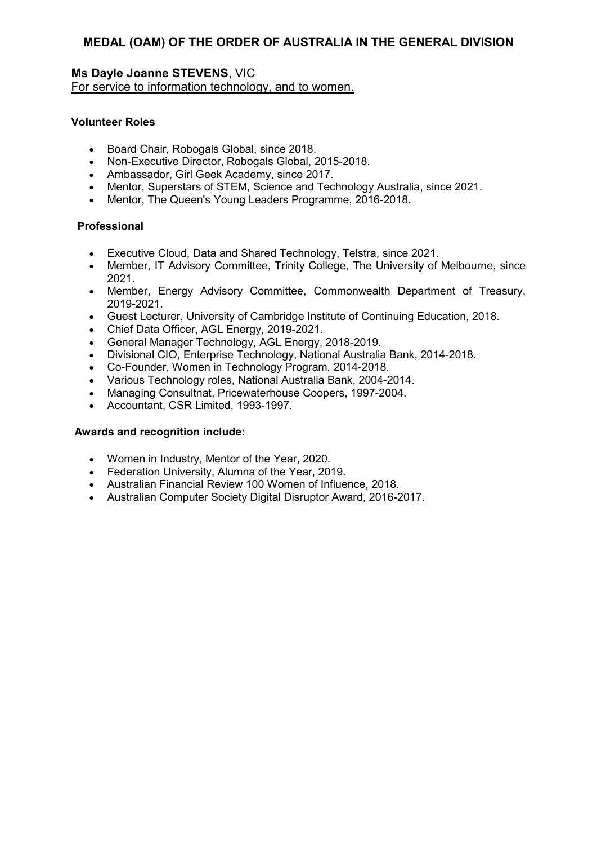# **Ms Dayle Joanne STEVENS**, VIC

For service to information technology, and to women.

### **Volunteer Roles**

- Board Chair, Robogals Global, since 2018.
- Non-Executive Director, Robogals Global, 2015-2018.
- Ambassador, Girl Geek Academy, since 2017.
- Mentor, Superstars of STEM, Science and Technology Australia, since 2021.
- Mentor, The Queen's Young Leaders Programme, 2016-2018.

## **Professional**

- Executive Cloud, Data and Shared Technology, Telstra, since 2021.
- Member, IT Advisory Committee, Trinity College, The University of Melbourne, since 2021.
- Member, Energy Advisory Committee, Commonwealth Department of Treasury, 2019-2021.
- Guest Lecturer, University of Cambridge Institute of Continuing Education, 2018.
- Chief Data Officer, AGL Energy, 2019-2021.
- General Manager Technology, AGL Energy, 2018-2019.
- Divisional CIO, Enterprise Technology, National Australia Bank, 2014-2018.
- Co-Founder, Women in Technology Program, 2014-2018.
- Various Technology roles, National Australia Bank, 2004-2014.
- Managing Consultnat, Pricewaterhouse Coopers, 1997-2004.
- Accountant, CSR Limited, 1993-1997.

- Women in Industry, Mentor of the Year, 2020.
- Federation University, Alumna of the Year, 2019.
- Australian Financial Review 100 Women of Influence, 2018.
- Australian Computer Society Digital Disruptor Award, 2016-2017.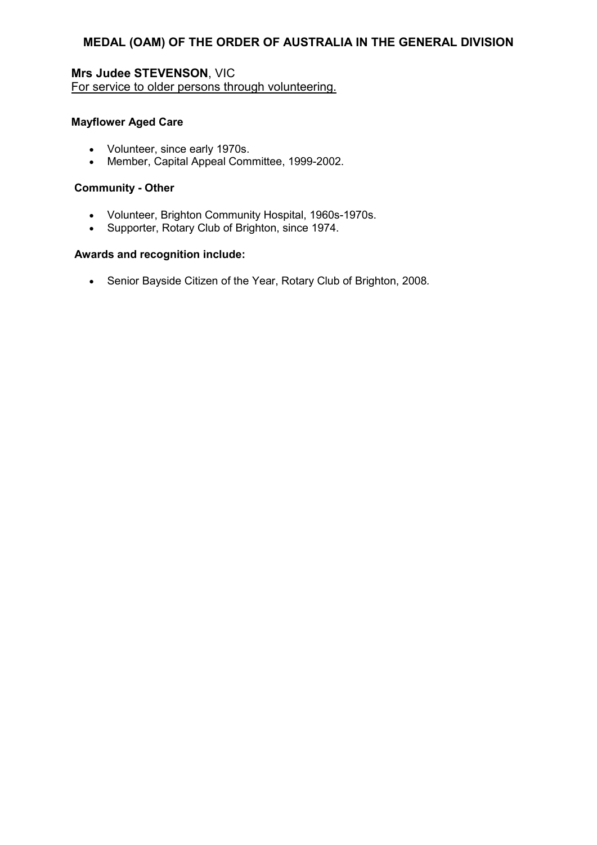**Mrs Judee STEVENSON**, VIC For service to older persons through volunteering.

### **Mayflower Aged Care**

- Volunteer, since early 1970s.
- Member, Capital Appeal Committee, 1999-2002.

### **Community - Other**

- Volunteer, Brighton Community Hospital, 1960s-1970s.
- Supporter, Rotary Club of Brighton, since 1974.

### **Awards and recognition include:**

• Senior Bayside Citizen of the Year, Rotary Club of Brighton, 2008*.*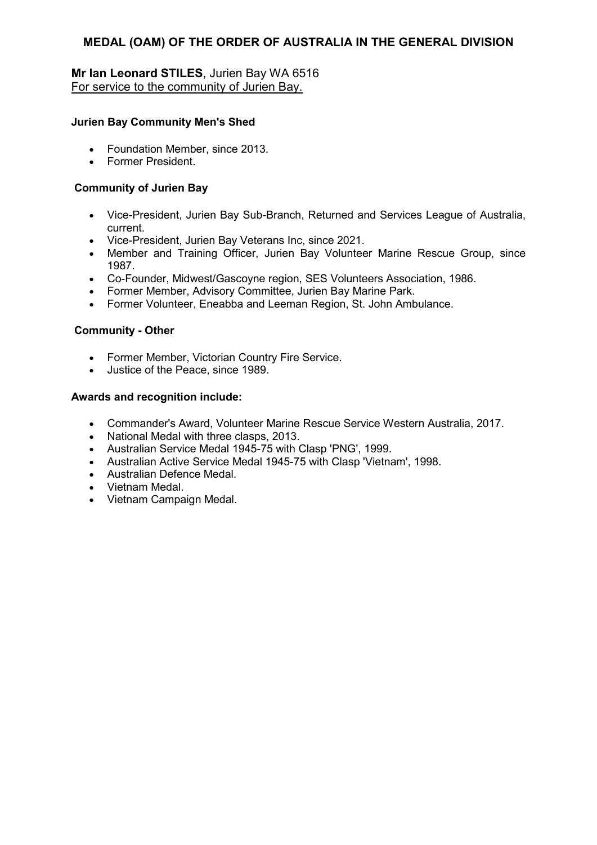## **Mr Ian Leonard STILES**, Jurien Bay WA 6516 For service to the community of Jurien Bay.

## **Jurien Bay Community Men's Shed**

- Foundation Member, since 2013.
- Former President.

## **Community of Jurien Bay**

- Vice-President, Jurien Bay Sub-Branch, Returned and Services League of Australia, current.
- Vice-President, Jurien Bay Veterans Inc, since 2021.
- Member and Training Officer, Jurien Bay Volunteer Marine Rescue Group, since 1987.
- Co-Founder, Midwest/Gascoyne region, SES Volunteers Association, 1986.
- Former Member, Advisory Committee, Jurien Bay Marine Park.
- Former Volunteer, Eneabba and Leeman Region, St. John Ambulance.

## **Community - Other**

- Former Member, Victorian Country Fire Service.
- Justice of the Peace, since 1989.

- Commander's Award, Volunteer Marine Rescue Service Western Australia, 2017.
- National Medal with three clasps, 2013.
- Australian Service Medal 1945-75 with Clasp 'PNG', 1999.
- Australian Active Service Medal 1945-75 with Clasp 'Vietnam', 1998.
- Australian Defence Medal.
- Vietnam Medal.
- Vietnam Campaign Medal.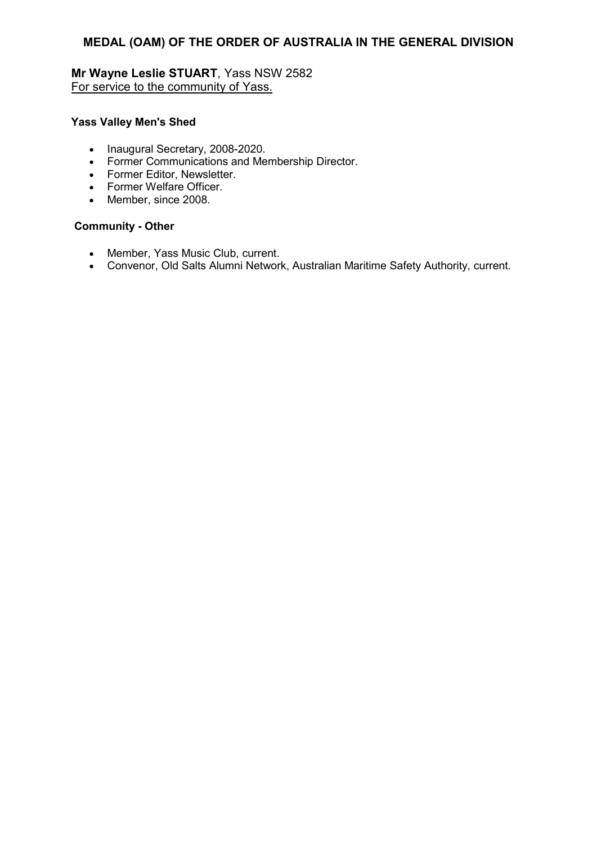# **Mr Wayne Leslie STUART**, Yass NSW 2582 For service to the community of Yass.

### **Yass Valley Men's Shed**

- Inaugural Secretary, 2008-2020.
- Former Communications and Membership Director.
- Former Editor, Newsletter.
- Former Welfare Officer.
- Member, since 2008.

## **Community - Other**

- Member, Yass Music Club, current.
- Convenor, Old Salts Alumni Network, Australian Maritime Safety Authority, current.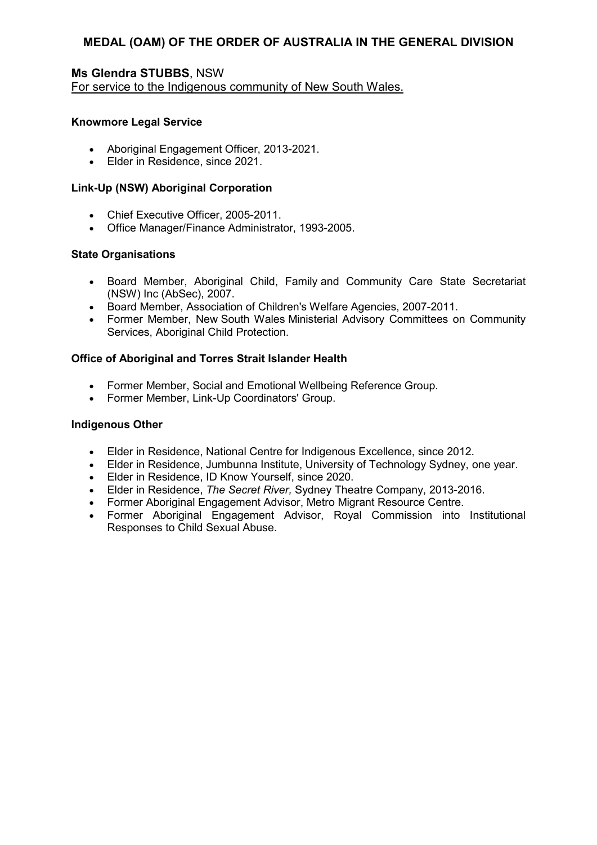# **Ms Glendra STUBBS**, NSW

For service to the Indigenous community of New South Wales.

#### **Knowmore Legal Service**

- Aboriginal Engagement Officer, 2013-2021.
- Elder in Residence, since 2021.

#### **Link-Up (NSW) Aboriginal Corporation**

- Chief Executive Officer, 2005-2011.
- Office Manager/Finance Administrator, 1993-2005.

#### **State Organisations**

- Board Member, Aboriginal Child, Family and Community Care State Secretariat (NSW) Inc (AbSec), 2007.
- Board Member, Association of Children's Welfare Agencies, 2007-2011.
- Former Member, New South Wales Ministerial Advisory Committees on Community Services, Aboriginal Child Protection.

# **Office of Aboriginal and Torres Strait Islander Health**

- Former Member, Social and Emotional Wellbeing Reference Group.
- Former Member, Link-Up Coordinators' Group.

#### **Indigenous Other**

- Elder in Residence, National Centre for Indigenous Excellence, since 2012.
- Elder in Residence, Jumbunna Institute, University of Technology Sydney, one year.
- Elder in Residence, ID Know Yourself, since 2020.
- Elder in Residence, *The Secret River,* Sydney Theatre Company, 2013-2016.
- Former Aboriginal Engagement Advisor, Metro Migrant Resource Centre.
- Former Aboriginal Engagement Advisor, Royal Commission into Institutional Responses to Child Sexual Abuse.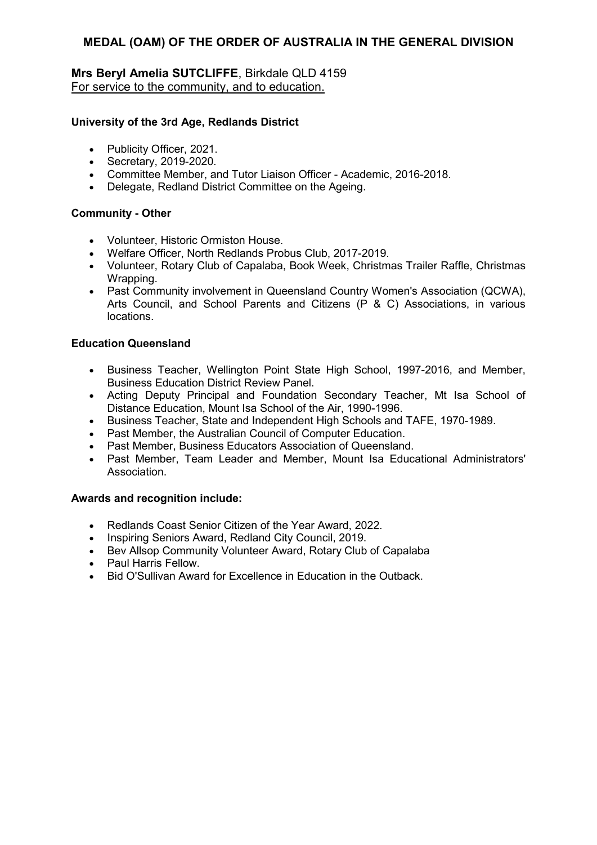# **Mrs Beryl Amelia SUTCLIFFE**, Birkdale QLD 4159 For service to the community, and to education.

# **University of the 3rd Age, Redlands District**

- Publicity Officer, 2021.
- Secretary, 2019-2020.
- Committee Member, and Tutor Liaison Officer Academic, 2016-2018.
- Delegate, Redland District Committee on the Ageing.

# **Community - Other**

- Volunteer, Historic Ormiston House.
- Welfare Officer, North Redlands Probus Club, 2017-2019.
- Volunteer, Rotary Club of Capalaba, Book Week, Christmas Trailer Raffle, Christmas Wrapping.
- Past Community involvement in Queensland Country Women's Association (QCWA), Arts Council, and School Parents and Citizens (P & C) Associations, in various locations.

# **Education Queensland**

- Business Teacher, Wellington Point State High School, 1997-2016, and Member, Business Education District Review Panel.
- Acting Deputy Principal and Foundation Secondary Teacher, Mt Isa School of Distance Education, Mount Isa School of the Air, 1990-1996.
- Business Teacher, State and Independent High Schools and TAFE, 1970-1989.
- Past Member, the Australian Council of Computer Education.
- Past Member, Business Educators Association of Queensland.
- Past Member, Team Leader and Member, Mount Isa Educational Administrators' **Association**

- Redlands Coast Senior Citizen of the Year Award, 2022.
- Inspiring Seniors Award, Redland City Council, 2019.
- Bev Allsop Community Volunteer Award, Rotary Club of Capalaba
- Paul Harris Fellow.
- Bid O'Sullivan Award for Excellence in Education in the Outback.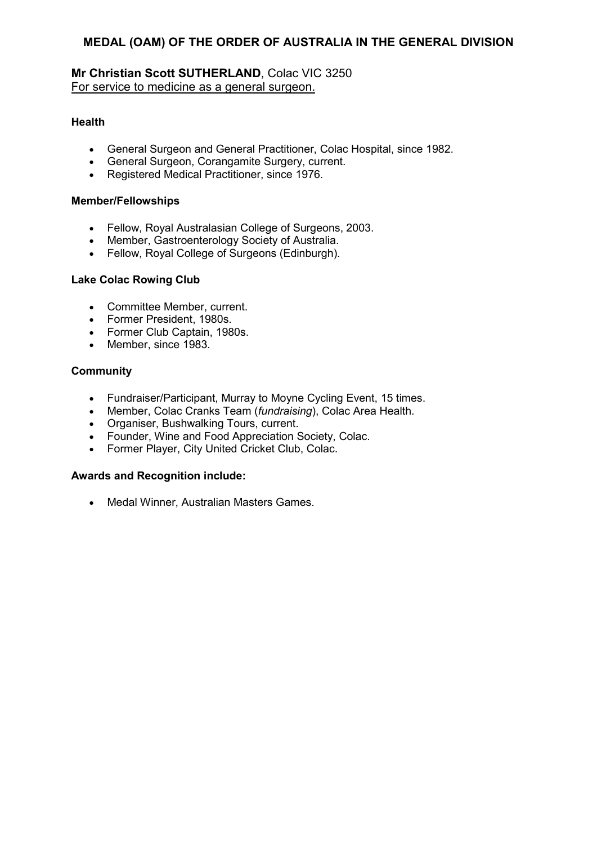# **Mr Christian Scott SUTHERLAND**, Colac VIC 3250 For service to medicine as a general surgeon.

# **Health**

- General Surgeon and General Practitioner, Colac Hospital, since 1982.
- General Surgeon, Corangamite Surgery, current.
- Registered Medical Practitioner, since 1976.

# **Member/Fellowships**

- Fellow, Royal Australasian College of Surgeons, 2003.
- Member, Gastroenterology Society of Australia.
- Fellow, Royal College of Surgeons (Edinburgh).

# **Lake Colac Rowing Club**

- Committee Member, current.
- Former President, 1980s.
- Former Club Captain, 1980s.
- Member, since 1983.

# **Community**

- Fundraiser/Participant, Murray to Moyne Cycling Event, 15 times.
- Member, Colac Cranks Team (*fundraising*), Colac Area Health.
- Organiser, Bushwalking Tours, current.
- Founder, Wine and Food Appreciation Society, Colac.
- Former Player, City United Cricket Club, Colac.

# **Awards and Recognition include:**

• Medal Winner, Australian Masters Games.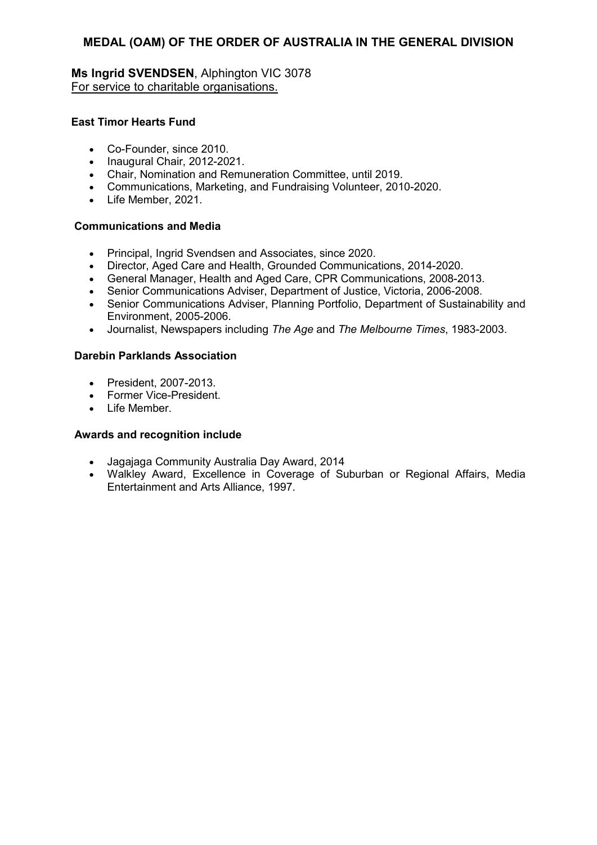**Ms Ingrid SVENDSEN**, Alphington VIC 3078 For service to charitable organisations.

# **East Timor Hearts Fund**

- Co-Founder, since 2010.
- Inaugural Chair, 2012-2021.
- Chair, Nomination and Remuneration Committee, until 2019.
- Communications, Marketing, and Fundraising Volunteer, 2010-2020.
- Life Member, 2021.

# **Communications and Media**

- Principal, Ingrid Svendsen and Associates, since 2020.
- Director, Aged Care and Health, Grounded Communications, 2014-2020.
- General Manager, Health and Aged Care, CPR Communications, 2008-2013.
- Senior Communications Adviser, Department of Justice, Victoria, 2006-2008.
- Senior Communications Adviser, Planning Portfolio, Department of Sustainability and Environment, 2005-2006.
- Journalist, Newspapers including *The Age* and *The Melbourne Times*, 1983-2003.

# **Darebin Parklands Association**

- President, 2007-2013.
- Former Vice-President.
- Life Member.

- Jagajaga Community Australia Day Award, 2014
- Walkley Award, Excellence in Coverage of Suburban or Regional Affairs, Media Entertainment and Arts Alliance, 1997.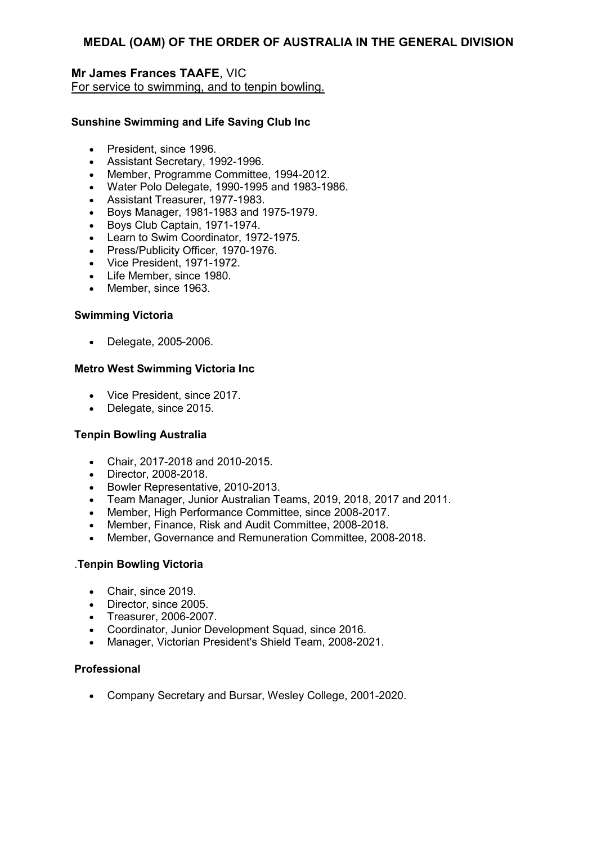# **Mr James Frances TAAFE**, VIC For service to swimming, and to tenpin bowling.

# **Sunshine Swimming and Life Saving Club Inc**

- President, since 1996.
- Assistant Secretary, 1992-1996.
- Member, Programme Committee, 1994-2012.
- Water Polo Delegate, 1990-1995 and 1983-1986.
- Assistant Treasurer, 1977-1983.
- Boys Manager, 1981-1983 and 1975-1979.
- Boys Club Captain, 1971-1974.
- Learn to Swim Coordinator, 1972-1975.
- Press/Publicity Officer, 1970-1976.
- Vice President, 1971-1972.
- Life Member, since 1980.
- Member, since 1963.

# **Swimming Victoria**

• Delegate, 2005-2006.

# **Metro West Swimming Victoria Inc**

- Vice President, since 2017.
- Delegate, since 2015.

# **Tenpin Bowling Australia**

- Chair, 2017-2018 and 2010-2015.
- Director, 2008-2018.
- Bowler Representative, 2010-2013.
- Team Manager, Junior Australian Teams, 2019, 2018, 2017 and 2011.
- Member, High Performance Committee, since 2008-2017.
- Member, Finance, Risk and Audit Committee, 2008-2018.
- Member, Governance and Remuneration Committee, 2008-2018.

# .**Tenpin Bowling Victoria**

- Chair, since 2019.
- Director, since 2005.
- Treasurer, 2006-2007.
- Coordinator, Junior Development Squad, since 2016.
- Manager, Victorian President's Shield Team, 2008-2021.

# **Professional**

• Company Secretary and Bursar, Wesley College, 2001-2020.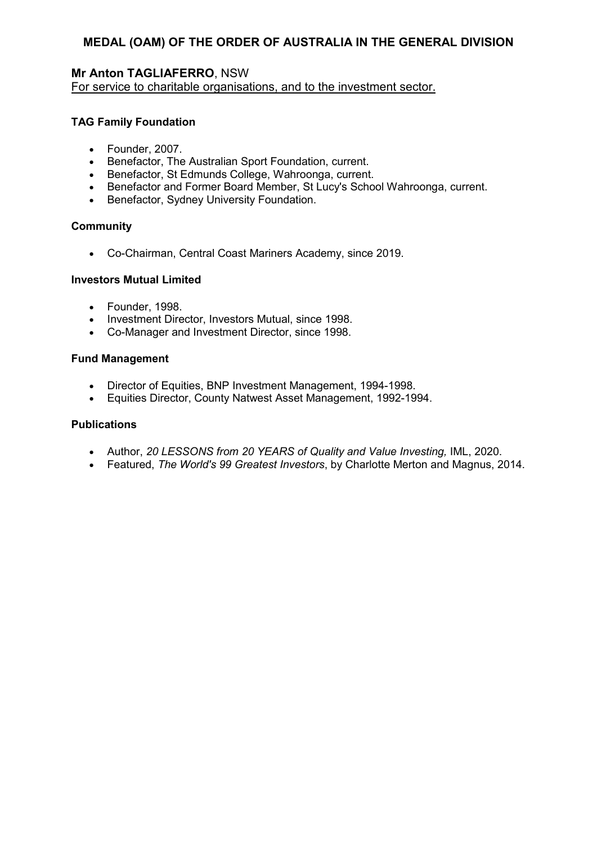# **Mr Anton TAGLIAFERRO**, NSW

For service to charitable organisations, and to the investment sector.

# **TAG Family Foundation**

- Founder, 2007.
- Benefactor, The Australian Sport Foundation, current.
- Benefactor, St Edmunds College, Wahroonga, current.
- Benefactor and Former Board Member, St Lucy's School Wahroonga, current.
- Benefactor, Sydney University Foundation.

#### **Community**

• Co-Chairman, Central Coast Mariners Academy, since 2019.

#### **Investors Mutual Limited**

- Founder, 1998.
- Investment Director, Investors Mutual, since 1998.
- Co-Manager and Investment Director, since 1998.

#### **Fund Management**

- Director of Equities, BNP Investment Management, 1994-1998.
- Equities Director, County Natwest Asset Management, 1992-1994.

#### **Publications**

- Author, *20 LESSONS from 20 YEARS of Quality and Value Investing,* IML, 2020.
- Featured, *The World's 99 Greatest Investors*, by Charlotte Merton and Magnus, 2014.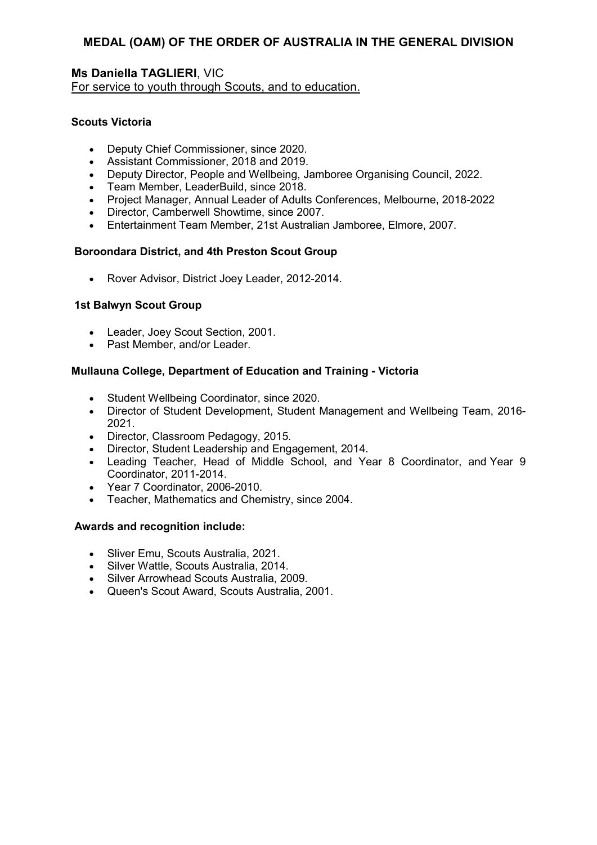# **Ms Daniella TAGLIERI**, VIC For service to youth through Scouts, and to education.

# **Scouts Victoria**

- Deputy Chief Commissioner, since 2020.
- Assistant Commissioner, 2018 and 2019.
- Deputy Director, People and Wellbeing, Jamboree Organising Council, 2022.
- Team Member, LeaderBuild, since 2018.
- Project Manager, Annual Leader of Adults Conferences, Melbourne, 2018-2022
- Director, Camberwell Showtime, since 2007.
- Entertainment Team Member, 21st Australian Jamboree, Elmore, 2007.

# **Boroondara District, and 4th Preston Scout Group**

• Rover Advisor, District Joey Leader, 2012-2014.

# **1st Balwyn Scout Group**

- Leader, Joey Scout Section, 2001.
- Past Member, and/or Leader.

# **Mullauna College, Department of Education and Training - Victoria**

- Student Wellbeing Coordinator, since 2020.
- Director of Student Development, Student Management and Wellbeing Team, 2016- 2021.
- Director, Classroom Pedagogy, 2015.
- Director, Student Leadership and Engagement, 2014.
- Leading Teacher, Head of Middle School, and Year 8 Coordinator, and Year 9 Coordinator, 2011-2014.
- Year 7 Coordinator, 2006-2010.
- Teacher, Mathematics and Chemistry, since 2004.

- Sliver Emu, Scouts Australia, 2021.
- Silver Wattle, Scouts Australia, 2014.
- Silver Arrowhead Scouts Australia, 2009.
- Queen's Scout Award, Scouts Australia, 2001.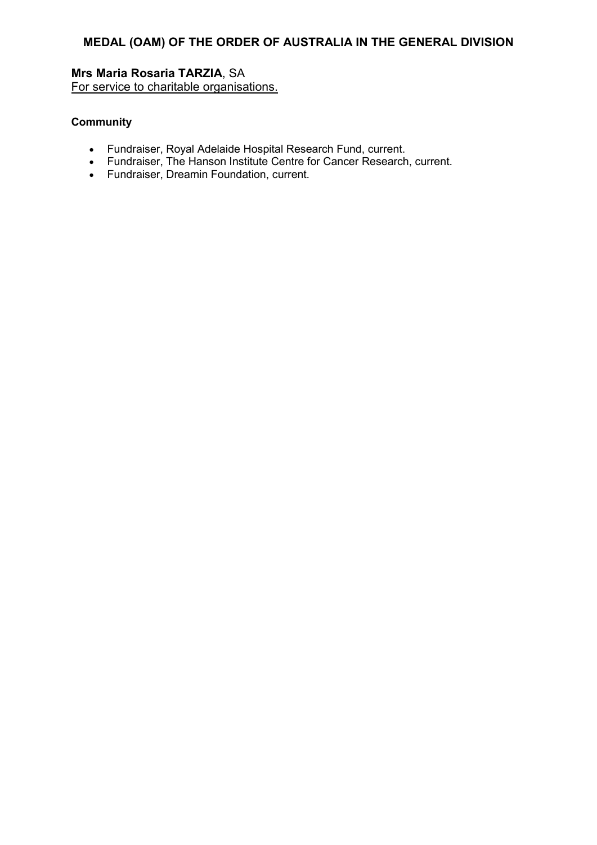# **Mrs Maria Rosaria TARZIA**, SA

For service to charitable organisations.

# **Community**

- Fundraiser, Royal Adelaide Hospital Research Fund, current.
- Fundraiser, The Hanson Institute Centre for Cancer Research, current.
- Fundraiser, Dreamin Foundation, current.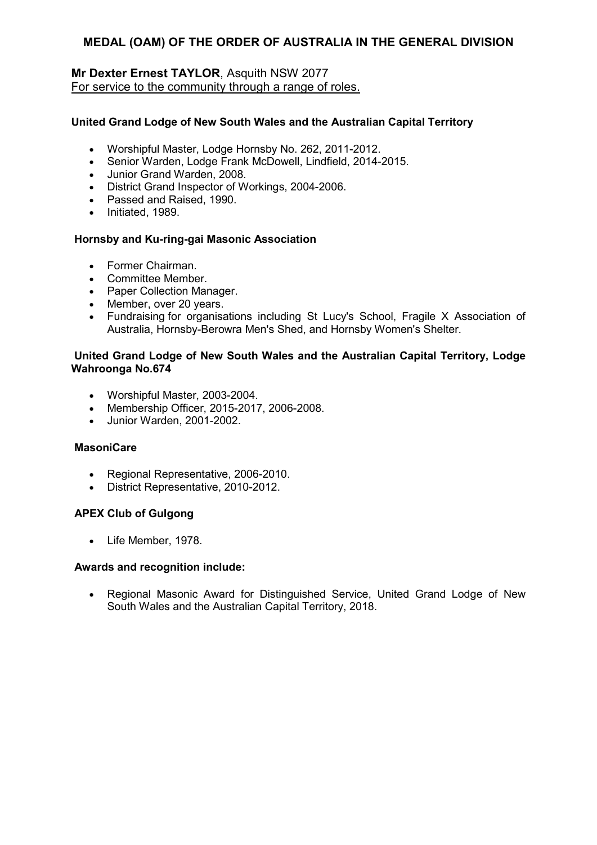# **Mr Dexter Ernest TAYLOR**, Asquith NSW 2077 For service to the community through a range of roles.

# **United Grand Lodge of New South Wales and the Australian Capital Territory**

- Worshipful Master, Lodge Hornsby No. 262, 2011-2012.
- Senior Warden, Lodge Frank McDowell, Lindfield, 2014-2015.
- Junior Grand Warden, 2008.
- District Grand Inspector of Workings, 2004-2006.
- Passed and Raised, 1990.
- Initiated, 1989.

#### **Hornsby and Ku-ring-gai Masonic Association**

- Former Chairman.
- Committee Member.
- Paper Collection Manager.
- Member, over 20 years.
- Fundraising for organisations including St Lucy's School, Fragile X Association of Australia, Hornsby-Berowra Men's Shed, and Hornsby Women's Shelter.

#### **United Grand Lodge of New South Wales and the Australian Capital Territory, Lodge Wahroonga No.674**

- Worshipful Master, 2003-2004.
- Membership Officer, 2015-2017, 2006-2008.
- Junior Warden, 2001-2002.

#### **MasoniCare**

- Regional Representative, 2006-2010.
- District Representative, 2010-2012.

# **APEX Club of Gulgong**

• Life Member, 1978.

#### **Awards and recognition include:**

• Regional Masonic Award for Distinguished Service, United Grand Lodge of New South Wales and the Australian Capital Territory, 2018.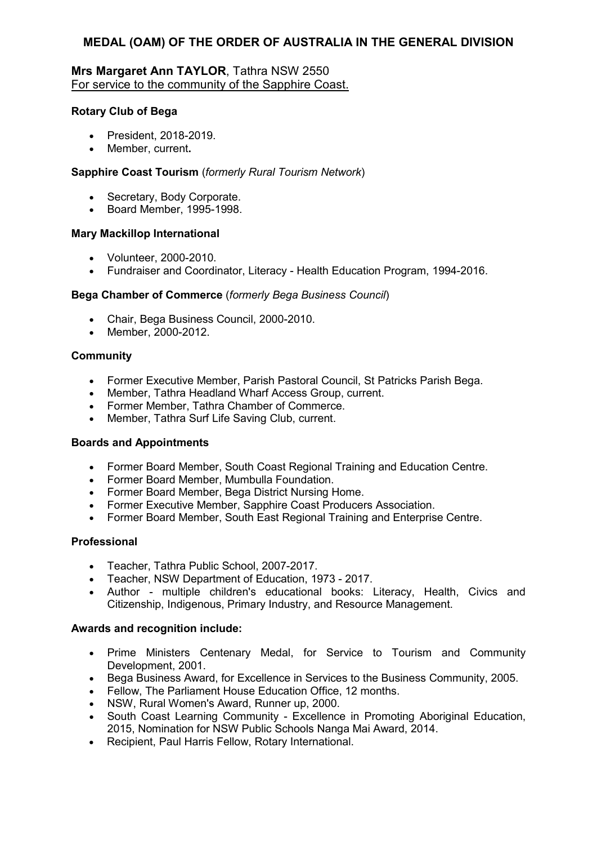# **Mrs Margaret Ann TAYLOR**, Tathra NSW 2550 For service to the community of the Sapphire Coast.

#### **Rotary Club of Bega**

- President, 2018-2019.
- Member, current**.**

#### **Sapphire Coast Tourism** (*formerly Rural Tourism Network*)

- Secretary, Body Corporate.
- Board Member, 1995-1998.

#### **Mary Mackillop International**

- Volunteer, 2000-2010.
- Fundraiser and Coordinator, Literacy Health Education Program, 1994-2016.

#### **Bega Chamber of Commerce** (*formerly Bega Business Council*)

- Chair, Bega Business Council, 2000-2010.
- Member, 2000-2012.

#### **Community**

- Former Executive Member, Parish Pastoral Council, St Patricks Parish Bega.
- Member, Tathra Headland Wharf Access Group, current.
- Former Member, Tathra Chamber of Commerce.
- Member, Tathra Surf Life Saving Club, current.

#### **Boards and Appointments**

- Former Board Member, South Coast Regional Training and Education Centre.
- Former Board Member, Mumbulla Foundation.
- Former Board Member, Bega District Nursing Home.
- Former Executive Member, Sapphire Coast Producers Association.
- Former Board Member, South East Regional Training and Enterprise Centre.

#### **Professional**

- Teacher, Tathra Public School, 2007-2017.
- Teacher, NSW Department of Education, 1973 2017.
- Author multiple children's educational books: Literacy, Health, Civics and Citizenship, Indigenous, Primary Industry, and Resource Management.

- Prime Ministers Centenary Medal, for Service to Tourism and Community Development, 2001.
- Bega Business Award, for Excellence in Services to the Business Community, 2005.
- Fellow, The Parliament House Education Office, 12 months.
- NSW, Rural Women's Award, Runner up, 2000.
- South Coast Learning Community Excellence in Promoting Aboriginal Education, 2015, Nomination for NSW Public Schools Nanga Mai Award, 2014.
- Recipient, Paul Harris Fellow, Rotary International.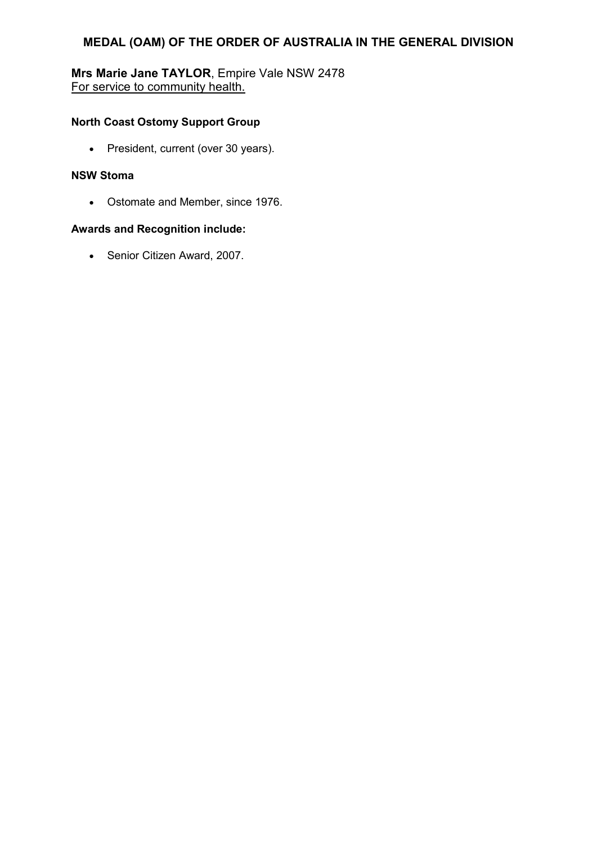# **Mrs Marie Jane TAYLOR**, Empire Vale NSW 2478 For service to community health.

# **North Coast Ostomy Support Group**

• President, current (over 30 years).

# **NSW Stoma**

• Ostomate and Member, since 1976.

# **Awards and Recognition include:**

• Senior Citizen Award, 2007.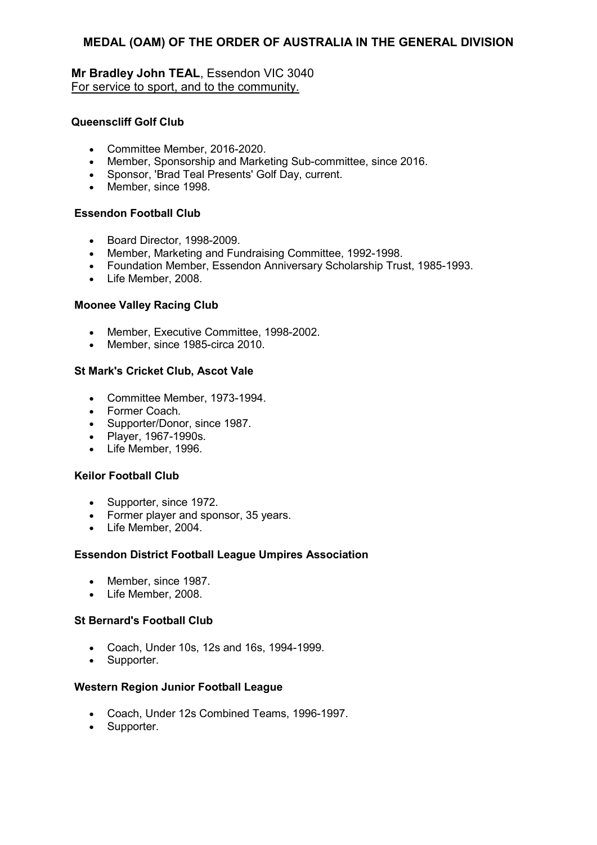# **Mr Bradley John TEAL**, Essendon VIC 3040 For service to sport, and to the community.

# **Queenscliff Golf Club**

- Committee Member, 2016-2020.
- Member, Sponsorship and Marketing Sub-committee, since 2016.
- Sponsor, 'Brad Teal Presents' Golf Day, current.
- Member, since 1998.

#### **Essendon Football Club**

- Board Director, 1998-2009.
- Member, Marketing and Fundraising Committee, 1992-1998.
- Foundation Member, Essendon Anniversary Scholarship Trust, 1985-1993.
- Life Member, 2008.

# **Moonee Valley Racing Club**

- Member, Executive Committee, 1998-2002.
- Member, since 1985-circa 2010.

#### **St Mark's Cricket Club, Ascot Vale**

- Committee Member, 1973-1994.
- Former Coach.
- Supporter/Donor, since 1987.
- Player, 1967-1990s.
- Life Member, 1996.

#### **Keilor Football Club**

- Supporter, since 1972.
- Former player and sponsor, 35 years.
- Life Member, 2004.

# **Essendon District Football League Umpires Association**

- Member, since 1987.
- Life Member, 2008.

# **St Bernard's Football Club**

- Coach, Under 10s, 12s and 16s, 1994-1999.
- Supporter.

#### **Western Region Junior Football League**

- Coach, Under 12s Combined Teams, 1996-1997.
- Supporter.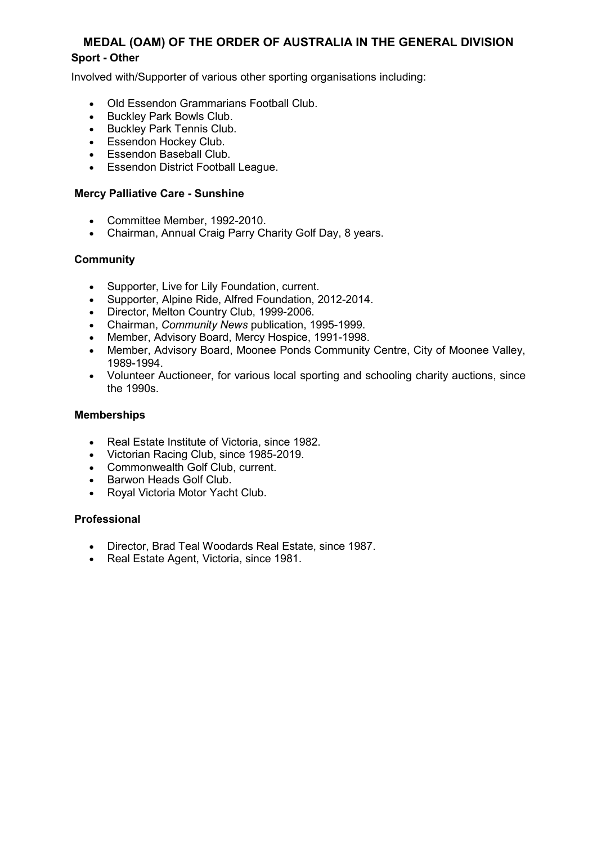# **Sport - Other**

Involved with/Supporter of various other sporting organisations including:

- Old Essendon Grammarians Football Club.
- Buckley Park Bowls Club.
- Buckley Park Tennis Club.
- Essendon Hockey Club.
- Essendon Baseball Club.
- Essendon District Football League.

# **Mercy Palliative Care - Sunshine**

- Committee Member, 1992-2010.
- Chairman, Annual Craig Parry Charity Golf Day, 8 years.

# **Community**

- Supporter, Live for Lily Foundation, current.
- Supporter, Alpine Ride, Alfred Foundation, 2012-2014.
- Director, Melton Country Club, 1999-2006.
- Chairman, *Community News* publication, 1995-1999.
- Member, Advisory Board, Mercy Hospice, 1991-1998.
- Member, Advisory Board, Moonee Ponds Community Centre, City of Moonee Valley, 1989-1994.
- Volunteer Auctioneer, for various local sporting and schooling charity auctions, since the 1990s.

# **Memberships**

- Real Estate Institute of Victoria, since 1982.
- Victorian Racing Club, since 1985-2019.
- Commonwealth Golf Club, current.
- Barwon Heads Golf Club.
- Royal Victoria Motor Yacht Club.

# **Professional**

- Director, Brad Teal Woodards Real Estate, since 1987.
- Real Estate Agent, Victoria, since 1981.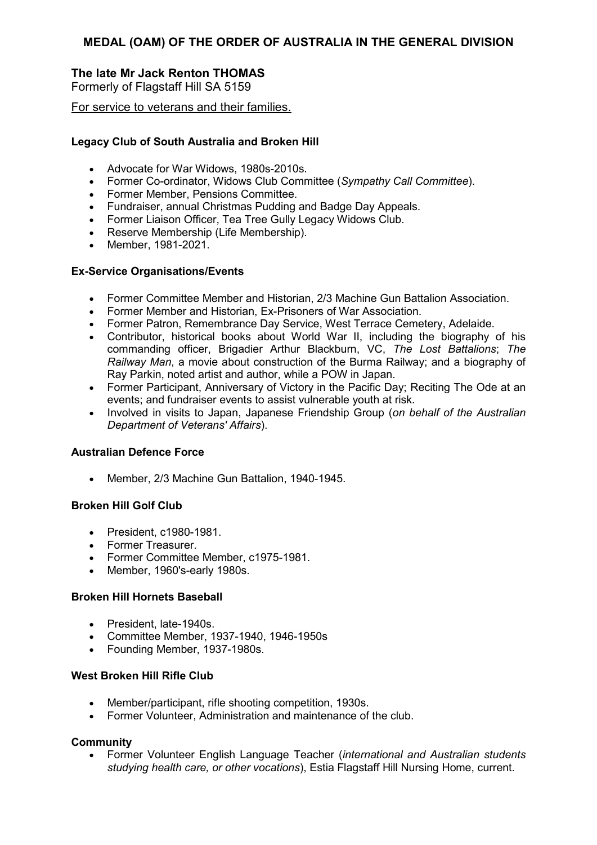# **The late Mr Jack Renton THOMAS**

Formerly of Flagstaff Hill SA 5159

For service to veterans and their families.

# **Legacy Club of South Australia and Broken Hill**

- Advocate for War Widows, 1980s-2010s.
- Former Co-ordinator, Widows Club Committee (*Sympathy Call Committee*).
- Former Member, Pensions Committee.
- Fundraiser, annual Christmas Pudding and Badge Day Appeals.
- Former Liaison Officer, Tea Tree Gully Legacy Widows Club.
- Reserve Membership (Life Membership).
- Member, 1981-2021.

#### **Ex-Service Organisations/Events**

- Former Committee Member and Historian, 2/3 Machine Gun Battalion Association.
- Former Member and Historian, Ex-Prisoners of War Association.
- Former Patron, Remembrance Day Service, West Terrace Cemetery, Adelaide.
- Contributor, historical books about World War II, including the biography of his commanding officer, Brigadier Arthur Blackburn, VC, *The Lost Battalions*; *The Railway Man*, a movie about construction of the Burma Railway; and a biography of Ray Parkin, noted artist and author, while a POW in Japan.
- Former Participant, Anniversary of Victory in the Pacific Day; Reciting The Ode at an events; and fundraiser events to assist vulnerable youth at risk.
- Involved in visits to Japan, Japanese Friendship Group (*on behalf of the Australian Department of Veterans' Affairs*).

# **Australian Defence Force**

• Member, 2/3 Machine Gun Battalion, 1940-1945.

# **Broken Hill Golf Club**

- President, c1980-1981.
- Former Treasurer.
- Former Committee Member, c1975-1981.
- Member, 1960's-early 1980s.

#### **Broken Hill Hornets Baseball**

- President late-1940s
- Committee Member, 1937-1940, 1946-1950s
- Founding Member, 1937-1980s.

#### **West Broken Hill Rifle Club**

- Member/participant, rifle shooting competition, 1930s.
- Former Volunteer, Administration and maintenance of the club.

#### **Community**

• Former Volunteer English Language Teacher (*international and Australian students studying health care, or other vocations*), Estia Flagstaff Hill Nursing Home, current.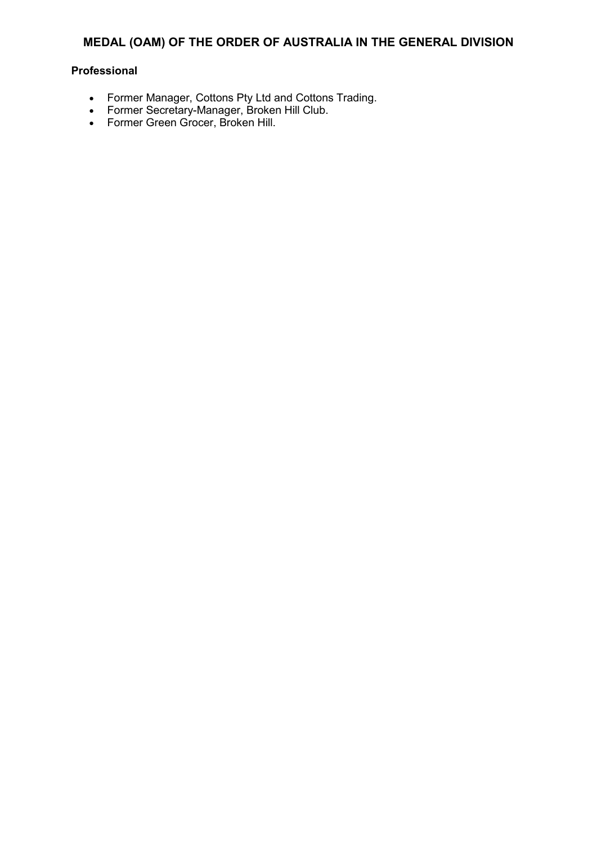# **Professional**

- Former Manager, Cottons Pty Ltd and Cottons Trading.
- Former Secretary-Manager, Broken Hill Club.
- Former Green Grocer, Broken Hill.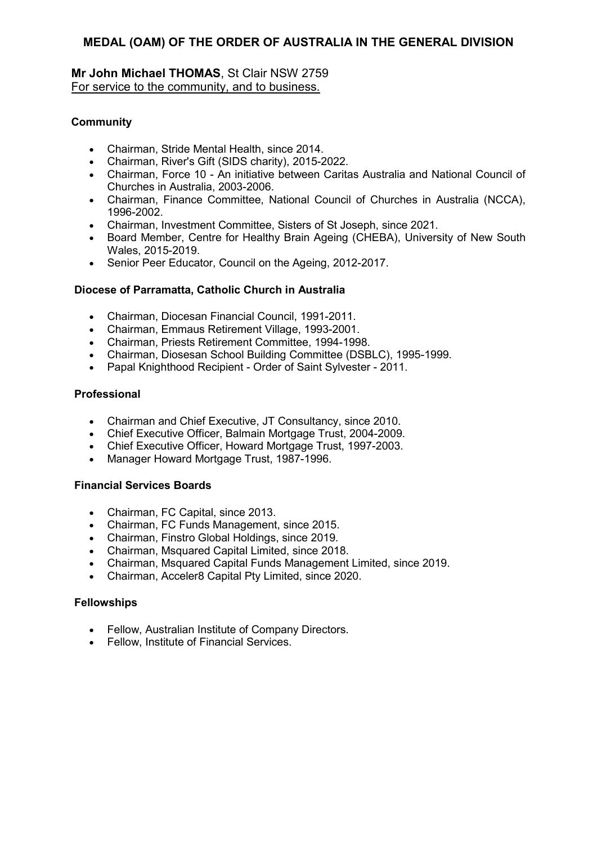# **Mr John Michael THOMAS**, St Clair NSW 2759 For service to the community, and to business.

# **Community**

- Chairman, Stride Mental Health, since 2014.
- Chairman, River's Gift (SIDS charity), 2015-2022.
- Chairman, Force 10 An initiative between Caritas Australia and National Council of Churches in Australia, 2003-2006.
- Chairman, Finance Committee, National Council of Churches in Australia (NCCA), 1996-2002.
- Chairman, Investment Committee, Sisters of St Joseph, since 2021.
- Board Member, Centre for Healthy Brain Ageing (CHEBA), University of New South Wales, 2015-2019.
- Senior Peer Educator, Council on the Ageing, 2012-2017.

# **Diocese of Parramatta, Catholic Church in Australia**

- Chairman, Diocesan Financial Council, 1991-2011.
- Chairman, Emmaus Retirement Village, 1993-2001.
- Chairman, Priests Retirement Committee, 1994-1998.
- Chairman, Diosesan School Building Committee (DSBLC), 1995-1999.
- Papal Knighthood Recipient Order of Saint Sylvester 2011.

# **Professional**

- Chairman and Chief Executive, JT Consultancy, since 2010.
- Chief Executive Officer, Balmain Mortgage Trust, 2004-2009.
- Chief Executive Officer, Howard Mortgage Trust, 1997-2003.
- Manager Howard Mortgage Trust, 1987-1996.

# **Financial Services Boards**

- Chairman, FC Capital, since 2013.
- Chairman, FC Funds Management, since 2015.
- Chairman, Finstro Global Holdings, since 2019.
- Chairman, Msquared Capital Limited, since 2018.
- Chairman, Msquared Capital Funds Management Limited, since 2019.
- Chairman, Acceler8 Capital Pty Limited, since 2020.

# **Fellowships**

- Fellow, Australian Institute of Company Directors.
- Fellow, Institute of Financial Services.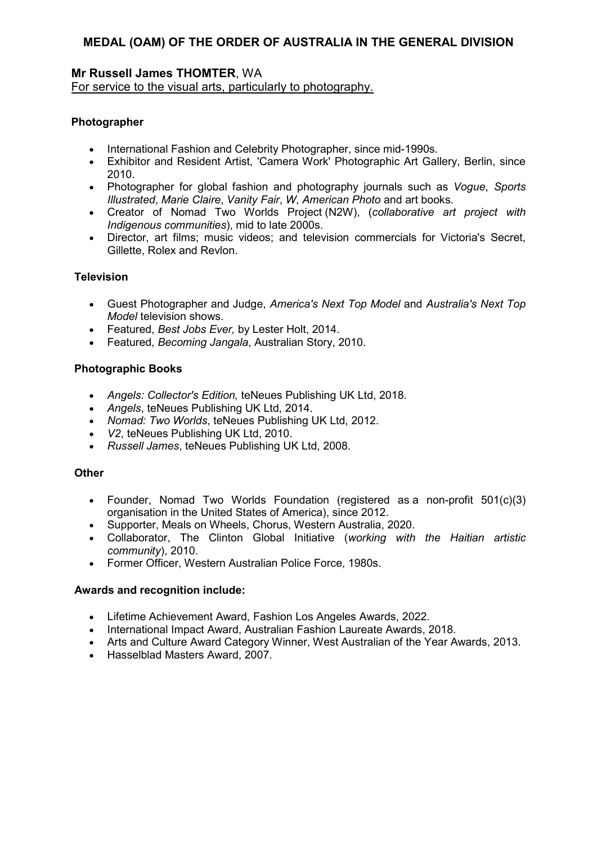#### **Mr Russell James THOMTER**, WA For service to the visual arts, particularly to photography.

# **Photographer**

- International Fashion and Celebrity Photographer, since mid-1990s.
- Exhibitor and Resident Artist, 'Camera Work' Photographic Art Gallery, Berlin, since 2010.
- Photographer for global fashion and photography journals such as *Vogue*, *Sports Illustrated*, *Marie Claire*, *Vanity Fair*, *W*, *American Photo* and art books.
- Creator of Nomad Two Worlds Project (N2W), (*collaborative art project with Indigenous communities*), mid to late 2000s.
- Director, art films; music videos; and television commercials for Victoria's Secret, Gillette, Rolex and Revlon.

# **Television**

- Guest Photographer and Judge, *America's Next Top Model* and *Australia's Next Top Model* television shows.
- Featured, *Best Jobs Ever,* by Lester Holt, 2014.
- Featured, *Becoming Jangala*, Australian Story, 2010.

# **Photographic Books**

- *Angels: Collector's Edition,* teNeues Publishing UK Ltd, 2018*.*
- *Angels*, teNeues Publishing UK Ltd, 2014.
- *Nomad: Two Worlds*, teNeues Publishing UK Ltd, 2012.
- *V2*, teNeues Publishing UK Ltd, 2010.
- *Russell James*, teNeues Publishing UK Ltd, 2008.

# **Other**

- Founder, Nomad Two Worlds Foundation (registered as a non-profit 501(c)(3) organisation in the United States of America), since 2012.
- Supporter, Meals on Wheels, Chorus, Western Australia, 2020.
- Collaborator, The Clinton Global Initiative (*working with the Haitian artistic community*), 2010.
- Former Officer, Western Australian Police Force, 1980s.

- Lifetime Achievement Award, Fashion Los Angeles Awards, 2022.
- International Impact Award, Australian Fashion Laureate Awards, 2018.
- Arts and Culture Award Category Winner, West Australian of the Year Awards, 2013.
- Hasselblad Masters Award, 2007.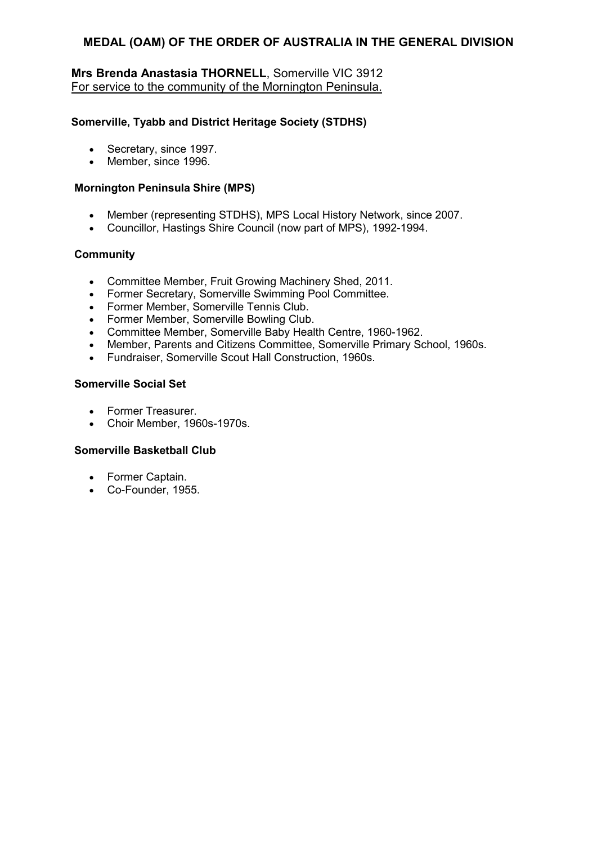# **Mrs Brenda Anastasia THORNELL**, Somerville VIC 3912 For service to the community of the Mornington Peninsula.

# **Somerville, Tyabb and District Heritage Society (STDHS)**

- Secretary, since 1997.
- Member, since 1996.

# **Mornington Peninsula Shire (MPS)**

- Member (representing STDHS), MPS Local History Network, since 2007.
- Councillor, Hastings Shire Council (now part of MPS), 1992-1994.

# **Community**

- Committee Member, Fruit Growing Machinery Shed, 2011.
- Former Secretary, Somerville Swimming Pool Committee.
- Former Member, Somerville Tennis Club.
- Former Member, Somerville Bowling Club.
- Committee Member, Somerville Baby Health Centre, 1960-1962.
- Member, Parents and Citizens Committee, Somerville Primary School, 1960s.
- Fundraiser, Somerville Scout Hall Construction, 1960s.

# **Somerville Social Set**

- Former Treasurer.
- Choir Member, 1960s-1970s.

# **Somerville Basketball Club**

- Former Captain.
- Co-Founder, 1955.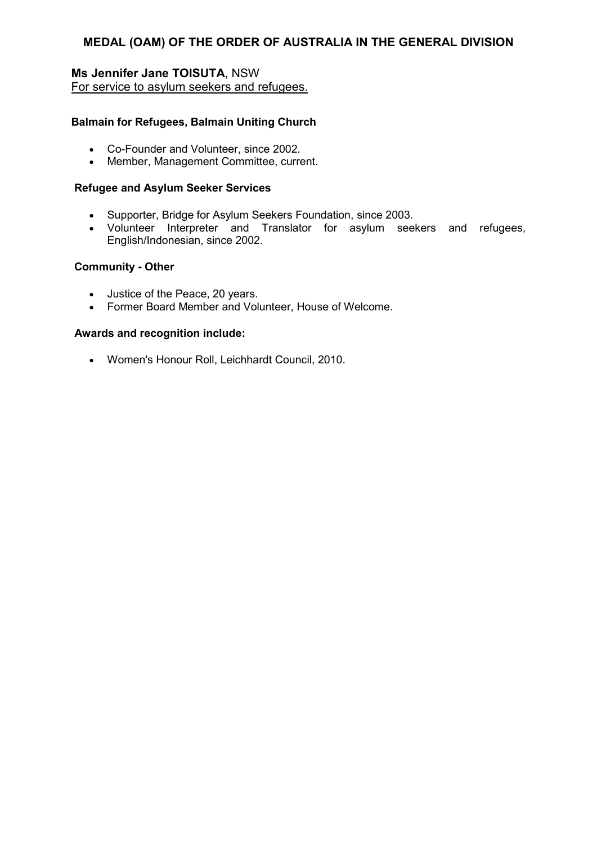# **Ms Jennifer Jane TOISUTA**, NSW For service to asylum seekers and refugees.

# **Balmain for Refugees, Balmain Uniting Church**

- Co-Founder and Volunteer, since 2002.
- Member, Management Committee, current.

# **Refugee and Asylum Seeker Services**

- Supporter, Bridge for Asylum Seekers Foundation, since 2003.
- Volunteer Interpreter and Translator for asylum seekers and refugees, English/Indonesian, since 2002.

#### **Community - Other**

- Justice of the Peace, 20 years.
- Former Board Member and Volunteer, House of Welcome.

#### **Awards and recognition include:**

• Women's Honour Roll, Leichhardt Council, 2010.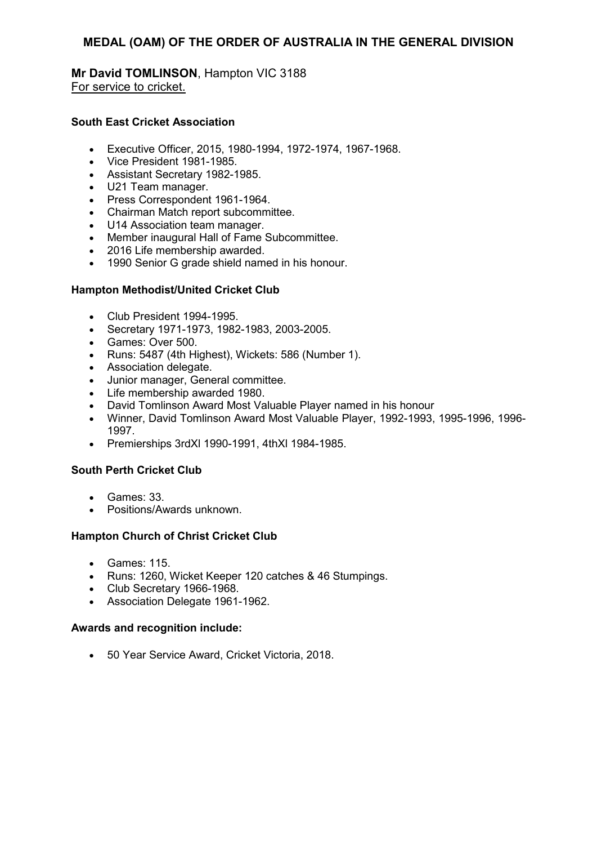# **Mr David TOMLINSON**, Hampton VIC 3188 For service to cricket.

# **South East Cricket Association**

- Executive Officer, 2015, 1980-1994, 1972-1974, 1967-1968.
- Vice President 1981-1985.
- Assistant Secretary 1982-1985.
- U21 Team manager.
- Press Correspondent 1961-1964.
- Chairman Match report subcommittee.
- U14 Association team manager.
- Member inaugural Hall of Fame Subcommittee.
- 2016 Life membership awarded.
- 1990 Senior G grade shield named in his honour.

#### **Hampton Methodist/United Cricket Club**

- Club President 1994-1995.
- Secretary 1971-1973, 1982-1983, 2003-2005.
- Games: Over 500.
- Runs: 5487 (4th Highest), Wickets: 586 (Number 1).
- Association delegate.
- Junior manager, General committee.
- Life membership awarded 1980.
- David Tomlinson Award Most Valuable Player named in his honour
- Winner, David Tomlinson Award Most Valuable Player, 1992-1993, 1995-1996, 1996- 1997.
- Premierships 3rdXl 1990-1991, 4thXl 1984-1985.

# **South Perth Cricket Club**

- Games: 33.
- Positions/Awards unknown.

# **Hampton Church of Christ Cricket Club**

- Games: 115.
- Runs: 1260, Wicket Keeper 120 catches & 46 Stumpings.
- Club Secretary 1966-1968.
- Association Delegate 1961-1962.

#### **Awards and recognition include:**

• 50 Year Service Award, Cricket Victoria, 2018.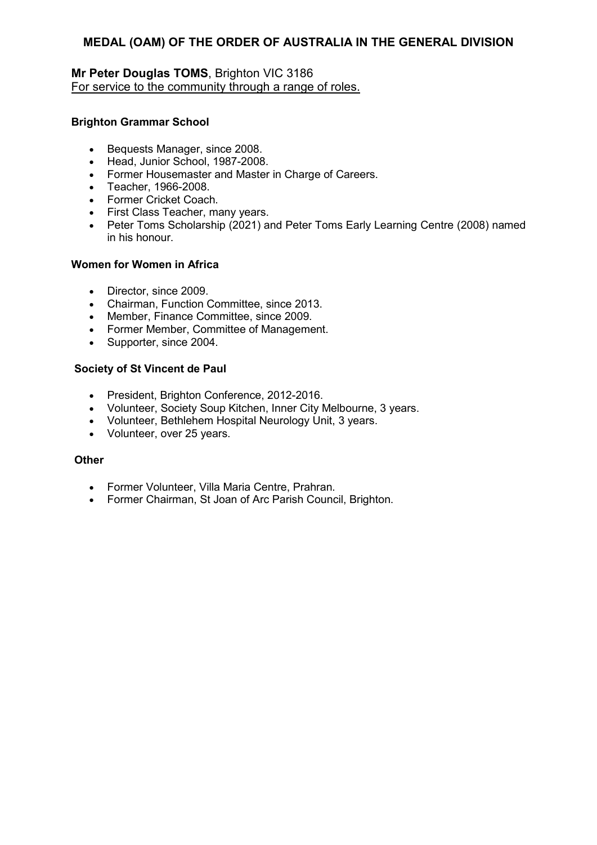# **Mr Peter Douglas TOMS**, Brighton VIC 3186 For service to the community through a range of roles.

# **Brighton Grammar School**

- Bequests Manager, since 2008.
- Head, Junior School, 1987-2008.
- Former Housemaster and Master in Charge of Careers.
- Teacher, 1966-2008.
- Former Cricket Coach.
- First Class Teacher, many years.
- Peter Toms Scholarship (2021) and Peter Toms Early Learning Centre (2008) named in his honour.

#### **Women for Women in Africa**

- Director, since 2009.
- Chairman, Function Committee, since 2013.
- Member, Finance Committee, since 2009.
- Former Member, Committee of Management.
- Supporter, since 2004.

#### **Society of St Vincent de Paul**

- President, Brighton Conference, 2012-2016.
- Volunteer, Society Soup Kitchen, Inner City Melbourne, 3 years.
- Volunteer, Bethlehem Hospital Neurology Unit, 3 years.
- Volunteer, over 25 years.

#### **Other**

- Former Volunteer, Villa Maria Centre, Prahran.
- Former Chairman, St Joan of Arc Parish Council, Brighton.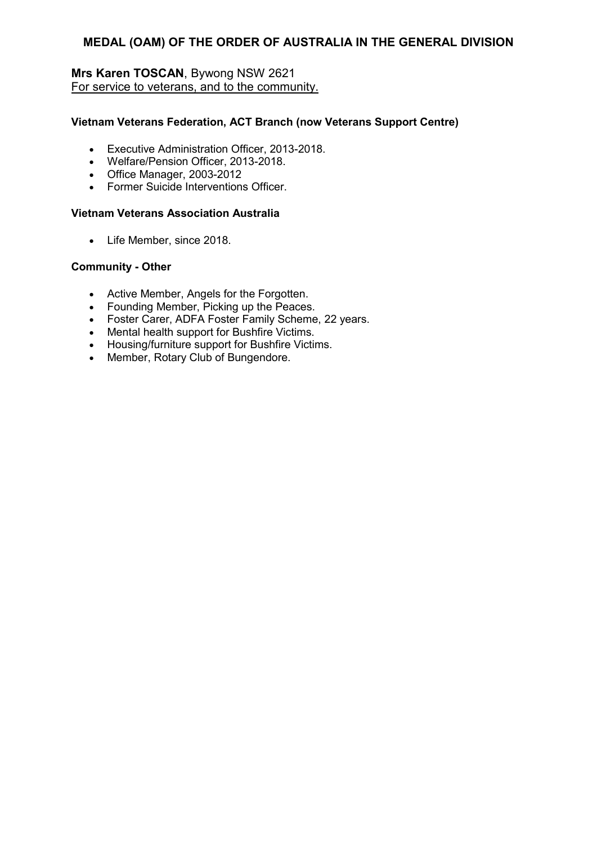# **Mrs Karen TOSCAN**, Bywong NSW 2621 For service to veterans, and to the community.

# **Vietnam Veterans Federation, ACT Branch (now Veterans Support Centre)**

- Executive Administration Officer, 2013-2018.
- Welfare/Pension Officer, 2013-2018.
- Office Manager, 2003-2012
- Former Suicide Interventions Officer.

# **Vietnam Veterans Association Australia**

• Life Member, since 2018.

# **Community - Other**

- Active Member, Angels for the Forgotten.
- Founding Member, Picking up the Peaces.
- Foster Carer, ADFA Foster Family Scheme, 22 years.
- Mental health support for Bushfire Victims.
- Housing/furniture support for Bushfire Victims.
- Member, Rotary Club of Bungendore.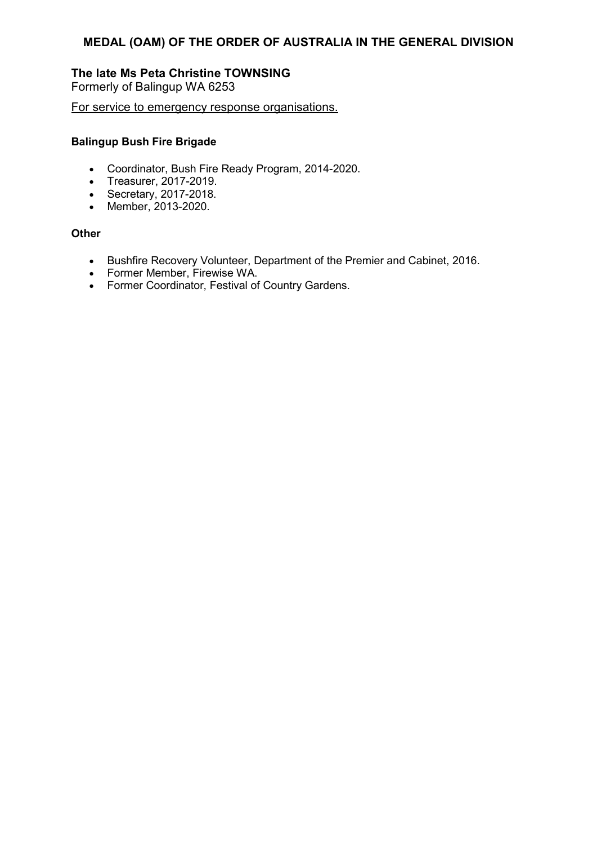# **The late Ms Peta Christine TOWNSING**

Formerly of Balingup WA 6253

For service to emergency response organisations.

# **Balingup Bush Fire Brigade**

- Coordinator, Bush Fire Ready Program, 2014-2020.
- Treasurer, 2017-2019.
- Secretary, 2017-2018.
- Member, 2013-2020.

#### **Other**

- Bushfire Recovery Volunteer, Department of the Premier and Cabinet, 2016.
- Former Member, Firewise WA.
- Former Coordinator, Festival of Country Gardens.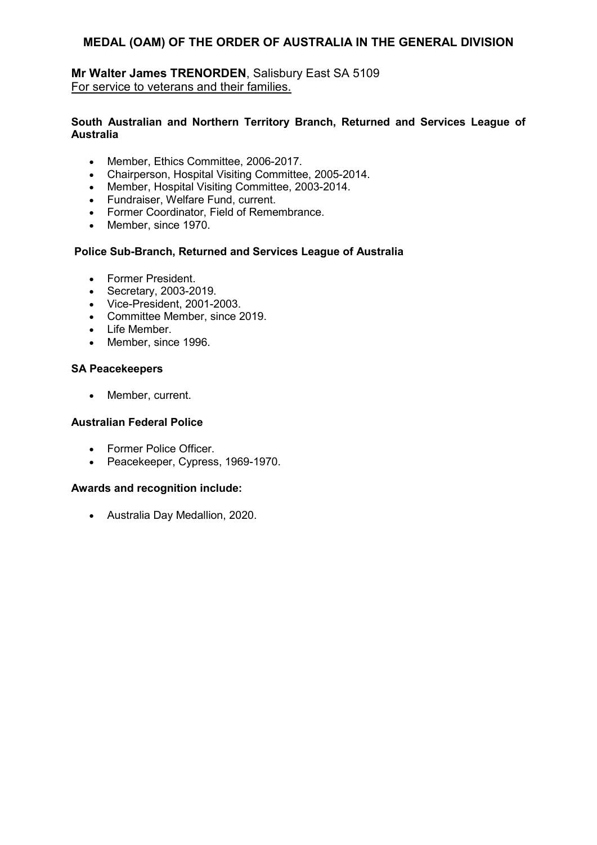# **Mr Walter James TRENORDEN**, Salisbury East SA 5109 For service to veterans and their families.

# **South Australian and Northern Territory Branch, Returned and Services League of Australia**

- Member, Ethics Committee, 2006-2017.
- Chairperson, Hospital Visiting Committee, 2005-2014.
- Member, Hospital Visiting Committee, 2003-2014.
- Fundraiser, Welfare Fund, current.
- Former Coordinator, Field of Remembrance.
- Member, since 1970.

# **Police Sub-Branch, Returned and Services League of Australia**

- Former President.
- Secretary, 2003-2019.
- Vice-President, 2001-2003.
- Committee Member, since 2019.
- Life Member.
- Member, since 1996.

# **SA Peacekeepers**

• Member, current.

# **Australian Federal Police**

- Former Police Officer.
- Peacekeeper, Cypress, 1969-1970.

# **Awards and recognition include:**

• Australia Day Medallion, 2020.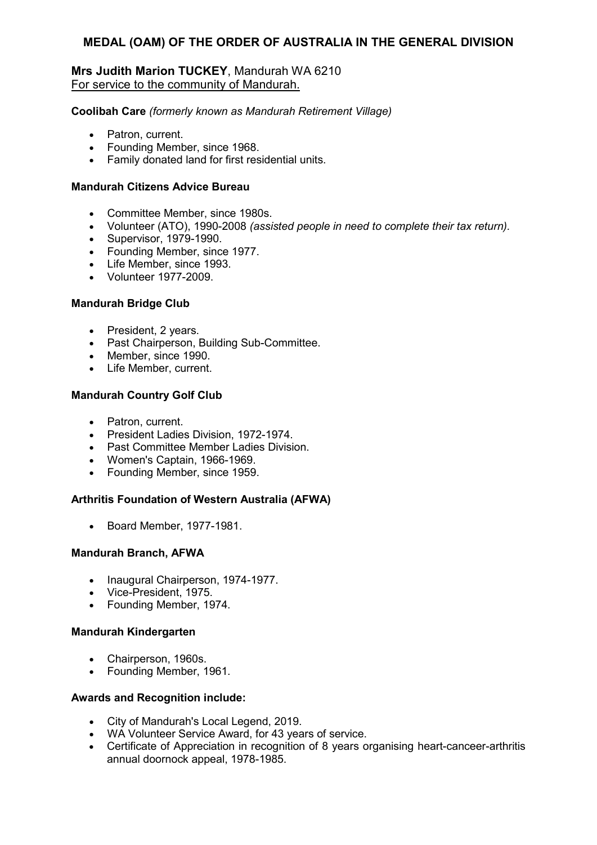# **Mrs Judith Marion TUCKEY**, Mandurah WA 6210 For service to the community of Mandurah.

**Coolibah Care** *(formerly known as Mandurah Retirement Village)* 

- Patron, current.
- Founding Member, since 1968.
- Family donated land for first residential units.

#### **Mandurah Citizens Advice Bureau**

- Committee Member, since 1980s.
- Volunteer (ATO), 1990-2008 *(assisted people in need to complete their tax return).*
- Supervisor, 1979-1990.
- Founding Member, since 1977.
- Life Member, since 1993.
- Volunteer 1977-2009.

#### **Mandurah Bridge Club**

- President, 2 years.
- Past Chairperson, Building Sub-Committee.
- Member, since 1990.
- Life Member, current.

#### **Mandurah Country Golf Club**

- Patron, current.
- President Ladies Division, 1972-1974.
- Past Committee Member Ladies Division.
- Women's Captain, 1966-1969.
- Founding Member, since 1959.

#### **Arthritis Foundation of Western Australia (AFWA)**

• Board Member, 1977-1981.

#### **Mandurah Branch, AFWA**

- Inaugural Chairperson, 1974-1977.
- Vice-President, 1975.
- Founding Member, 1974.

# **Mandurah Kindergarten**

- Chairperson, 1960s.
- Founding Member, 1961.

- City of Mandurah's Local Legend, 2019.
- WA Volunteer Service Award, for 43 years of service.
- Certificate of Appreciation in recognition of 8 years organising heart-canceer-arthritis annual doornock appeal, 1978-1985.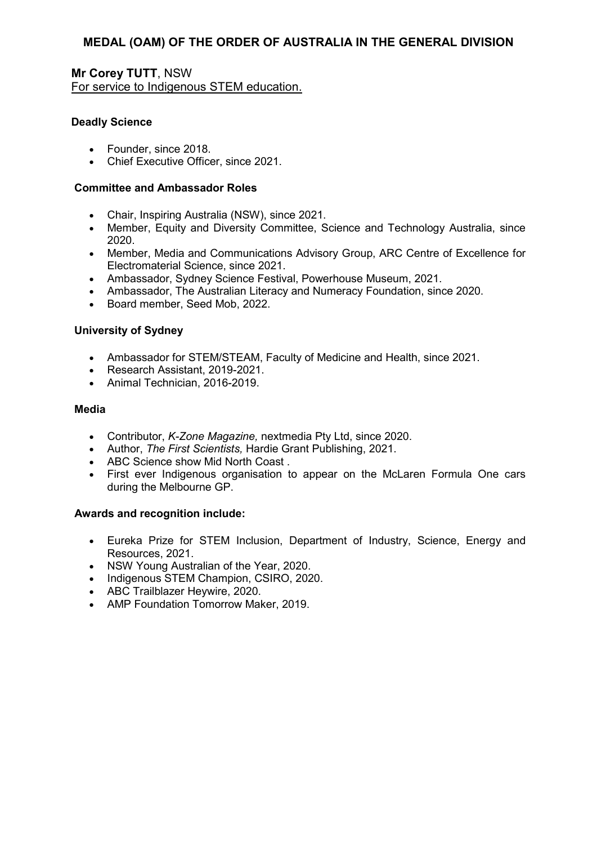**Mr Corey TUTT**, NSW For service to Indigenous STEM education.

# **Deadly Science**

- Founder, since 2018.
- Chief Executive Officer, since 2021.

# **Committee and Ambassador Roles**

- Chair, Inspiring Australia (NSW), since 2021.
- Member, Equity and Diversity Committee, Science and Technology Australia, since 2020.
- Member, Media and Communications Advisory Group, ARC Centre of Excellence for Electromaterial Science, since 2021.
- Ambassador, Sydney Science Festival, Powerhouse Museum, 2021.
- Ambassador, The Australian Literacy and Numeracy Foundation, since 2020.
- Board member, Seed Mob, 2022.

# **University of Sydney**

- Ambassador for STEM/STEAM, Faculty of Medicine and Health, since 2021.
- Research Assistant, 2019-2021.
- Animal Technician, 2016-2019.

# **Media**

- Contributor, *K-Zone Magazine,* nextmedia Pty Ltd, since 2020.
- Author, *The First Scientists,* Hardie Grant Publishing, 2021.
- ABC Science show Mid North Coast .
- First ever Indigenous organisation to appear on the McLaren Formula One cars during the Melbourne GP.

- Eureka Prize for STEM Inclusion, Department of Industry, Science, Energy and Resources, 2021.
- NSW Young Australian of the Year, 2020.
- Indigenous STEM Champion, CSIRO, 2020.
- ABC Trailblazer Heywire, 2020.
- AMP Foundation Tomorrow Maker, 2019.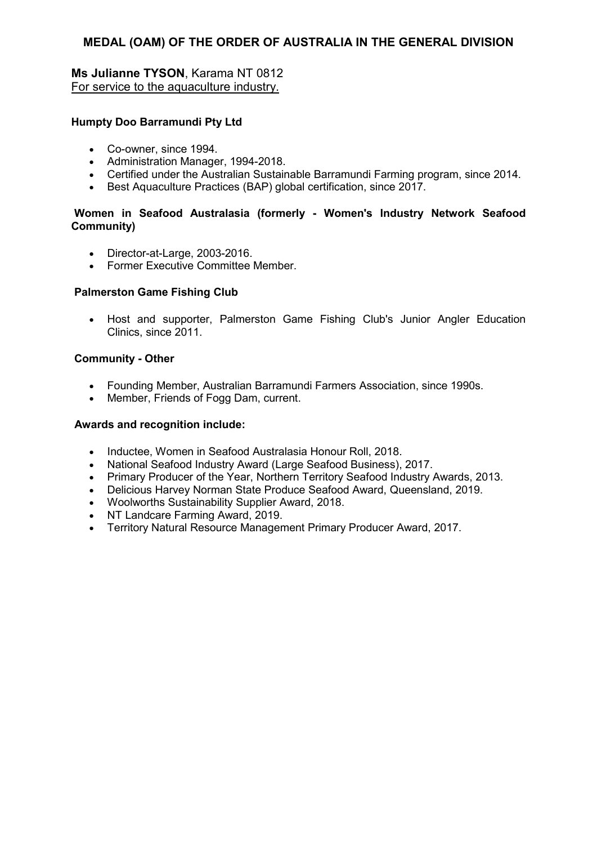# **Ms Julianne TYSON**, Karama NT 0812 For service to the aquaculture industry.

# **Humpty Doo Barramundi Pty Ltd**

- Co-owner, since 1994.
- Administration Manager, 1994-2018.
- Certified under the Australian Sustainable Barramundi Farming program, since 2014.
- Best Aquaculture Practices (BAP) global certification, since 2017.

# **Women in Seafood Australasia (formerly - Women's Industry Network Seafood Community)**

- Director-at-Large, 2003-2016.
- Former Executive Committee Member.

# **Palmerston Game Fishing Club**

• Host and supporter, Palmerston Game Fishing Club's Junior Angler Education Clinics, since 2011.

# **Community - Other**

- Founding Member, Australian Barramundi Farmers Association, since 1990s.
- Member, Friends of Fogg Dam, current.

- Inductee, Women in Seafood Australasia Honour Roll, 2018.
- National Seafood Industry Award (Large Seafood Business), 2017.
- Primary Producer of the Year, Northern Territory Seafood Industry Awards, 2013.
- Delicious Harvey Norman State Produce Seafood Award, Queensland, 2019.
- Woolworths Sustainability Supplier Award, 2018.
- NT Landcare Farming Award, 2019.
- Territory Natural Resource Management Primary Producer Award, 2017.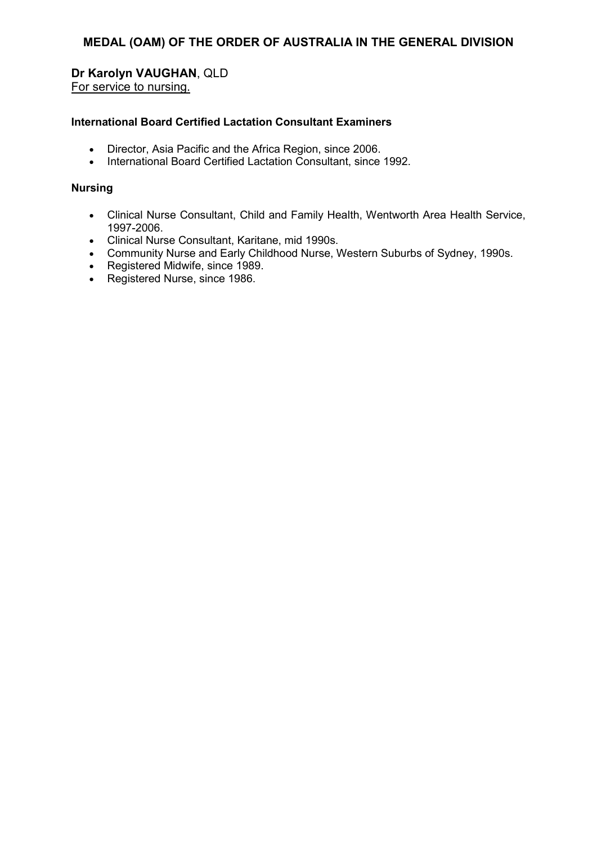# **Dr Karolyn VAUGHAN**, QLD

For service to nursing.

# **International Board Certified Lactation Consultant Examiners**

- Director, Asia Pacific and the Africa Region, since 2006.
- International Board Certified Lactation Consultant, since 1992.

# **Nursing**

- Clinical Nurse Consultant, Child and Family Health, Wentworth Area Health Service, 1997-2006.
- Clinical Nurse Consultant, Karitane, mid 1990s.
- Community Nurse and Early Childhood Nurse, Western Suburbs of Sydney, 1990s.
- Registered Midwife, since 1989.
- Registered Nurse, since 1986.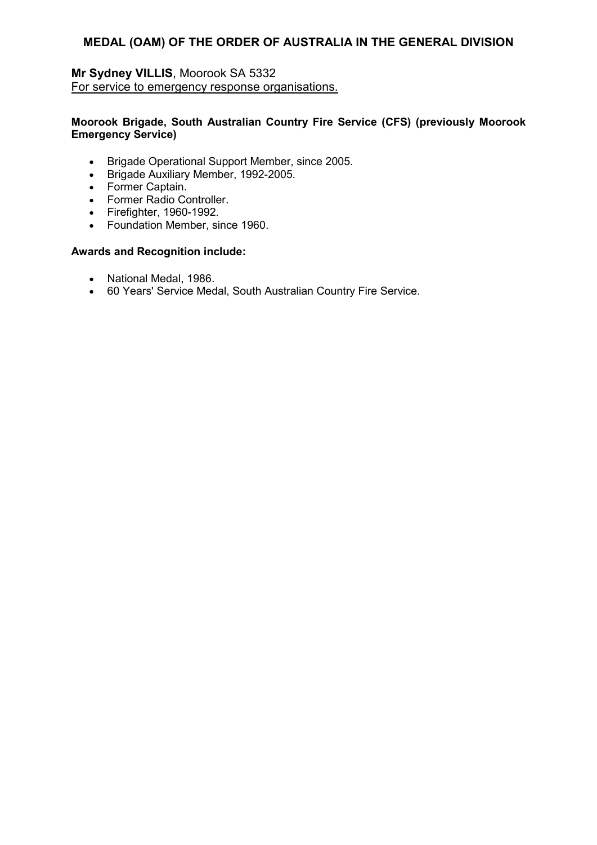# **Mr Sydney VILLIS**, Moorook SA 5332 For service to emergency response organisations.

# **Moorook Brigade, South Australian Country Fire Service (CFS) (previously Moorook Emergency Service)**

- Brigade Operational Support Member, since 2005.
- Brigade Auxiliary Member, 1992-2005.
- Former Captain.
- Former Radio Controller.
- Firefighter, 1960-1992.
- Foundation Member, since 1960.

- National Medal, 1986.
- 60 Years' Service Medal, South Australian Country Fire Service.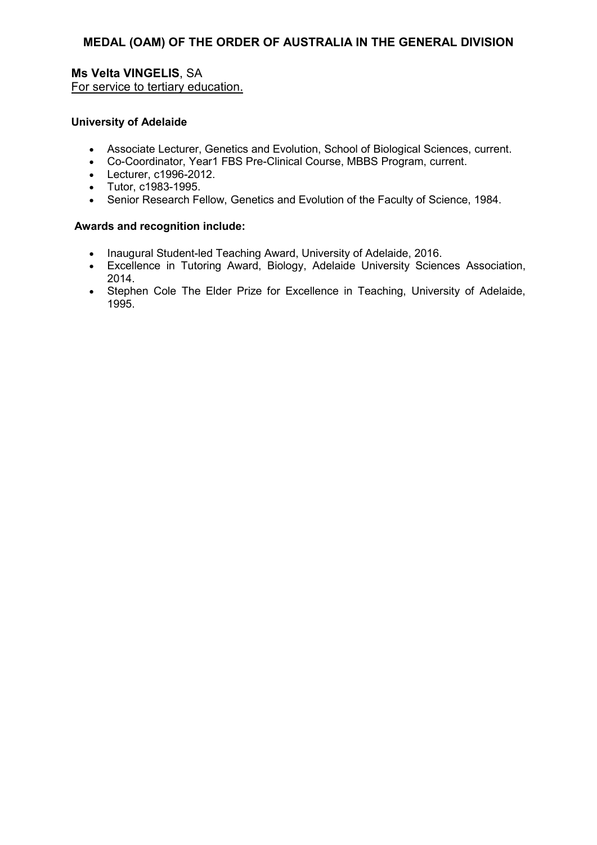# **Ms Velta VINGELIS**, SA For service to tertiary education.

#### **University of Adelaide**

- Associate Lecturer, Genetics and Evolution, School of Biological Sciences, current.
- Co-Coordinator, Year1 FBS Pre-Clinical Course, MBBS Program, current.
- Lecturer, c1996-2012.
- Tutor, c1983-1995.
- Senior Research Fellow, Genetics and Evolution of the Faculty of Science, 1984.

- Inaugural Student-led Teaching Award, University of Adelaide, 2016.
- Excellence in Tutoring Award, Biology, Adelaide University Sciences Association, 2014.
- Stephen Cole The Elder Prize for Excellence in Teaching, University of Adelaide, 1995.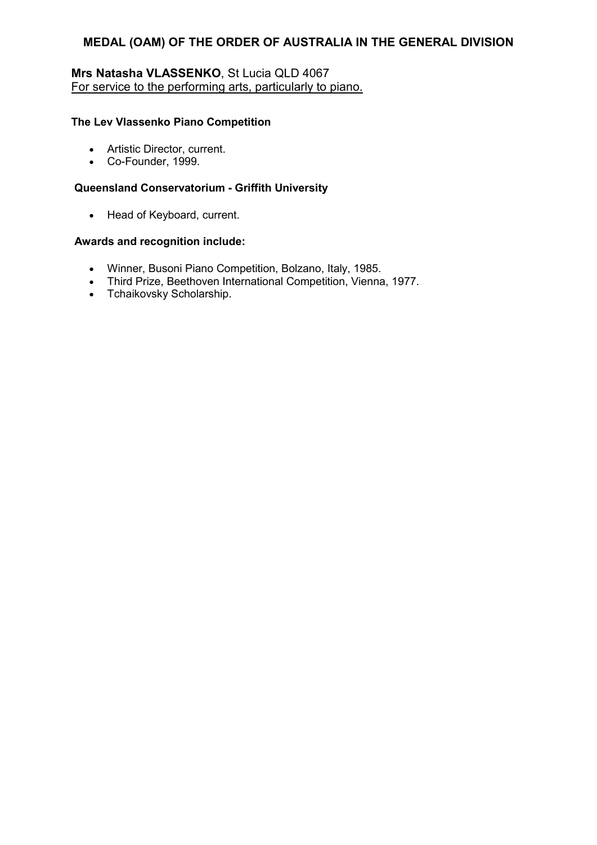# **Mrs Natasha VLASSENKO**, St Lucia QLD 4067 For service to the performing arts, particularly to piano.

#### **The Lev Vlassenko Piano Competition**

- Artistic Director, current.
- Co-Founder, 1999.

#### **Queensland Conservatorium - Griffith University**

• Head of Keyboard, current.

- Winner, Busoni Piano Competition, Bolzano, Italy, 1985.
- Third Prize, Beethoven International Competition, Vienna, 1977.
- Tchaikovsky Scholarship.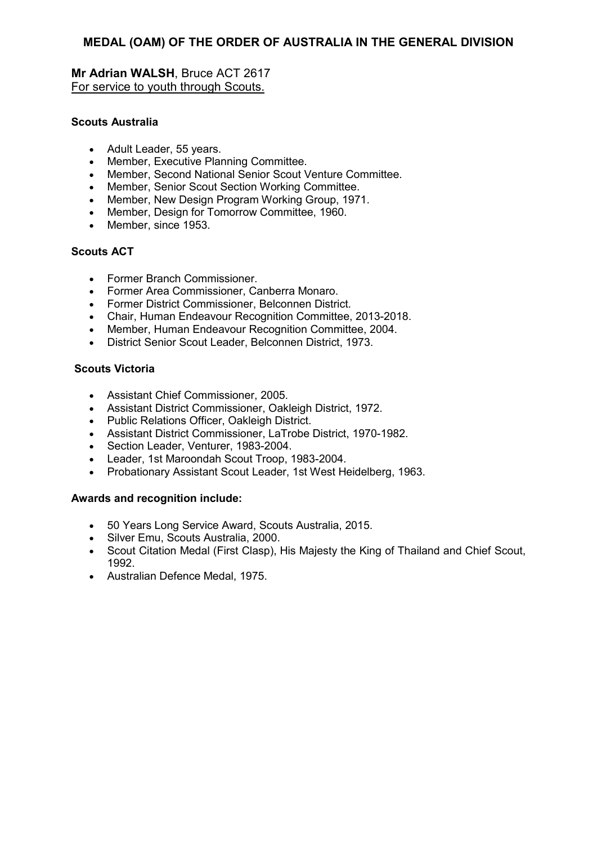**Mr Adrian WALSH**, Bruce ACT 2617 For service to youth through Scouts.

# **Scouts Australia**

- Adult Leader, 55 years.
- Member, Executive Planning Committee.
- Member, Second National Senior Scout Venture Committee.
- Member, Senior Scout Section Working Committee.
- Member, New Design Program Working Group, 1971.
- Member, Design for Tomorrow Committee, 1960.
- Member, since 1953.

# **Scouts ACT**

- Former Branch Commissioner.
- Former Area Commissioner, Canberra Monaro.
- Former District Commissioner, Belconnen District.
- Chair, Human Endeavour Recognition Committee, 2013-2018.
- Member, Human Endeavour Recognition Committee, 2004.
- District Senior Scout Leader, Belconnen District, 1973.

# **Scouts Victoria**

- Assistant Chief Commissioner, 2005.
- Assistant District Commissioner, Oakleigh District, 1972.
- Public Relations Officer, Oakleigh District.
- Assistant District Commissioner, LaTrobe District, 1970-1982.
- Section Leader, Venturer, 1983-2004.
- Leader, 1st Maroondah Scout Troop, 1983-2004.
- Probationary Assistant Scout Leader, 1st West Heidelberg, 1963.

- 50 Years Long Service Award, Scouts Australia, 2015.
- Silver Emu, Scouts Australia, 2000.
- Scout Citation Medal (First Clasp), His Majesty the King of Thailand and Chief Scout, 1992.
- Australian Defence Medal, 1975.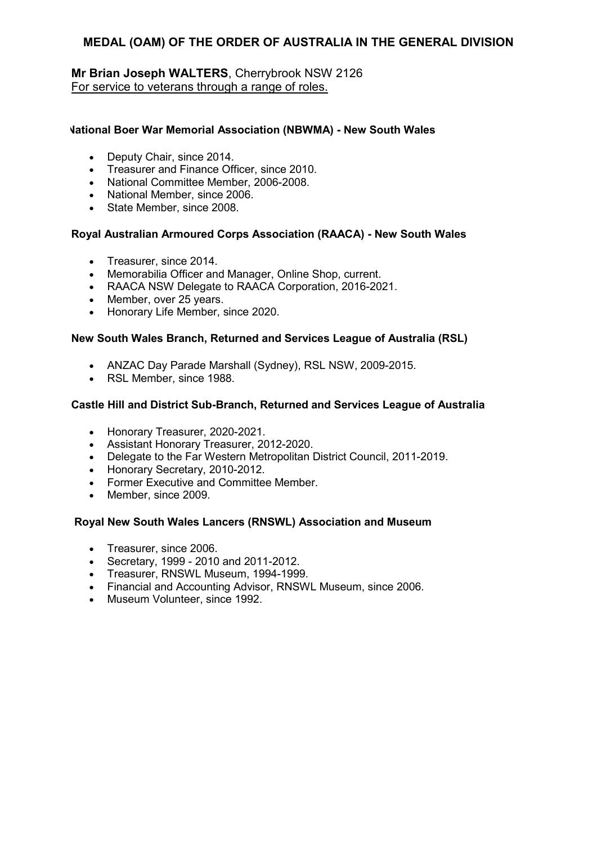# **Mr Brian Joseph WALTERS**, Cherrybrook NSW 2126 For service to veterans through a range of roles.

#### **National Boer War Memorial Association (NBWMA) - New South Wales**

- Deputy Chair, since 2014.
- Treasurer and Finance Officer, since 2010.
- National Committee Member, 2006-2008.
- National Member, since 2006.
- State Member, since 2008.

#### **Royal Australian Armoured Corps Association (RAACA) - New South Wales**

- Treasurer, since 2014.
- Memorabilia Officer and Manager, Online Shop, current.
- RAACA NSW Delegate to RAACA Corporation, 2016-2021.
- Member, over 25 years.
- Honorary Life Member, since 2020.

#### **New South Wales Branch, Returned and Services League of Australia (RSL)**

- ANZAC Day Parade Marshall (Sydney), RSL NSW, 2009-2015.
- RSL Member, since 1988.

#### **Castle Hill and District Sub-Branch, Returned and Services League of Australia**

- Honorary Treasurer, 2020-2021.
- Assistant Honorary Treasurer, 2012-2020.
- Delegate to the Far Western Metropolitan District Council, 2011-2019.
- Honorary Secretary, 2010-2012.
- Former Executive and Committee Member.
- Member, since 2009.

#### **Royal New South Wales Lancers (RNSWL) Association and Museum**

- Treasurer, since 2006.
- Secretary, 1999 2010 and 2011-2012.
- Treasurer, RNSWL Museum, 1994-1999.
- Financial and Accounting Advisor, RNSWL Museum, since 2006.
- Museum Volunteer, since 1992.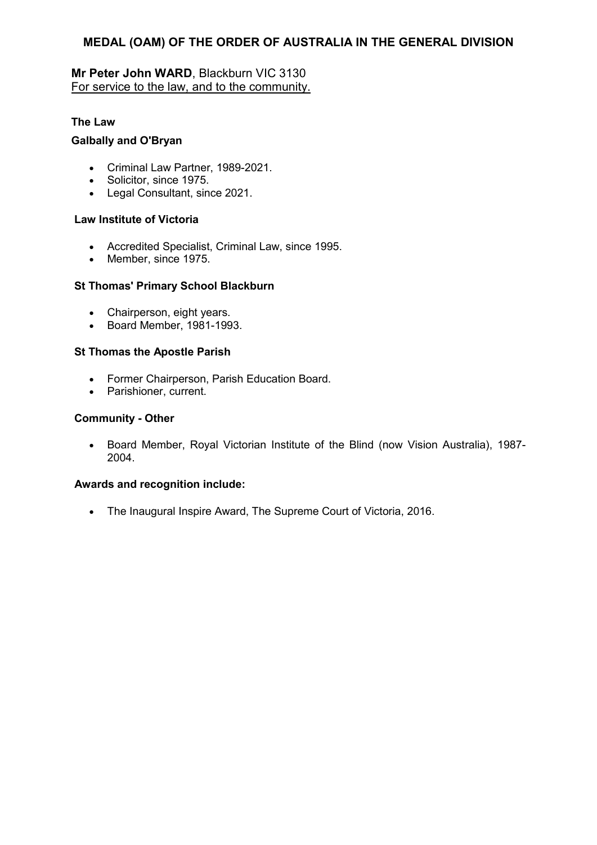# **Mr Peter John WARD**, Blackburn VIC 3130 For service to the law, and to the community.

# **The Law**

# **Galbally and O'Bryan**

- Criminal Law Partner, 1989-2021.
- Solicitor, since 1975.
- Legal Consultant, since 2021.

# **Law Institute of Victoria**

- Accredited Specialist, Criminal Law, since 1995.
- Member, since 1975.

# **St Thomas' Primary School Blackburn**

- Chairperson, eight years.
- Board Member, 1981-1993.

# **St Thomas the Apostle Parish**

- Former Chairperson, Parish Education Board.
- Parishioner, current.

# **Community - Other**

• Board Member, Royal Victorian Institute of the Blind (now Vision Australia), 1987- 2004.

# **Awards and recognition include:**

• The Inaugural Inspire Award, The Supreme Court of Victoria, 2016.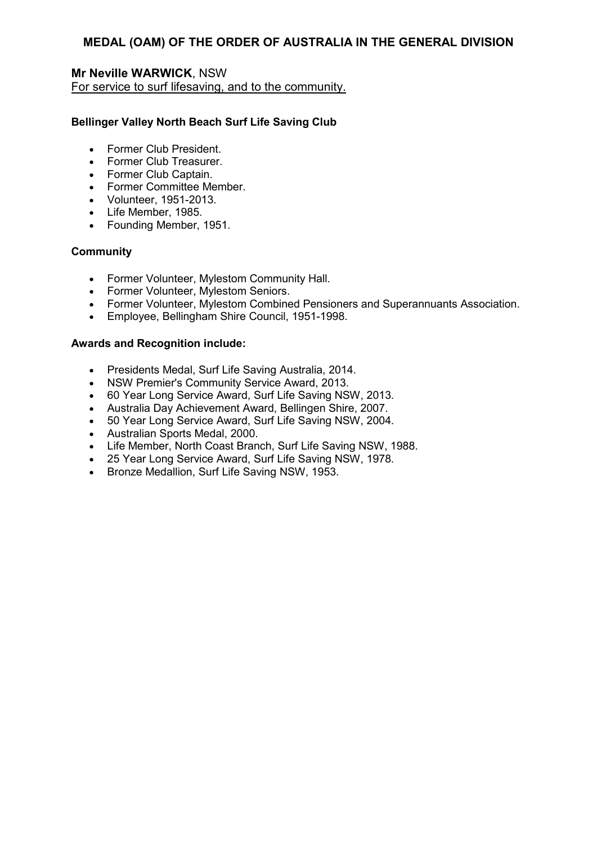# **Mr Neville WARWICK**, NSW For service to surf lifesaving, and to the community.

# **Bellinger Valley North Beach Surf Life Saving Club**

- Former Club President.
- Former Club Treasurer.
- Former Club Captain.
- Former Committee Member.
- Volunteer, 1951-2013.
- Life Member, 1985.
- Founding Member, 1951.

# **Community**

- Former Volunteer, Mylestom Community Hall.
- Former Volunteer, Mylestom Seniors.
- Former Volunteer, Mylestom Combined Pensioners and Superannuants Association.
- Employee, Bellingham Shire Council, 1951-1998.

- Presidents Medal, Surf Life Saving Australia, 2014.
- NSW Premier's Community Service Award, 2013.
- 60 Year Long Service Award, Surf Life Saving NSW, 2013.
- Australia Day Achievement Award, Bellingen Shire, 2007.
- 50 Year Long Service Award, Surf Life Saving NSW, 2004.
- Australian Sports Medal, 2000.
- Life Member, North Coast Branch, Surf Life Saving NSW, 1988.
- 25 Year Long Service Award, Surf Life Saving NSW, 1978.
- Bronze Medallion, Surf Life Saving NSW, 1953.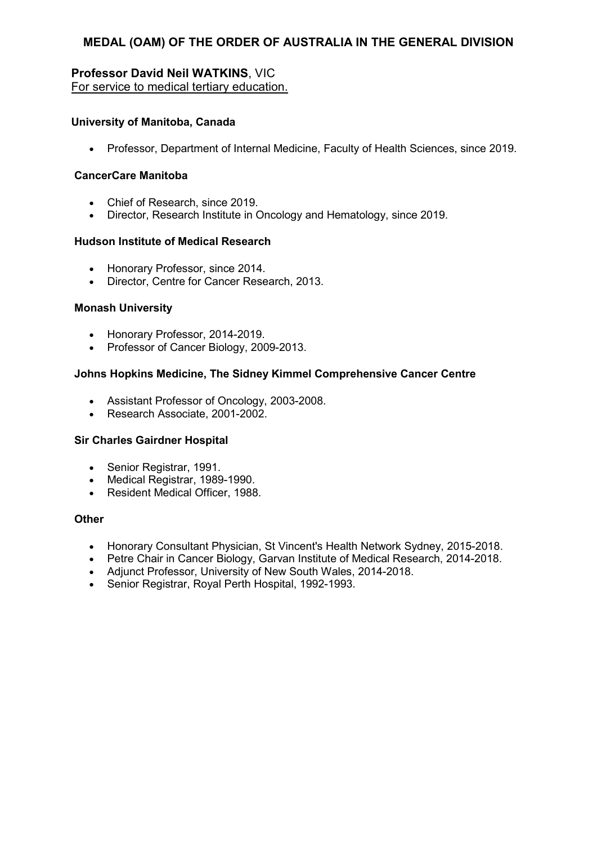# **Professor David Neil WATKINS**, VIC For service to medical tertiary education.

# **University of Manitoba, Canada**

• Professor, Department of Internal Medicine, Faculty of Health Sciences, since 2019.

# **CancerCare Manitoba**

- Chief of Research, since 2019.
- Director, Research Institute in Oncology and Hematology, since 2019.

#### **Hudson Institute of Medical Research**

- Honorary Professor, since 2014.
- Director, Centre for Cancer Research, 2013.

#### **Monash University**

- Honorary Professor, 2014-2019.
- Professor of Cancer Biology, 2009-2013.

#### **Johns Hopkins Medicine, The Sidney Kimmel Comprehensive Cancer Centre**

- Assistant Professor of Oncology, 2003-2008.
- Research Associate, 2001-2002.

#### **Sir Charles Gairdner Hospital**

- Senior Registrar, 1991.
- Medical Registrar, 1989-1990.
- Resident Medical Officer, 1988.

#### **Other**

- Honorary Consultant Physician, St Vincent's Health Network Sydney, 2015-2018.
- Petre Chair in Cancer Biology, Garvan Institute of Medical Research, 2014-2018.
- Adjunct Professor, University of New South Wales, 2014-2018.
- Senior Registrar, Royal Perth Hospital, 1992-1993.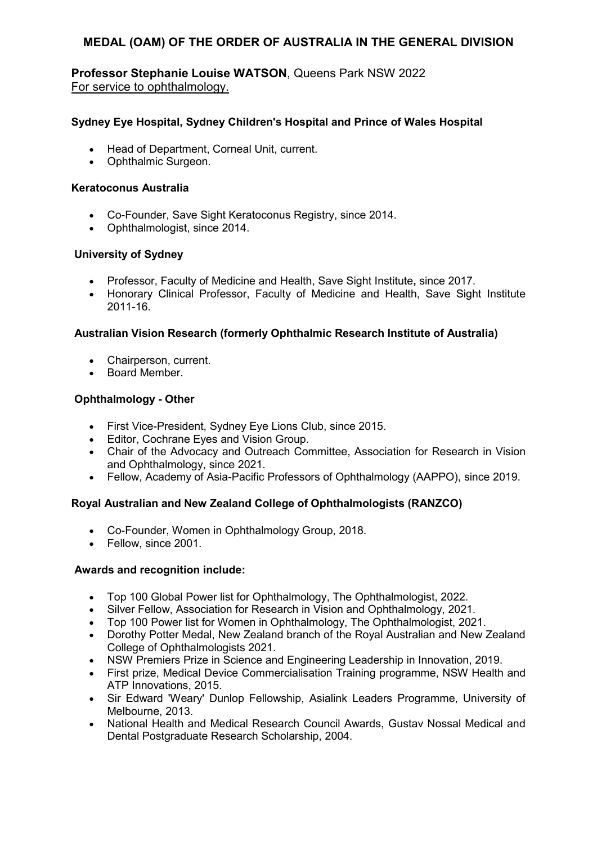### **Professor Stephanie Louise WATSON**, Queens Park NSW 2022 For service to ophthalmology.

#### **Sydney Eye Hospital, Sydney Children's Hospital and Prince of Wales Hospital**

- Head of Department, Corneal Unit, current.
- Ophthalmic Surgeon.

#### **Keratoconus Australia**

- Co-Founder, Save Sight Keratoconus Registry, since 2014.
- Ophthalmologist, since 2014.

#### **University of Sydney**

- Professor, Faculty of Medicine and Health, Save Sight Institute**,** since 2017.
- Honorary Clinical Professor, Faculty of Medicine and Health, Save Sight Institute 2011-16.

#### **Australian Vision Research (formerly Ophthalmic Research Institute of Australia)**

- Chairperson, current.
- Board Member.

### **Ophthalmology - Other**

- First Vice-President, Sydney Eye Lions Club, since 2015.
- Editor, Cochrane Eyes and Vision Group.
- Chair of the Advocacy and Outreach Committee, Association for Research in Vision and Ophthalmology, since 2021.
- Fellow, Academy of Asia-Pacific Professors of Ophthalmology (AAPPO), since 2019.

### **Royal Australian and New Zealand College of Ophthalmologists (RANZCO)**

- Co-Founder, Women in Ophthalmology Group, 2018.
- Fellow, since 2001.

- Top 100 Global Power list for Ophthalmology, The Ophthalmologist, 2022.
- Silver Fellow, Association for Research in Vision and Ophthalmology, 2021.
- Top 100 Power list for Women in Ophthalmology, The Ophthalmologist, 2021.
- Dorothy Potter Medal, New Zealand branch of the Royal Australian and New Zealand College of Ophthalmologists 2021.
- NSW Premiers Prize in Science and Engineering Leadership in Innovation, 2019.
- First prize, Medical Device Commercialisation Training programme, NSW Health and ATP Innovations, 2015.
- Sir Edward 'Weary' Dunlop Fellowship, Asialink Leaders Programme, University of Melbourne, 2013.
- National Health and Medical Research Council Awards, Gustav Nossal Medical and Dental Postgraduate Research Scholarship, 2004.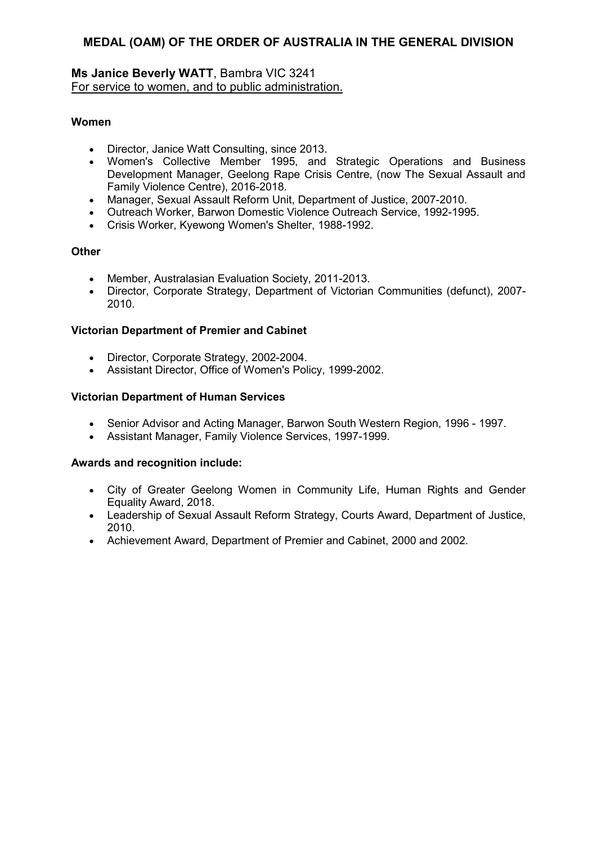#### **Ms Janice Beverly WATT**, Bambra VIC 3241 For service to women, and to public administration.

#### **Women**

- Director, Janice Watt Consulting, since 2013.
- Women's Collective Member 1995, and Strategic Operations and Business Development Manager, Geelong Rape Crisis Centre, (now The Sexual Assault and Family Violence Centre), 2016-2018.
- Manager, Sexual Assault Reform Unit, Department of Justice, 2007-2010.
- Outreach Worker, Barwon Domestic Violence Outreach Service, 1992-1995.
- Crisis Worker, Kyewong Women's Shelter, 1988-1992.

#### **Other**

- Member, Australasian Evaluation Society, 2011-2013.
- Director, Corporate Strategy, Department of Victorian Communities (defunct), 2007- 2010.

#### **Victorian Department of Premier and Cabinet**

- Director, Corporate Strategy, 2002-2004.
- Assistant Director, Office of Women's Policy, 1999-2002.

#### **Victorian Department of Human Services**

- Senior Advisor and Acting Manager, Barwon South Western Region, 1996 1997.
- Assistant Manager, Family Violence Services, 1997-1999.

- City of Greater Geelong Women in Community Life, Human Rights and Gender Equality Award, 2018.
- Leadership of Sexual Assault Reform Strategy, Courts Award, Department of Justice, 2010.
- Achievement Award, Department of Premier and Cabinet, 2000 and 2002.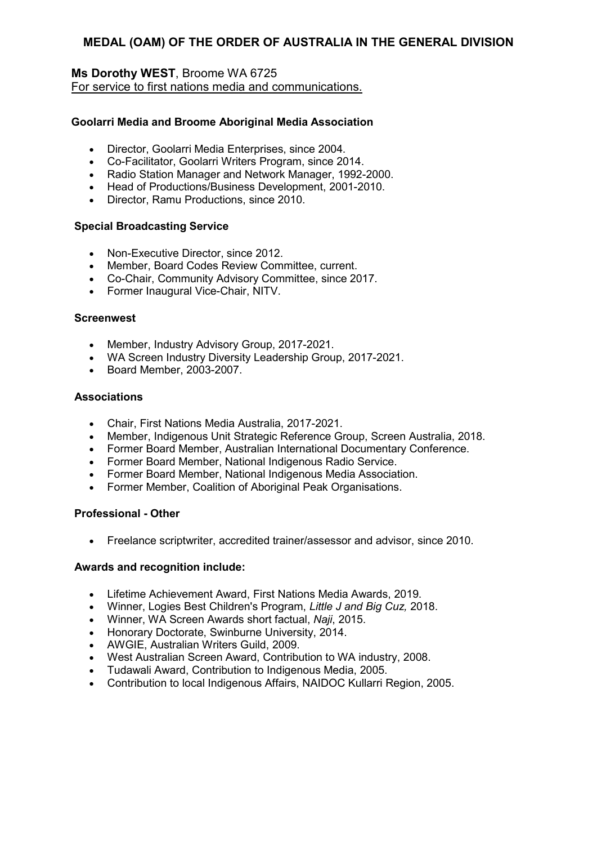### **Ms Dorothy WEST**, Broome WA 6725 For service to first nations media and communications.

#### **Goolarri Media and Broome Aboriginal Media Association**

- Director, Goolarri Media Enterprises, since 2004.
- Co-Facilitator, Goolarri Writers Program, since 2014.
- Radio Station Manager and Network Manager, 1992-2000.
- Head of Productions/Business Development, 2001-2010.
- Director, Ramu Productions, since 2010.

#### **Special Broadcasting Service**

- Non-Executive Director, since 2012.
- Member, Board Codes Review Committee, current.
- Co-Chair, Community Advisory Committee, since 2017.
- Former Inaugural Vice-Chair, NITV.

#### **Screenwest**

- Member, Industry Advisory Group, 2017-2021.
- WA Screen Industry Diversity Leadership Group, 2017-2021.
- Board Member, 2003-2007.

#### **Associations**

- Chair, First Nations Media Australia, 2017-2021.
- Member, Indigenous Unit Strategic Reference Group, Screen Australia, 2018.
- Former Board Member, Australian International Documentary Conference.
- Former Board Member, National Indigenous Radio Service.
- Former Board Member, National Indigenous Media Association.
- Former Member, Coalition of Aboriginal Peak Organisations.

#### **Professional - Other**

• Freelance scriptwriter, accredited trainer/assessor and advisor, since 2010.

- Lifetime Achievement Award, First Nations Media Awards, 2019.
- Winner, Logies Best Children's Program, *Little J and Big Cuz,* 2018.
- Winner, WA Screen Awards short factual, *Naji*, 2015.
- Honorary Doctorate, Swinburne University, 2014.
- AWGIE, Australian Writers Guild, 2009.
- West Australian Screen Award, Contribution to WA industry, 2008.
- Tudawali Award, Contribution to Indigenous Media, 2005.
- Contribution to local Indigenous Affairs, NAIDOC Kullarri Region, 2005.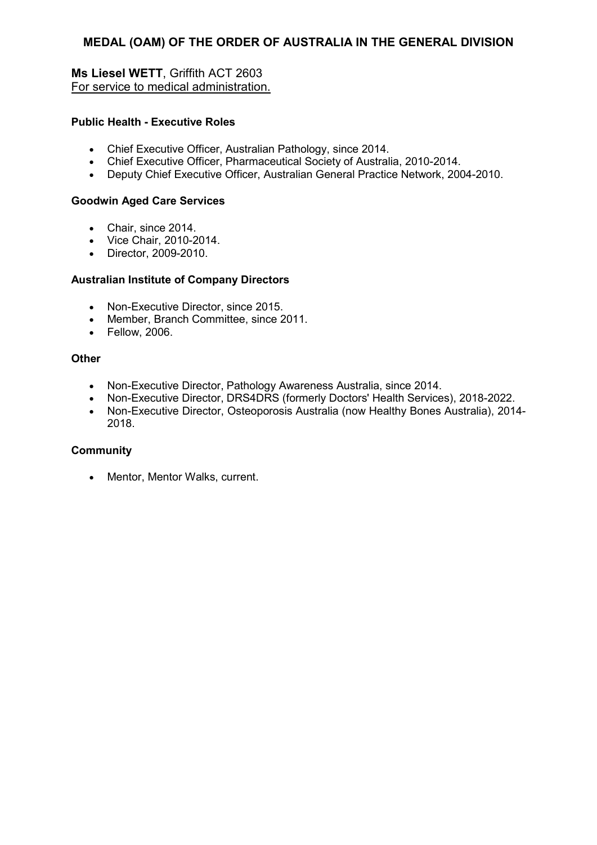**Ms Liesel WETT**, Griffith ACT 2603 For service to medical administration.

#### **Public Health - Executive Roles**

- Chief Executive Officer, Australian Pathology, since 2014.
- Chief Executive Officer, Pharmaceutical Society of Australia, 2010-2014.
- Deputy Chief Executive Officer, Australian General Practice Network, 2004-2010.

#### **Goodwin Aged Care Services**

- Chair, since 2014.
- Vice Chair, 2010-2014.
- Director, 2009-2010.

#### **Australian Institute of Company Directors**

- Non-Executive Director, since 2015.
- Member, Branch Committee, since 2011.
- Fellow, 2006.

#### **Other**

- Non-Executive Director, Pathology Awareness Australia, since 2014.
- Non-Executive Director, DRS4DRS (formerly Doctors' Health Services), 2018-2022.
- Non-Executive Director, Osteoporosis Australia (now Healthy Bones Australia), 2014- 2018.

#### **Community**

• Mentor, Mentor Walks, current.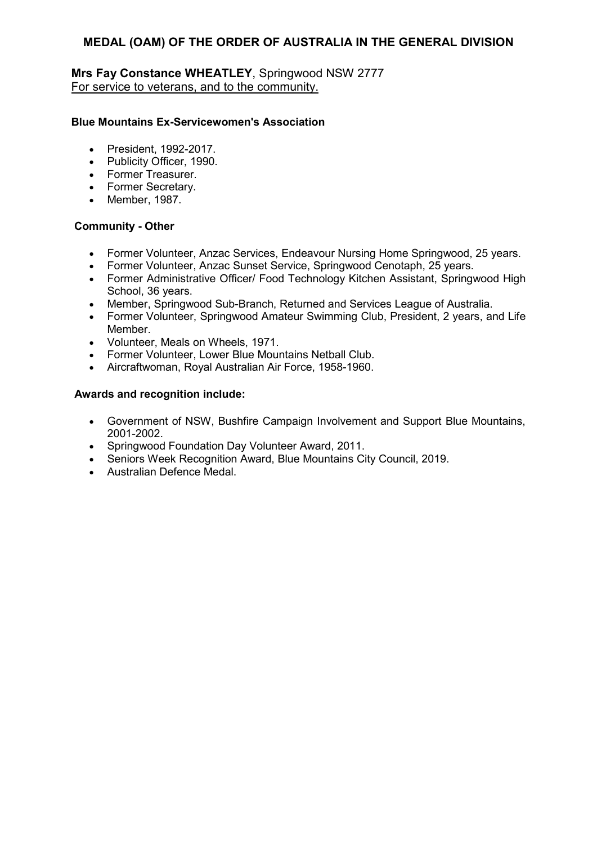### **Mrs Fay Constance WHEATLEY**, Springwood NSW 2777 For service to veterans, and to the community.

#### **Blue Mountains Ex-Servicewomen's Association**

- President, 1992-2017.
- Publicity Officer, 1990.
- Former Treasurer.
- Former Secretary.
- Member, 1987.

#### **Community - Other**

- Former Volunteer, Anzac Services, Endeavour Nursing Home Springwood, 25 years.
- Former Volunteer, Anzac Sunset Service, Springwood Cenotaph, 25 years.
- Former Administrative Officer/ Food Technology Kitchen Assistant, Springwood High School, 36 years.
- Member, Springwood Sub-Branch, Returned and Services League of Australia.
- Former Volunteer, Springwood Amateur Swimming Club, President, 2 years, and Life Member.
- Volunteer, Meals on Wheels, 1971.
- Former Volunteer, Lower Blue Mountains Netball Club.
- Aircraftwoman, Royal Australian Air Force, 1958-1960.

- Government of NSW, Bushfire Campaign Involvement and Support Blue Mountains, 2001-2002.
- Springwood Foundation Day Volunteer Award, 2011.
- Seniors Week Recognition Award, Blue Mountains City Council, 2019.
- Australian Defence Medal.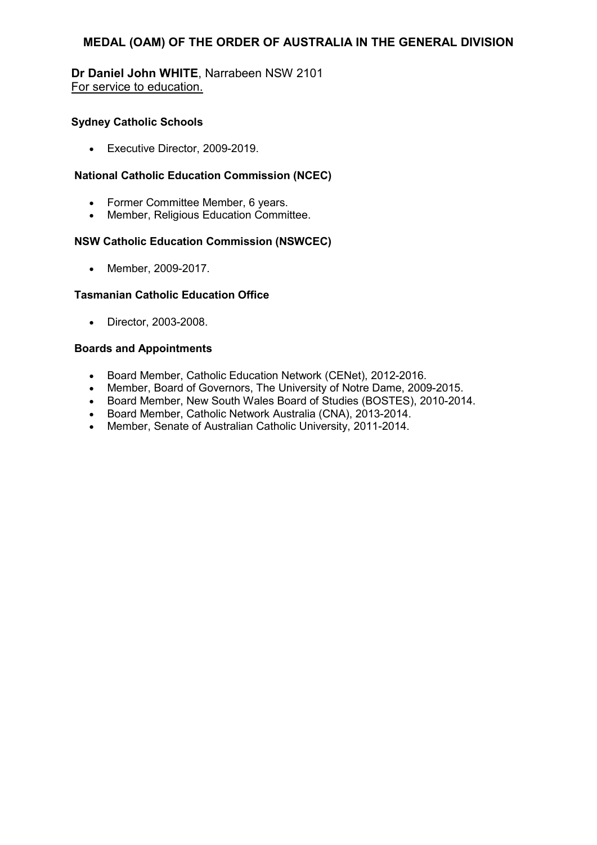#### **Dr Daniel John WHITE**, Narrabeen NSW 2101 For service to education.

#### **Sydney Catholic Schools**

• Executive Director, 2009-2019.

### **National Catholic Education Commission (NCEC)**

- Former Committee Member, 6 years.
- Member, Religious Education Committee.

#### **NSW Catholic Education Commission (NSWCEC)**

• Member, 2009-2017.

#### **Tasmanian Catholic Education Office**

• Director, 2003-2008.

#### **Boards and Appointments**

- Board Member, Catholic Education Network (CENet), 2012-2016.
- Member, Board of Governors, The University of Notre Dame, 2009-2015.
- Board Member, New South Wales Board of Studies (BOSTES), 2010-2014.
- Board Member, Catholic Network Australia (CNA), 2013-2014.
- Member, Senate of Australian Catholic University, 2011-2014.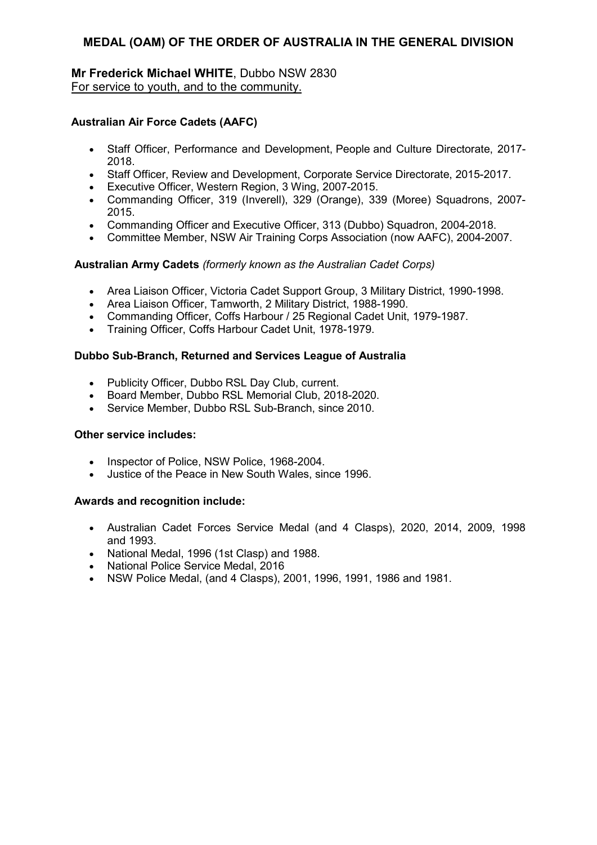### **Mr Frederick Michael WHITE**, Dubbo NSW 2830 For service to youth, and to the community.

### **Australian Air Force Cadets (AAFC)**

- Staff Officer, Performance and Development, People and Culture Directorate, 2017- 2018.
- Staff Officer, Review and Development, Corporate Service Directorate, 2015-2017.
- Executive Officer, Western Region, 3 Wing, 2007-2015.
- Commanding Officer, 319 (Inverell), 329 (Orange), 339 (Moree) Squadrons, 2007- 2015.
- Commanding Officer and Executive Officer, 313 (Dubbo) Squadron, 2004-2018.
- Committee Member, NSW Air Training Corps Association (now AAFC), 2004-2007.

#### **Australian Army Cadets** *(formerly known as the Australian Cadet Corps)*

- Area Liaison Officer, Victoria Cadet Support Group, 3 Military District, 1990-1998.
- Area Liaison Officer, Tamworth, 2 Military District, 1988-1990.
- Commanding Officer, Coffs Harbour / 25 Regional Cadet Unit, 1979-1987.
- Training Officer, Coffs Harbour Cadet Unit, 1978-1979.

#### **Dubbo Sub-Branch, Returned and Services League of Australia**

- Publicity Officer, Dubbo RSL Day Club, current.
- Board Member, Dubbo RSL Memorial Club, 2018-2020.
- Service Member, Dubbo RSL Sub-Branch, since 2010.

#### **Other service includes:**

- Inspector of Police, NSW Police, 1968-2004.
- Justice of the Peace in New South Wales, since 1996.

- Australian Cadet Forces Service Medal (and 4 Clasps), 2020, 2014, 2009, 1998 and 1993.
- National Medal, 1996 (1st Clasp) and 1988.
- National Police Service Medal, 2016
- NSW Police Medal, (and 4 Clasps), 2001, 1996, 1991, 1986 and 1981.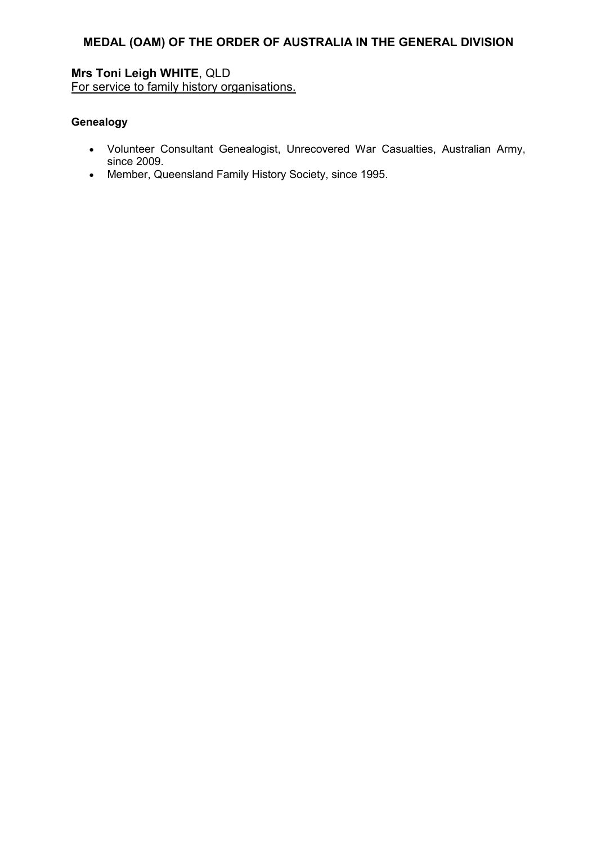**Mrs Toni Leigh WHITE**, QLD For service to family history organisations.

#### **Genealogy**

- Volunteer Consultant Genealogist, Unrecovered War Casualties, Australian Army, since 2009.
- Member, Queensland Family History Society, since 1995.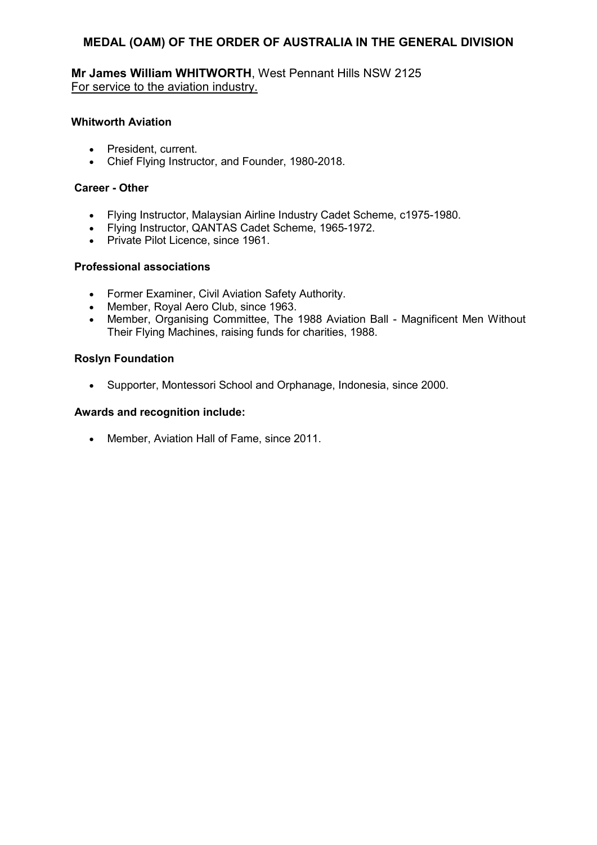**Mr James William WHITWORTH**, West Pennant Hills NSW 2125 For service to the aviation industry.

#### **Whitworth Aviation**

- President, current.
- Chief Flying Instructor, and Founder, 1980-2018.

#### **Career - Other**

- Flying Instructor, Malaysian Airline Industry Cadet Scheme, c1975-1980.
- Flying Instructor, QANTAS Cadet Scheme, 1965-1972.
- Private Pilot Licence, since 1961.

#### **Professional associations**

- Former Examiner, Civil Aviation Safety Authority.
- Member, Royal Aero Club, since 1963.
- Member, Organising Committee, The 1988 Aviation Ball Magnificent Men Without Their Flying Machines, raising funds for charities, 1988.

#### **Roslyn Foundation**

• Supporter, Montessori School and Orphanage, Indonesia, since 2000.

#### **Awards and recognition include:**

• Member, Aviation Hall of Fame, since 2011.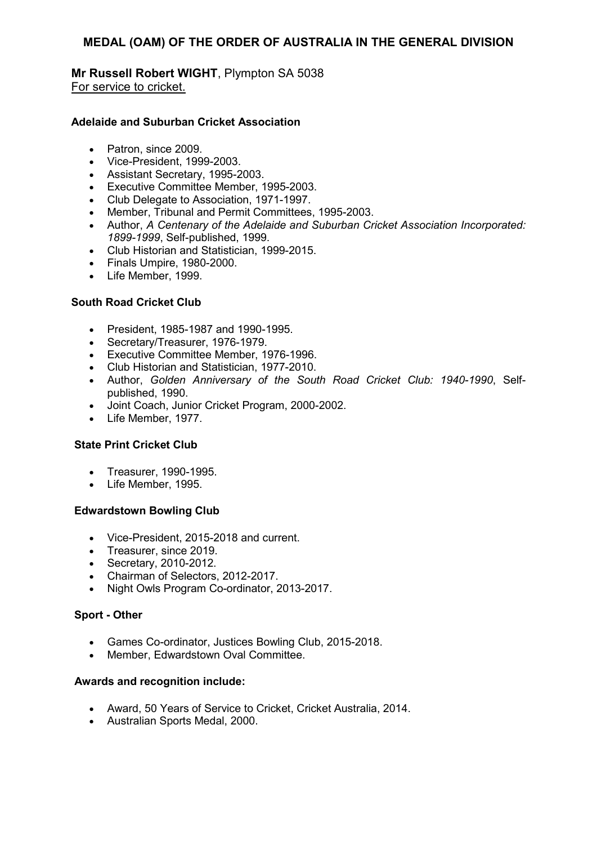#### **Mr Russell Robert WIGHT**, Plympton SA 5038 For service to cricket.

#### **Adelaide and Suburban Cricket Association**

- Patron, since 2009.
- Vice-President, 1999-2003.
- Assistant Secretary, 1995-2003.
- Executive Committee Member, 1995-2003.
- Club Delegate to Association, 1971-1997.
- Member, Tribunal and Permit Committees, 1995-2003.
- Author, *A Centenary of the Adelaide and Suburban Cricket Association Incorporated: 1899-1999*, Self-published, 1999.
- Club Historian and Statistician, 1999-2015.
- Finals Umpire, 1980-2000.
- Life Member, 1999.

#### **South Road Cricket Club**

- President, 1985-1987 and 1990-1995.
- Secretary/Treasurer, 1976-1979.
- Executive Committee Member, 1976-1996.
- Club Historian and Statistician, 1977-2010.
- Author, *Golden Anniversary of the South Road Cricket Club: 1940-1990*, Selfpublished, 1990.
- Joint Coach, Junior Cricket Program, 2000-2002.
- Life Member, 1977.

#### **State Print Cricket Club**

- Treasurer, 1990-1995.
- Life Member, 1995.

#### **Edwardstown Bowling Club**

- Vice-President, 2015-2018 and current.
- Treasurer, since 2019.
- Secretary, 2010-2012.
- Chairman of Selectors, 2012-2017.
- Night Owls Program Co-ordinator, 2013-2017.

#### **Sport - Other**

- Games Co-ordinator, Justices Bowling Club, 2015-2018.
- Member, Edwardstown Oval Committee.

- Award, 50 Years of Service to Cricket, Cricket Australia, 2014.
- Australian Sports Medal, 2000.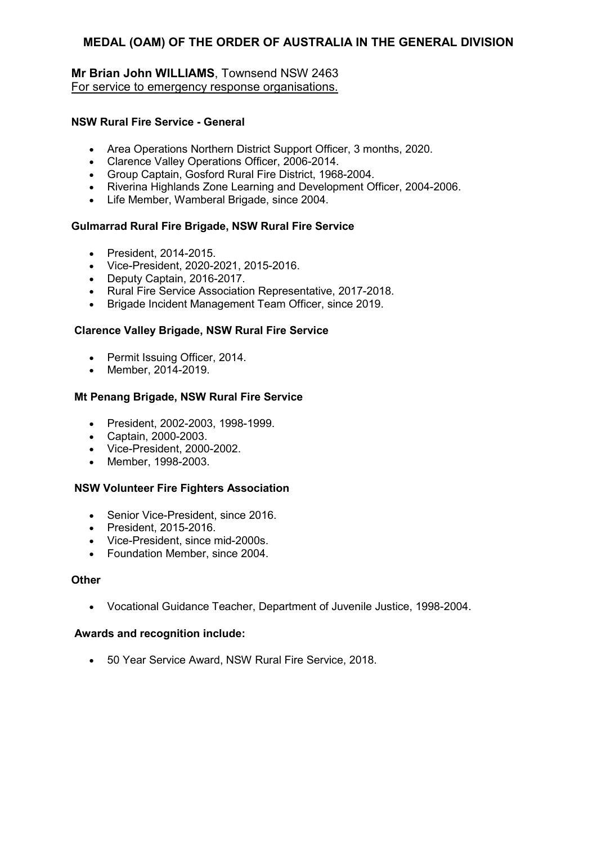### **Mr Brian John WILLIAMS**, Townsend NSW 2463 For service to emergency response organisations.

#### **NSW Rural Fire Service - General**

- Area Operations Northern District Support Officer, 3 months, 2020.
- Clarence Valley Operations Officer, 2006-2014.
- Group Captain, Gosford Rural Fire District, 1968-2004.
- Riverina Highlands Zone Learning and Development Officer, 2004-2006.
- Life Member, Wamberal Brigade, since 2004.

#### **Gulmarrad Rural Fire Brigade, NSW Rural Fire Service**

- President, 2014-2015.
- Vice-President, 2020-2021, 2015-2016.
- Deputy Captain, 2016-2017.
- Rural Fire Service Association Representative, 2017-2018.
- Brigade Incident Management Team Officer, since 2019.

#### **Clarence Valley Brigade, NSW Rural Fire Service**

- Permit Issuing Officer, 2014.
- Member, 2014-2019.

#### **Mt Penang Brigade, NSW Rural Fire Service**

- President, 2002-2003, 1998-1999.
- Captain, 2000-2003.
- Vice-President, 2000-2002.
- Member, 1998-2003.

#### **NSW Volunteer Fire Fighters Association**

- Senior Vice-President, since 2016.
- President, 2015-2016.
- Vice-President, since mid-2000s.
- Foundation Member, since 2004.

#### **Other**

• Vocational Guidance Teacher, Department of Juvenile Justice, 1998-2004.

#### **Awards and recognition include:**

• 50 Year Service Award, NSW Rural Fire Service, 2018.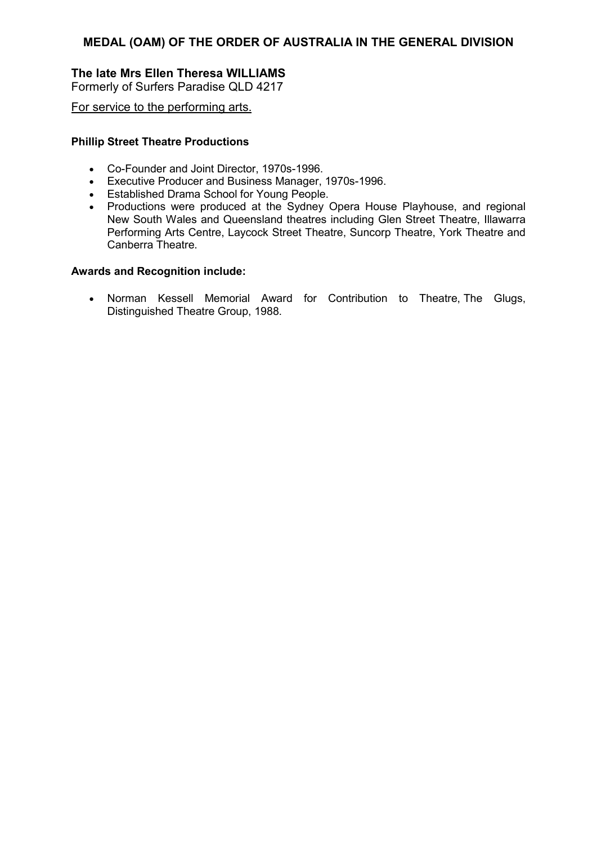### **The late Mrs Ellen Theresa WILLIAMS**

Formerly of Surfers Paradise QLD 4217

For service to the performing arts.

#### **Phillip Street Theatre Productions**

- Co-Founder and Joint Director, 1970s-1996.
- Executive Producer and Business Manager, 1970s-1996.
- Established Drama School for Young People.
- Productions were produced at the Sydney Opera House Playhouse, and regional New South Wales and Queensland theatres including Glen Street Theatre, Illawarra Performing Arts Centre, Laycock Street Theatre, Suncorp Theatre, York Theatre and Canberra Theatre.

#### **Awards and Recognition include:**

• Norman Kessell Memorial Award for Contribution to Theatre, The Glugs, Distinguished Theatre Group, 1988.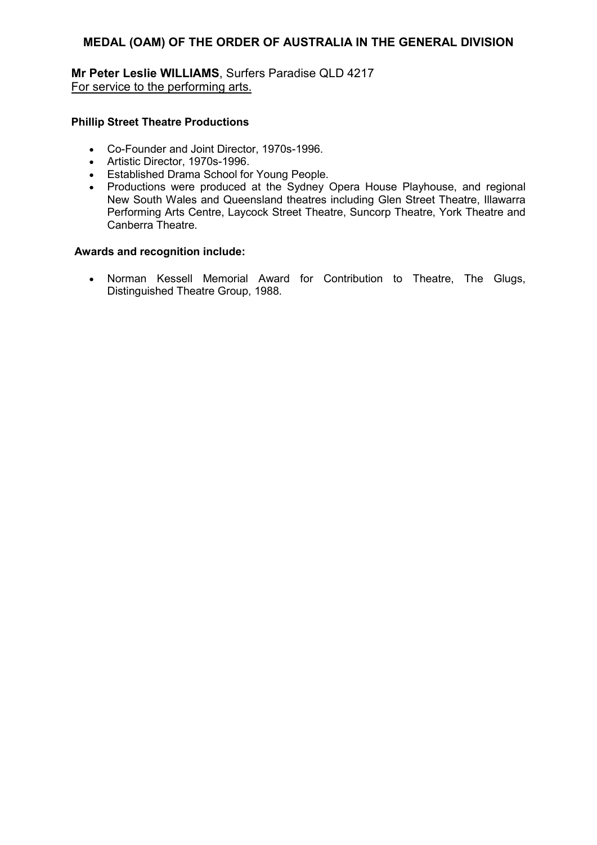**Mr Peter Leslie WILLIAMS**, Surfers Paradise QLD 4217 For service to the performing arts.

#### **Phillip Street Theatre Productions**

- Co-Founder and Joint Director, 1970s-1996.
- Artistic Director, 1970s-1996.
- Established Drama School for Young People.
- Productions were produced at the Sydney Opera House Playhouse, and regional New South Wales and Queensland theatres including Glen Street Theatre, Illawarra Performing Arts Centre, Laycock Street Theatre, Suncorp Theatre, York Theatre and Canberra Theatre.

#### **Awards and recognition include:**

• Norman Kessell Memorial Award for Contribution to Theatre, The Glugs, Distinguished Theatre Group, 1988.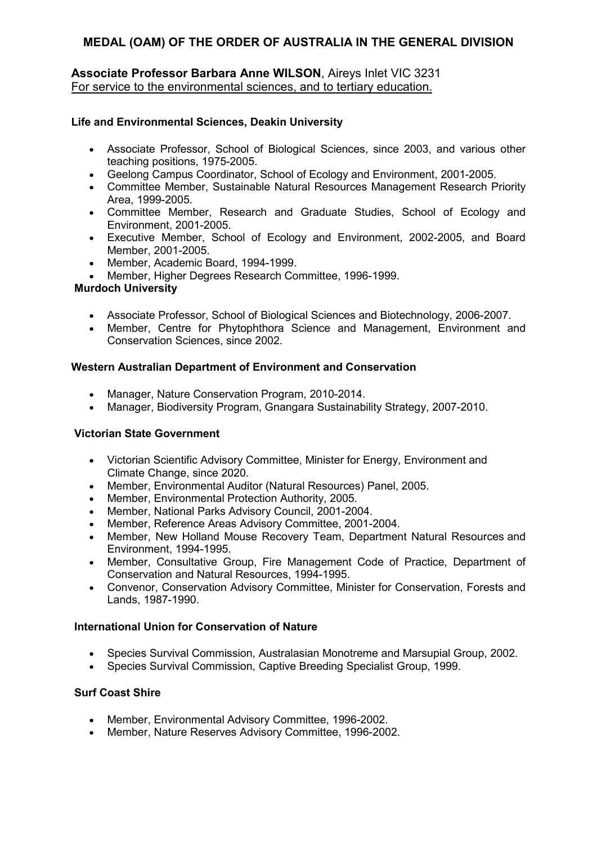#### **Associate Professor Barbara Anne WILSON**, Aireys Inlet VIC 3231 For service to the environmental sciences, and to tertiary education.

#### **Life and Environmental Sciences, Deakin University**

- Associate Professor, School of Biological Sciences, since 2003, and various other teaching positions, 1975-2005.
- Geelong Campus Coordinator, School of Ecology and Environment, 2001-2005.
- Committee Member, Sustainable Natural Resources Management Research Priority Area, 1999-2005.
- Committee Member, Research and Graduate Studies, School of Ecology and Environment, 2001-2005.
- Executive Member, School of Ecology and Environment, 2002-2005, and Board Member, 2001-2005.
- Member, Academic Board, 1994-1999.
- Member, Higher Degrees Research Committee, 1996-1999.

### **Murdoch University**

- Associate Professor, School of Biological Sciences and Biotechnology, 2006-2007.
- Member, Centre for Phytophthora Science and Management, Environment and Conservation Sciences, since 2002.

#### **Western Australian Department of Environment and Conservation**

- Manager, Nature Conservation Program, 2010-2014.
- Manager, Biodiversity Program, Gnangara Sustainability Strategy, 2007-2010.

#### **Victorian State Government**

- Victorian Scientific Advisory Committee, Minister for Energy, Environment and Climate Change, since 2020.
- Member, Environmental Auditor (Natural Resources) Panel, 2005.
- Member, Environmental Protection Authority, 2005.
- Member, National Parks Advisory Council, 2001-2004.
- Member, Reference Areas Advisory Committee, 2001-2004.
- Member, New Holland Mouse Recovery Team, Department Natural Resources and Environment, 1994-1995.
- Member, Consultative Group, Fire Management Code of Practice, Department of Conservation and Natural Resources, 1994-1995.
- Convenor, Conservation Advisory Committee, Minister for Conservation, Forests and Lands, 1987-1990.

#### **International Union for Conservation of Nature**

- Species Survival Commission, Australasian Monotreme and Marsupial Group, 2002.
- Species Survival Commission, Captive Breeding Specialist Group, 1999.

### **Surf Coast Shire**

- Member, Environmental Advisory Committee, 1996-2002.
- Member, Nature Reserves Advisory Committee, 1996-2002.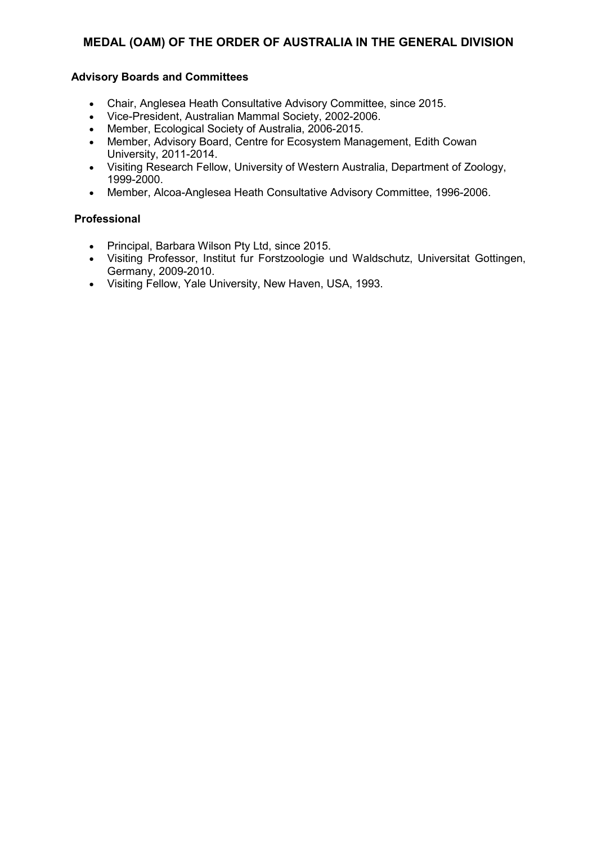#### **Advisory Boards and Committees**

- Chair, Anglesea Heath Consultative Advisory Committee, since 2015.
- Vice-President, Australian Mammal Society, 2002-2006.
- Member, Ecological Society of Australia, 2006-2015.
- Member, Advisory Board, Centre for Ecosystem Management, Edith Cowan University, 2011-2014.
- Visiting Research Fellow, University of Western Australia, Department of Zoology, 1999-2000.
- Member, Alcoa-Anglesea Heath Consultative Advisory Committee, 1996-2006.

#### **Professional**

- Principal, Barbara Wilson Pty Ltd, since 2015.
- Visiting Professor, Institut fur Forstzoologie und Waldschutz, Universitat Gottingen, Germany, 2009-2010.
- Visiting Fellow, Yale University, New Haven, USA, 1993.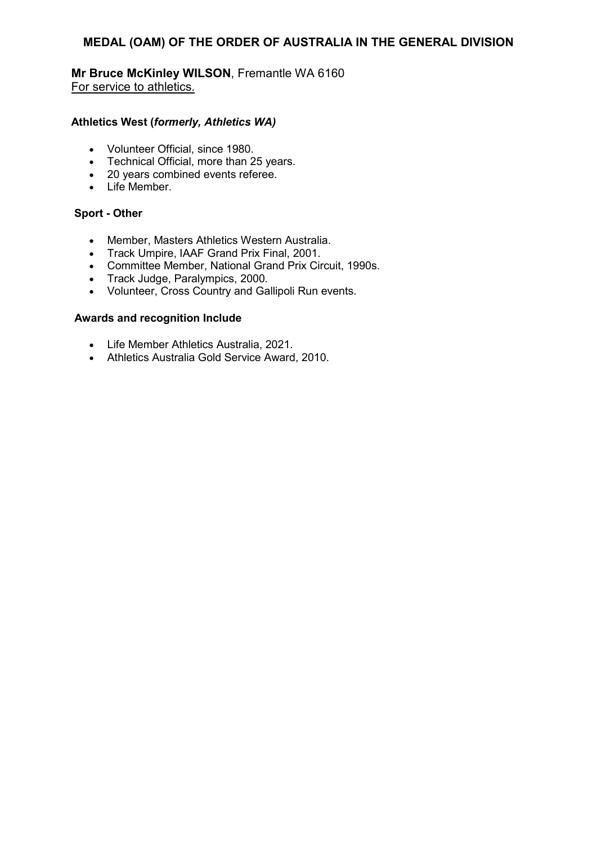### **Mr Bruce McKinley WILSON**, Fremantle WA 6160 For service to athletics.

#### **Athletics West (***formerly, Athletics WA)*

- Volunteer Official, since 1980.
- Technical Official, more than 25 years.
- 20 years combined events referee.
- Life Member.

#### **Sport - Other**

- Member, Masters Athletics Western Australia.
- Track Umpire, IAAF Grand Prix Final, 2001.
- Committee Member, National Grand Prix Circuit, 1990s.
- Track Judge, Paralympics, 2000.
- Volunteer, Cross Country and Gallipoli Run events.

- Life Member Athletics Australia, 2021.
- Athletics Australia Gold Service Award, 2010.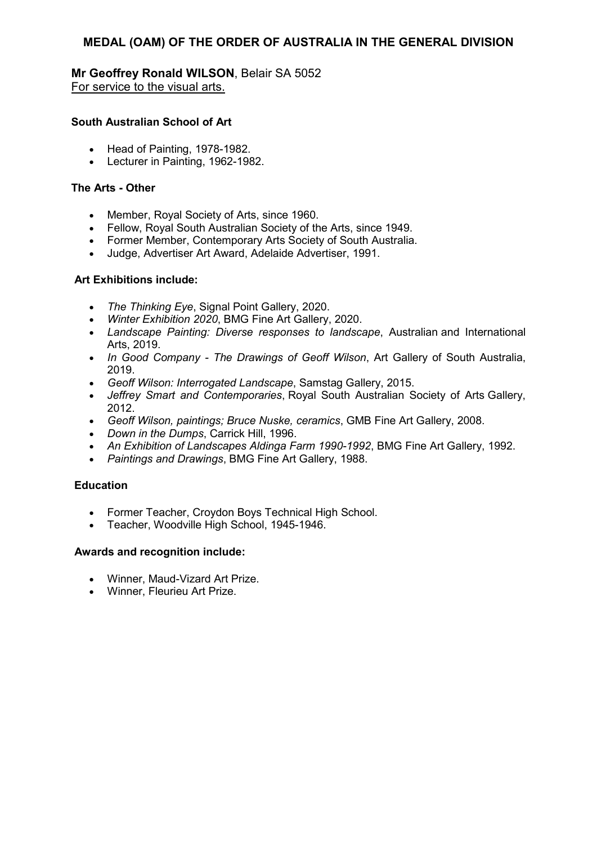**Mr Geoffrey Ronald WILSON**, Belair SA 5052 For service to the visual arts.

#### **South Australian School of Art**

- Head of Painting, 1978-1982.
- Lecturer in Painting, 1962-1982.

#### **The Arts - Other**

- Member, Royal Society of Arts, since 1960.
- Fellow, Royal South Australian Society of the Arts, since 1949.
- Former Member, Contemporary Arts Society of South Australia.
- Judge, Advertiser Art Award, Adelaide Advertiser, 1991.

#### **Art Exhibitions include:**

- *The Thinking Eye*, Signal Point Gallery, 2020.
- *Winter Exhibition 2020*, BMG Fine Art Gallery, 2020.
- *Landscape Painting: Diverse responses to landscape*, Australian and International Arts, 2019.
- *In Good Company The Drawings of Geoff Wilson*, Art Gallery of South Australia, 2019.
- *Geoff Wilson: Interrogated Landscape*, Samstag Gallery, 2015.
- *Jeffrey Smart and Contemporaries*, Royal South Australian Society of Arts Gallery, 2012.
- *Geoff Wilson, paintings; Bruce Nuske, ceramics*, GMB Fine Art Gallery, 2008.
- *Down in the Dumps*, Carrick Hill, 1996.
- *An Exhibition of Landscapes Aldinga Farm 1990-1992*, BMG Fine Art Gallery, 1992.
- *Paintings and Drawings*, BMG Fine Art Gallery, 1988.

#### **Education**

- Former Teacher, Croydon Boys Technical High School.
- Teacher, Woodville High School, 1945-1946.

- Winner, Maud-Vizard Art Prize.
- Winner, Fleurieu Art Prize.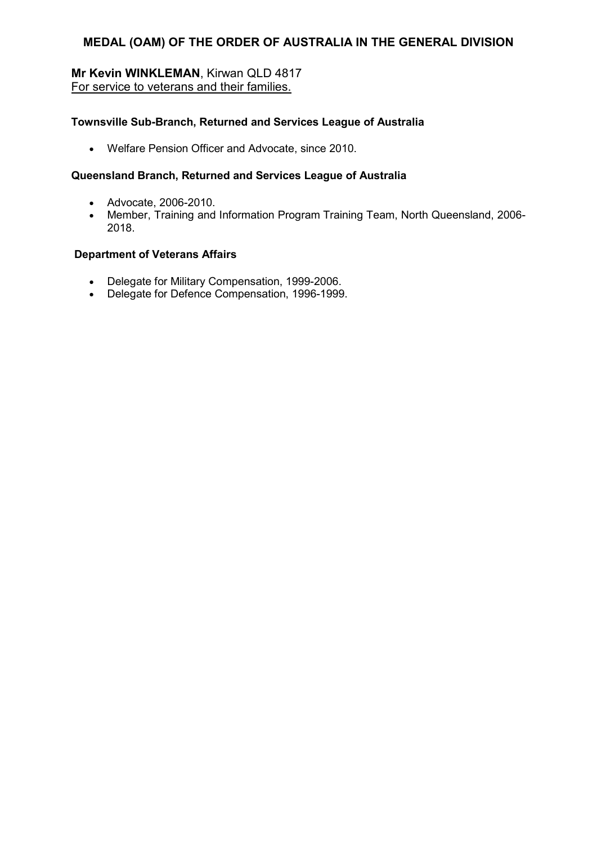### **Mr Kevin WINKLEMAN**, Kirwan QLD 4817 For service to veterans and their families.

#### **Townsville Sub-Branch, Returned and Services League of Australia**

• Welfare Pension Officer and Advocate, since 2010.

#### **Queensland Branch, Returned and Services League of Australia**

- Advocate, 2006-2010.
- Member, Training and Information Program Training Team, North Queensland, 2006- 2018.

#### **Department of Veterans Affairs**

- Delegate for Military Compensation, 1999-2006.
- Delegate for Defence Compensation, 1996-1999.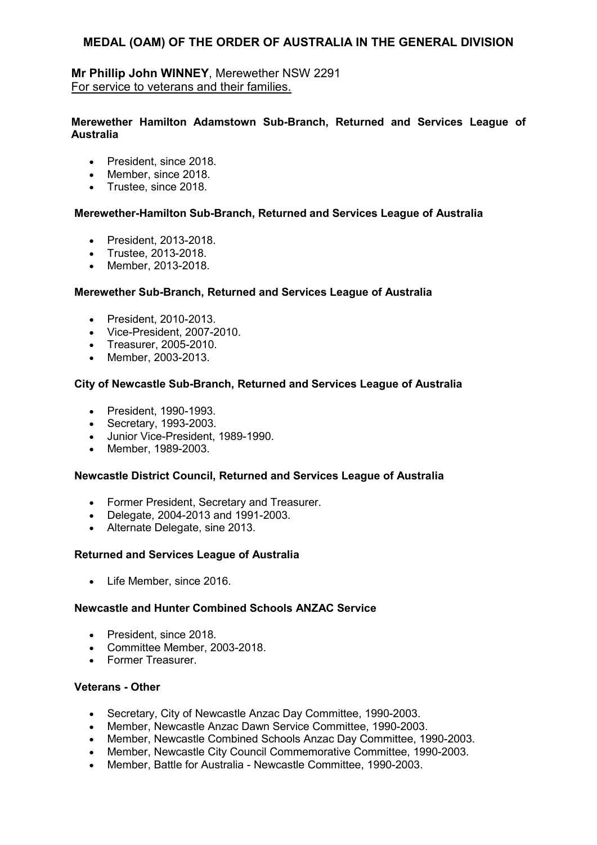### **Mr Phillip John WINNEY**, Merewether NSW 2291 For service to veterans and their families.

#### **Merewether Hamilton Adamstown Sub-Branch, Returned and Services League of Australia**

- President, since 2018.
- Member, since 2018.
- Trustee, since 2018.

#### **Merewether-Hamilton Sub-Branch, Returned and Services League of Australia**

- President, 2013-2018.
- Trustee, 2013-2018.
- Member, 2013-2018.

#### **Merewether Sub-Branch, Returned and Services League of Australia**

- President, 2010-2013.
- Vice-President, 2007-2010.
- Treasurer, 2005-2010.
- Member, 2003-2013.

#### **City of Newcastle Sub-Branch, Returned and Services League of Australia**

- President, 1990-1993.
- Secretary, 1993-2003.
- Junior Vice-President, 1989-1990.
- Member, 1989-2003.

#### **Newcastle District Council, Returned and Services League of Australia**

- Former President, Secretary and Treasurer.
- Delegate, 2004-2013 and 1991-2003.
- Alternate Delegate, sine 2013.

#### **Returned and Services League of Australia**

• Life Member, since 2016.

#### **Newcastle and Hunter Combined Schools ANZAC Service**

- President, since 2018.
- Committee Member, 2003-2018.
- Former Treasurer.

#### **Veterans - Other**

- Secretary, City of Newcastle Anzac Day Committee, 1990-2003.
- Member, Newcastle Anzac Dawn Service Committee, 1990-2003.
- Member, Newcastle Combined Schools Anzac Day Committee, 1990-2003.
- Member, Newcastle City Council Commemorative Committee, 1990-2003.
- Member, Battle for Australia Newcastle Committee, 1990-2003.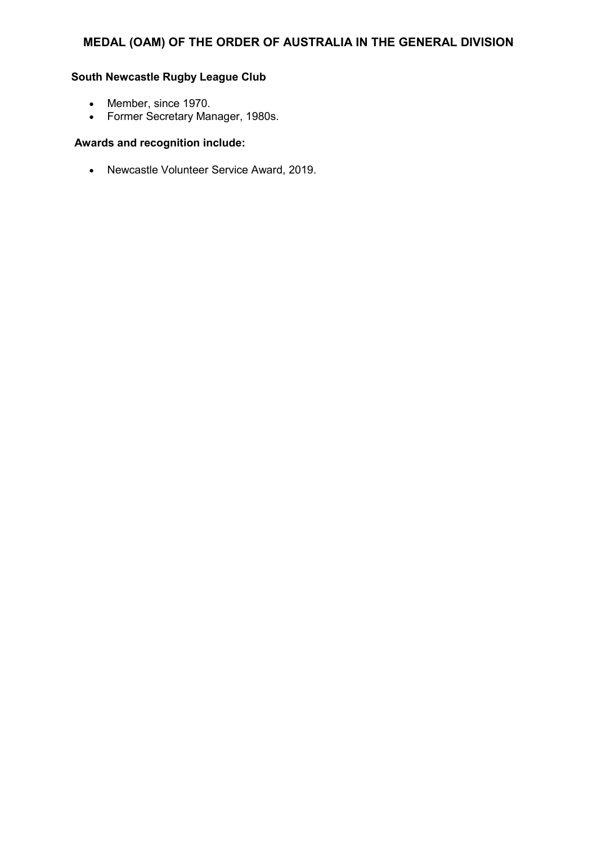### **South Newcastle Rugby League Club**

- Member, since 1970.
- Former Secretary Manager, 1980s.

### **Awards and recognition include:**

• Newcastle Volunteer Service Award, 2019.